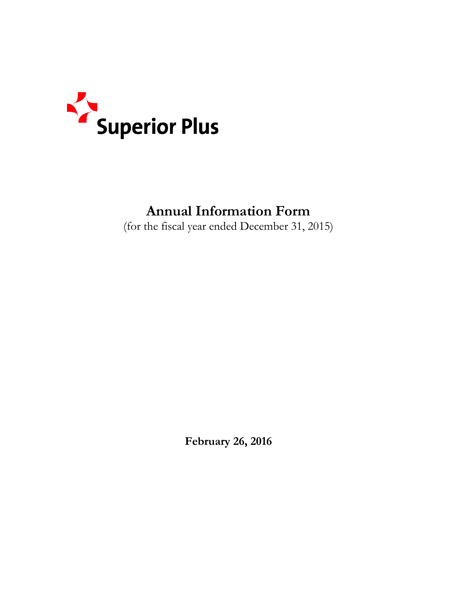

# **Annual Information Form**

(for the fiscal year ended December 31, 2015)

**February 26, 2016**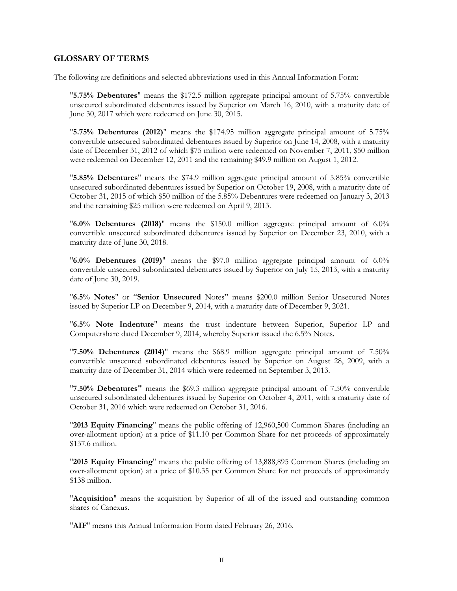#### <span id="page-2-0"></span>**GLOSSARY OF TERMS**

The following are definitions and selected abbreviations used in this Annual Information Form:

"**5.75% Debentures**" means the \$172.5 million aggregate principal amount of 5.75% convertible unsecured subordinated debentures issued by Superior on March 16, 2010, with a maturity date of June 30, 2017 which were redeemed on June 30, 2015.

"**5.75% Debentures (2012)**" means the \$174.95 million aggregate principal amount of 5.75% convertible unsecured subordinated debentures issued by Superior on June 14, 2008, with a maturity date of December 31, 2012 of which \$75 million were redeemed on November 7, 2011, \$50 million were redeemed on December 12, 2011 and the remaining \$49.9 million on August 1, 2012.

"**5.85% Debentures**" means the \$74.9 million aggregate principal amount of 5.85% convertible unsecured subordinated debentures issued by Superior on October 19, 2008, with a maturity date of October 31, 2015 of which \$50 million of the 5.85% Debentures were redeemed on January 3, 2013 and the remaining \$25 million were redeemed on April 9, 2013.

"**6.0% Debentures (2018)**" means the \$150.0 million aggregate principal amount of 6.0% convertible unsecured subordinated debentures issued by Superior on December 23, 2010, with a maturity date of June 30, 2018.

"**6.0% Debentures (2019)**" means the \$97.0 million aggregate principal amount of 6.0% convertible unsecured subordinated debentures issued by Superior on July 15, 2013, with a maturity date of June 30, 2019.

"**6.5% Notes**" or "**Senior Unsecured** Notes" means \$200.0 million Senior Unsecured Notes issued by Superior LP on December 9, 2014, with a maturity date of December 9, 2021.

"**6.5% Note Indenture**" means the trust indenture between Superior, Superior LP and Computershare dated December 9, 2014, whereby Superior issued the 6.5% Notes.

"**7.50% Debentures (2014)**" means the \$68.9 million aggregate principal amount of 7.50% convertible unsecured subordinated debentures issued by Superior on August 28, 2009, with a maturity date of December 31, 2014 which were redeemed on September 3, 2013.

"**7.50% Debentures"** means the \$69.3 million aggregate principal amount of 7.50% convertible unsecured subordinated debentures issued by Superior on October 4, 2011, with a maturity date of October 31, 2016 which were redeemed on October 31, 2016.

"**2013 Equity Financing**" means the public offering of 12,960,500 Common Shares (including an over-allotment option) at a price of \$11.10 per Common Share for net proceeds of approximately \$137.6 million.

"**2015 Equity Financing**" means the public offering of 13,888,895 Common Shares (including an over-allotment option) at a price of \$10.35 per Common Share for net proceeds of approximately \$138 million.

"**Acquisition**" means the acquisition by Superior of all of the issued and outstanding common shares of Canexus.

"**AIF**" means this Annual Information Form dated February 26, 2016.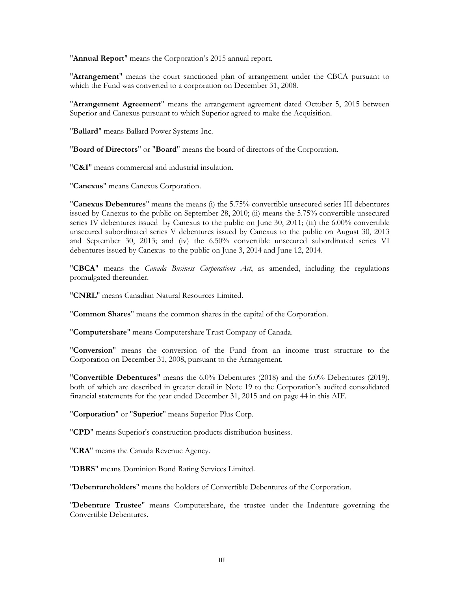"**Annual Report**" means the Corporation's 2015 annual report.

"**Arrangement**" means the court sanctioned plan of arrangement under the CBCA pursuant to which the Fund was converted to a corporation on December 31, 2008.

"**Arrangement Agreement**" means the arrangement agreement dated October 5, 2015 between Superior and Canexus pursuant to which Superior agreed to make the Acquisition.

"**Ballard**" means Ballard Power Systems Inc.

"**Board of Directors**" or "**Board**" means the board of directors of the Corporation.

"**C&I**" means commercial and industrial insulation.

"**Canexus**" means Canexus Corporation.

"**Canexus Debentures**" means the means (i) the 5.75% convertible unsecured series III debentures issued by Canexus to the public on September 28, 2010; (ii) means the 5.75% convertible unsecured series IV debentures issued by Canexus to the public on June 30, 2011; (iii) the 6.00% convertible unsecured subordinated series V debentures issued by Canexus to the public on August 30, 2013 and September 30, 2013; and (iv) the 6.50% convertible unsecured subordinated series VI debentures issued by Canexus to the public on June 3, 2014 and June 12, 2014.

"**CBCA**" means the *Canada Business Corporations Act*, as amended, including the regulations promulgated thereunder.

"**CNRL**" means Canadian Natural Resources Limited.

"**Common Shares**" means the common shares in the capital of the Corporation.

"**Computershare**" means Computershare Trust Company of Canada.

"**Conversion**" means the conversion of the Fund from an income trust structure to the Corporation on December 31, 2008, pursuant to the Arrangement.

"**Convertible Debentures**" means the 6.0% Debentures (2018) and the 6.0% Debentures (2019), both of which are described in greater detail in Note 19 to the Corporation's audited consolidated financial statements for the year ended December 31, 2015 and on page 44 in this AIF.

"**Corporation**" or "**Superior**" means Superior Plus Corp.

"**CPD**" means Superior's construction products distribution business.

"**CRA**" means the Canada Revenue Agency.

"**DBRS**" means Dominion Bond Rating Services Limited.

"**Debentureholders**" means the holders of Convertible Debentures of the Corporation.

"**Debenture Trustee**" means Computershare, the trustee under the Indenture governing the Convertible Debentures.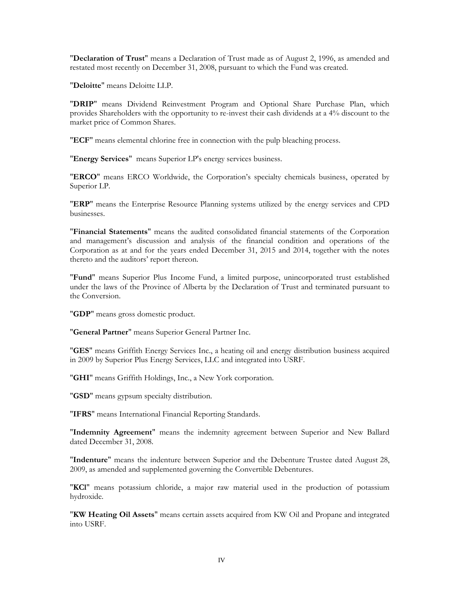"**Declaration of Trust**" means a Declaration of Trust made as of August 2, 1996, as amended and restated most recently on December 31, 2008, pursuant to which the Fund was created.

"**Deloitte**" means Deloitte LLP.

"**DRIP**" means Dividend Reinvestment Program and Optional Share Purchase Plan, which provides Shareholders with the opportunity to re-invest their cash dividends at a 4% discount to the market price of Common Shares.

"**ECF**" means elemental chlorine free in connection with the pulp bleaching process.

"**Energy Services**" means Superior LP's energy services business.

"**ERCO**" means ERCO Worldwide, the Corporation's specialty chemicals business, operated by Superior LP.

"**ERP**" means the Enterprise Resource Planning systems utilized by the energy services and CPD businesses.

"**Financial Statements**" means the audited consolidated financial statements of the Corporation and management's discussion and analysis of the financial condition and operations of the Corporation as at and for the years ended December 31, 2015 and 2014, together with the notes thereto and the auditors' report thereon.

"**Fund**" means Superior Plus Income Fund, a limited purpose, unincorporated trust established under the laws of the Province of Alberta by the Declaration of Trust and terminated pursuant to the Conversion.

"**GDP**" means gross domestic product.

"**General Partner**" means Superior General Partner Inc.

"**GES**" means Griffith Energy Services Inc., a heating oil and energy distribution business acquired in 2009 by Superior Plus Energy Services, LLC and integrated into USRF.

"**GHI**" means Griffith Holdings, Inc., a New York corporation.

"**GSD**" means gypsum specialty distribution.

"**IFRS**" means International Financial Reporting Standards.

"**Indemnity Agreement**" means the indemnity agreement between Superior and New Ballard dated December 31, 2008.

"**Indenture**" means the indenture between Superior and the Debenture Trustee dated August 28, 2009, as amended and supplemented governing the Convertible Debentures.

"**KCl**" means potassium chloride, a major raw material used in the production of potassium hydroxide.

"**KW Heating Oil Assets**" means certain assets acquired from KW Oil and Propane and integrated into USRF.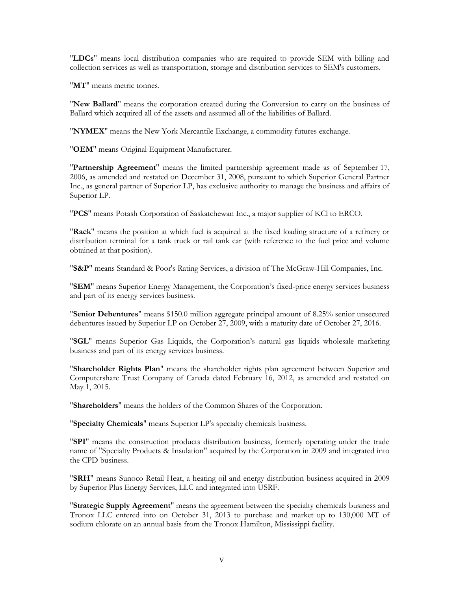"**LDCs**" means local distribution companies who are required to provide SEM with billing and collection services as well as transportation, storage and distribution services to SEM's customers.

"**MT**" means metric tonnes.

"**New Ballard**" means the corporation created during the Conversion to carry on the business of Ballard which acquired all of the assets and assumed all of the liabilities of Ballard.

"**NYMEX**" means the New York Mercantile Exchange, a commodity futures exchange.

"**OEM**" means Original Equipment Manufacturer.

"**Partnership Agreement**" means the limited partnership agreement made as of September 17, 2006, as amended and restated on December 31, 2008, pursuant to which Superior General Partner Inc., as general partner of Superior LP, has exclusive authority to manage the business and affairs of Superior LP.

"**PCS**" means Potash Corporation of Saskatchewan Inc., a major supplier of KCl to ERCO.

"**Rack**" means the position at which fuel is acquired at the fixed loading structure of a refinery or distribution terminal for a tank truck or rail tank car (with reference to the fuel price and volume obtained at that position).

"**S&P**" means Standard & Poor's Rating Services, a division of The McGraw-Hill Companies, Inc.

"**SEM**" means Superior Energy Management, the Corporation's fixed-price energy services business and part of its energy services business.

"**Senior Debentures**" means \$150.0 million aggregate principal amount of 8.25% senior unsecured debentures issued by Superior LP on October 27, 2009, with a maturity date of October 27, 2016.

"**SGL**" means Superior Gas Liquids, the Corporation's natural gas liquids wholesale marketing business and part of its energy services business.

"**Shareholder Rights Plan**" means the shareholder rights plan agreement between Superior and Computershare Trust Company of Canada dated February 16, 2012, as amended and restated on May 1, 2015.

"**Shareholders**" means the holders of the Common Shares of the Corporation.

"**Specialty Chemicals**" means Superior LP's specialty chemicals business.

"**SPI**" means the construction products distribution business, formerly operating under the trade name of "Specialty Products & Insulation" acquired by the Corporation in 2009 and integrated into the CPD business.

"**SRH**" means Sunoco Retail Heat, a heating oil and energy distribution business acquired in 2009 by Superior Plus Energy Services, LLC and integrated into USRF.

"**Strategic Supply Agreement**" means the agreement between the specialty chemicals business and Tronox LLC entered into on October 31, 2013 to purchase and market up to 130,000 MT of sodium chlorate on an annual basis from the Tronox Hamilton, Mississippi facility.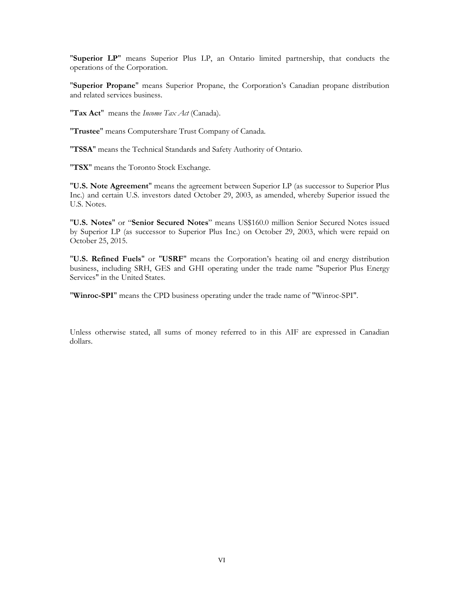"**Superior LP**" means Superior Plus LP, an Ontario limited partnership, that conducts the operations of the Corporation.

"**Superior Propane**" means Superior Propane, the Corporation's Canadian propane distribution and related services business.

"**Tax Act**" means the *Income Tax Act* (Canada).

"**Trustee**" means Computershare Trust Company of Canada.

"**TSSA**" means the Technical Standards and Safety Authority of Ontario.

"**TSX**" means the Toronto Stock Exchange.

"**U.S. Note Agreement**" means the agreement between Superior LP (as successor to Superior Plus Inc.) and certain U.S. investors dated October 29, 2003, as amended, whereby Superior issued the U.S. Notes.

"**U.S. Notes**" or "**Senior Secured Notes**" means US\$160.0 million Senior Secured Notes issued by Superior LP (as successor to Superior Plus Inc.) on October 29, 2003, which were repaid on October 25, 2015.

"**U.S. Refined Fuels**" or "**USRF**" means the Corporation's heating oil and energy distribution business, including SRH, GES and GHI operating under the trade name "Superior Plus Energy Services" in the United States.

"**Winroc-SPI**" means the CPD business operating under the trade name of "Winroc-SPI".

Unless otherwise stated, all sums of money referred to in this AIF are expressed in Canadian dollars.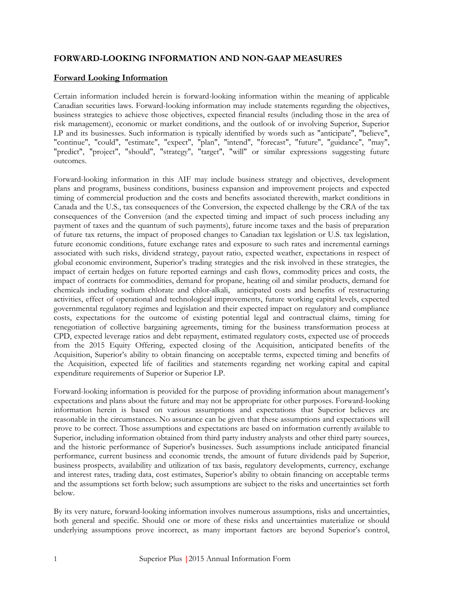# <span id="page-7-0"></span>**FORWARD-LOOKING INFORMATION AND NON-GAAP MEASURES**

# <span id="page-7-1"></span>**Forward Looking Information**

Certain information included herein is forward-looking information within the meaning of applicable Canadian securities laws. Forward-looking information may include statements regarding the objectives, business strategies to achieve those objectives, expected financial results (including those in the area of risk management), economic or market conditions, and the outlook of or involving Superior, Superior LP and its businesses. Such information is typically identified by words such as "anticipate", "believe", "continue", "could", "estimate", "expect", "plan", "intend", "forecast", "future", "guidance", "may", "predict", "project", "should", "strategy", "target", "will" or similar expressions suggesting future outcomes.

Forward-looking information in this AIF may include business strategy and objectives, development plans and programs, business conditions, business expansion and improvement projects and expected timing of commercial production and the costs and benefits associated therewith, market conditions in Canada and the U.S., tax consequences of the Conversion, the expected challenge by the CRA of the tax consequences of the Conversion (and the expected timing and impact of such process including any payment of taxes and the quantum of such payments), future income taxes and the basis of preparation of future tax returns, the impact of proposed changes to Canadian tax legislation or U.S. tax legislation, future economic conditions, future exchange rates and exposure to such rates and incremental earnings associated with such risks, dividend strategy, payout ratio, expected weather, expectations in respect of global economic environment, Superior's trading strategies and the risk involved in these strategies, the impact of certain hedges on future reported earnings and cash flows, commodity prices and costs, the impact of contracts for commodities, demand for propane, heating oil and similar products, demand for chemicals including sodium chlorate and chlor-alkali, anticipated costs and benefits of restructuring activities, effect of operational and technological improvements, future working capital levels, expected governmental regulatory regimes and legislation and their expected impact on regulatory and compliance costs, expectations for the outcome of existing potential legal and contractual claims, timing for renegotiation of collective bargaining agreements, timing for the business transformation process at CPD, expected leverage ratios and debt repayment, estimated regulatory costs, expected use of proceeds from the 2015 Equity Offering, expected closing of the Acquisition, anticipated benefits of the Acquisition, Superior's ability to obtain financing on acceptable terms, expected timing and benefits of the Acquisition, expected life of facilities and statements regarding net working capital and capital expenditure requirements of Superior or Superior LP.

Forward-looking information is provided for the purpose of providing information about management's expectations and plans about the future and may not be appropriate for other purposes. Forward-looking information herein is based on various assumptions and expectations that Superior believes are reasonable in the circumstances. No assurance can be given that these assumptions and expectations will prove to be correct. Those assumptions and expectations are based on information currently available to Superior, including information obtained from third party industry analysts and other third party sources, and the historic performance of Superior's businesses. Such assumptions include anticipated financial performance, current business and economic trends, the amount of future dividends paid by Superior, business prospects, availability and utilization of tax basis, regulatory developments, currency, exchange and interest rates, trading data, cost estimates, Superior's ability to obtain financing on acceptable terms and the assumptions set forth below; such assumptions are subject to the risks and uncertainties set forth below.

By its very nature, forward-looking information involves numerous assumptions, risks and uncertainties, both general and specific. Should one or more of these risks and uncertainties materialize or should underlying assumptions prove incorrect, as many important factors are beyond Superior's control,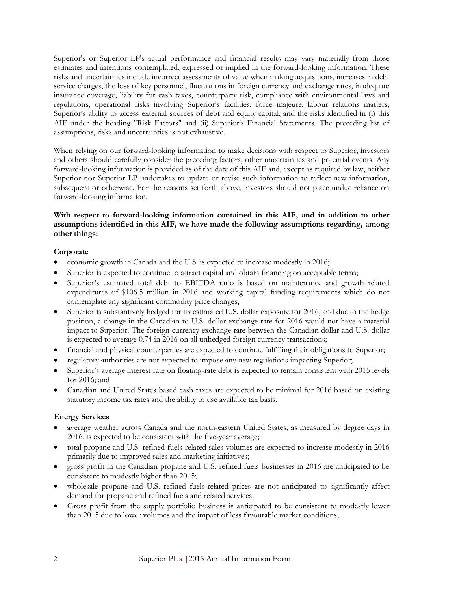Superior's or Superior LP's actual performance and financial results may vary materially from those estimates and intentions contemplated, expressed or implied in the forward-looking information. These risks and uncertainties include incorrect assessments of value when making acquisitions, increases in debt service charges, the loss of key personnel, fluctuations in foreign currency and exchange rates, inadequate insurance coverage, liability for cash taxes, counterparty risk, compliance with environmental laws and regulations, operational risks involving Superior's facilities, force majeure, labour relations matters, Superior's ability to access external sources of debt and equity capital, and the risks identified in (i) this AIF under the heading "Risk Factors" and (ii) Superior's Financial Statements. The preceding list of assumptions, risks and uncertainties is not exhaustive.

When relying on our forward-looking information to make decisions with respect to Superior, investors and others should carefully consider the preceding factors, other uncertainties and potential events. Any forward-looking information is provided as of the date of this AIF and, except as required by law, neither Superior nor Superior LP undertakes to update or revise such information to reflect new information, subsequent or otherwise. For the reasons set forth above, investors should not place undue reliance on forward-looking information.

#### **With respect to forward-looking information contained in this AIF, and in addition to other assumptions identified in this AIF, we have made the following assumptions regarding, among other things:**

#### <span id="page-8-0"></span>**Corporate**

- economic growth in Canada and the U.S. is expected to increase modestly in 2016;
- Superior is expected to continue to attract capital and obtain financing on acceptable terms;
- Superior's estimated total debt to EBITDA ratio is based on maintenance and growth related expenditures of \$106.5 million in 2016 and working capital funding requirements which do not contemplate any significant commodity price changes;
- Superior is substantively hedged for its estimated U.S. dollar exposure for 2016, and due to the hedge position, a change in the Canadian to U.S. dollar exchange rate for 2016 would not have a material impact to Superior. The foreign currency exchange rate between the Canadian dollar and U.S. dollar is expected to average 0.74 in 2016 on all unhedged foreign currency transactions;
- financial and physical counterparties are expected to continue fulfilling their obligations to Superior;
- regulatory authorities are not expected to impose any new regulations impacting Superior;
- Superior's average interest rate on floating-rate debt is expected to remain consistent with 2015 levels for 2016; and
- Canadian and United States based cash taxes are expected to be minimal for 2016 based on existing statutory income tax rates and the ability to use available tax basis.

# <span id="page-8-1"></span>**Energy Services**

- average weather across Canada and the north-eastern United States, as measured by degree days in 2016, is expected to be consistent with the five-year average;
- total propane and U.S. refined fuels-related sales volumes are expected to increase modestly in 2016 primarily due to improved sales and marketing initiatives;
- gross profit in the Canadian propane and U.S. refined fuels businesses in 2016 are anticipated to be consistent to modestly higher than 2015;
- wholesale propane and U.S. refined fuels-related prices are not anticipated to significantly affect demand for propane and refined fuels and related services;
- Gross profit from the supply portfolio business is anticipated to be consistent to modestly lower than 2015 due to lower volumes and the impact of less favourable market conditions;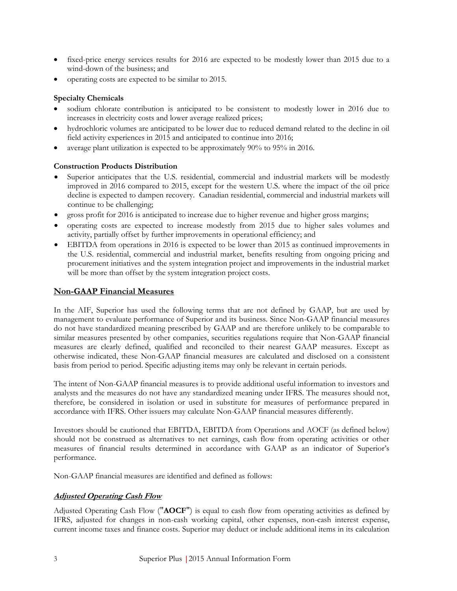- fixed-price energy services results for 2016 are expected to be modestly lower than 2015 due to a wind-down of the business; and
- operating costs are expected to be similar to 2015.

#### <span id="page-9-0"></span>**Specialty Chemicals**

- sodium chlorate contribution is anticipated to be consistent to modestly lower in 2016 due to increases in electricity costs and lower average realized prices;
- hydrochloric volumes are anticipated to be lower due to reduced demand related to the decline in oil field activity experiences in 2015 and anticipated to continue into 2016;
- average plant utilization is expected to be approximately 90% to 95% in 2016.

#### <span id="page-9-1"></span>**Construction Products Distribution**

- Superior anticipates that the U.S. residential, commercial and industrial markets will be modestly improved in 2016 compared to 2015, except for the western U.S. where the impact of the oil price decline is expected to dampen recovery. Canadian residential, commercial and industrial markets will continue to be challenging;
- gross profit for 2016 is anticipated to increase due to higher revenue and higher gross margins;
- operating costs are expected to increase modestly from 2015 due to higher sales volumes and activity, partially offset by further improvements in operational efficiency; and
- EBITDA from operations in 2016 is expected to be lower than 2015 as continued improvements in the U.S. residential, commercial and industrial market, benefits resulting from ongoing pricing and procurement initiatives and the system integration project and improvements in the industrial market will be more than offset by the system integration project costs.

#### <span id="page-9-2"></span>**Non-GAAP Financial Measures**

In the AIF, Superior has used the following terms that are not defined by GAAP, but are used by management to evaluate performance of Superior and its business. Since Non-GAAP financial measures do not have standardized meaning prescribed by GAAP and are therefore unlikely to be comparable to similar measures presented by other companies, securities regulations require that Non-GAAP financial measures are clearly defined, qualified and reconciled to their nearest GAAP measures. Except as otherwise indicated, these Non-GAAP financial measures are calculated and disclosed on a consistent basis from period to period. Specific adjusting items may only be relevant in certain periods.

The intent of Non-GAAP financial measures is to provide additional useful information to investors and analysts and the measures do not have any standardized meaning under IFRS. The measures should not, therefore, be considered in isolation or used in substitute for measures of performance prepared in accordance with IFRS. Other issuers may calculate Non-GAAP financial measures differently.

Investors should be cautioned that EBITDA, EBITDA from Operations and AOCF (as defined below) should not be construed as alternatives to net earnings, cash flow from operating activities or other measures of financial results determined in accordance with GAAP as an indicator of Superior's performance.

Non-GAAP financial measures are identified and defined as follows:

#### **Adjusted Operating Cash Flow**

Adjusted Operating Cash Flow ("**AOCF**") is equal to cash flow from operating activities as defined by IFRS, adjusted for changes in non-cash working capital, other expenses, non-cash interest expense, current income taxes and finance costs. Superior may deduct or include additional items in its calculation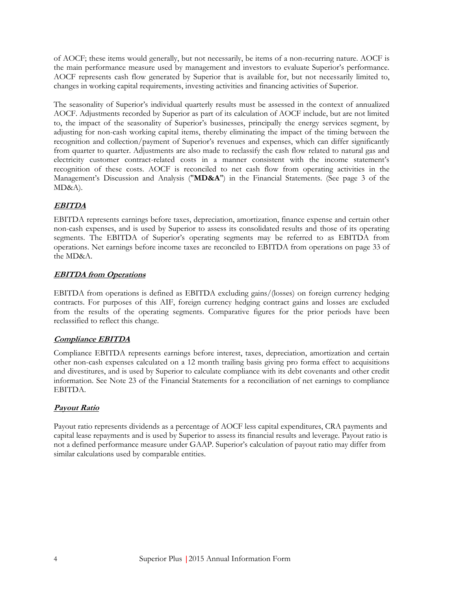of AOCF; these items would generally, but not necessarily, be items of a non-recurring nature. AOCF is the main performance measure used by management and investors to evaluate Superior's performance. AOCF represents cash flow generated by Superior that is available for, but not necessarily limited to, changes in working capital requirements, investing activities and financing activities of Superior.

The seasonality of Superior's individual quarterly results must be assessed in the context of annualized AOCF. Adjustments recorded by Superior as part of its calculation of AOCF include, but are not limited to, the impact of the seasonality of Superior's businesses, principally the energy services segment, by adjusting for non-cash working capital items, thereby eliminating the impact of the timing between the recognition and collection/payment of Superior's revenues and expenses, which can differ significantly from quarter to quarter. Adjustments are also made to reclassify the cash flow related to natural gas and electricity customer contract-related costs in a manner consistent with the income statement's recognition of these costs. AOCF is reconciled to net cash flow from operating activities in the Management's Discussion and Analysis ("**MD&A**") in the Financial Statements. (See page 3 of the MD&A).

# **EBITDA**

EBITDA represents earnings before taxes, depreciation, amortization, finance expense and certain other non-cash expenses, and is used by Superior to assess its consolidated results and those of its operating segments. The EBITDA of Superior's operating segments may be referred to as EBITDA from operations. Net earnings before income taxes are reconciled to EBITDA from operations on page 33 of the MD&A.

# **EBITDA from Operations**

EBITDA from operations is defined as EBITDA excluding gains/(losses) on foreign currency hedging contracts. For purposes of this AIF, foreign currency hedging contract gains and losses are excluded from the results of the operating segments. Comparative figures for the prior periods have been reclassified to reflect this change.

#### **Compliance EBITDA**

Compliance EBITDA represents earnings before interest, taxes, depreciation, amortization and certain other non-cash expenses calculated on a 12 month trailing basis giving pro forma effect to acquisitions and divestitures, and is used by Superior to calculate compliance with its debt covenants and other credit information. See Note 23 of the Financial Statements for a reconciliation of net earnings to compliance EBITDA.

# **Payout Ratio**

Payout ratio represents dividends as a percentage of AOCF less capital expenditures, CRA payments and capital lease repayments and is used by Superior to assess its financial results and leverage. Payout ratio is not a defined performance measure under GAAP. Superior's calculation of payout ratio may differ from similar calculations used by comparable entities.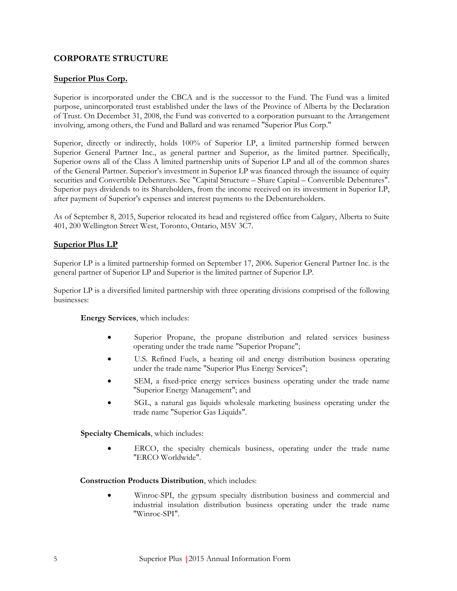# **CORPORATE STRUCTURE**

#### <span id="page-11-0"></span>**Superior Plus Corp.**

Superior is incorporated under the CBCA and is the successor to the Fund. The Fund was a limited purpose, unincorporated trust established under the laws of the Province of Alberta by the Declaration of Trust. On December 31, 2008, the Fund was converted to a corporation pursuant to the Arrangement involving, among others, the Fund and Ballard and was renamed "Superior Plus Corp."

Superior, directly or indirectly, holds 100% of Superior LP, a limited partnership formed between Superior General Partner Inc., as general partner and Superior, as the limited partner. Specifically, Superior owns all of the Class A limited partnership units of Superior LP and all of the common shares of the General Partner. Superior's investment in Superior LP was financed through the issuance of equity securities and Convertible Debentures. See "Capital Structure – Share Capital – Convertible Debentures". Superior pays dividends to its Shareholders, from the income received on its investment in Superior LP, after payment of Superior's expenses and interest payments to the Debentureholders.

As of September 8, 2015, Superior relocated its head and registered office from Calgary, Alberta to Suite 401, 200 Wellington Street West, Toronto, Ontario, M5V 3C7.

#### <span id="page-11-1"></span>**Superior Plus LP**

Superior LP is a limited partnership formed on September 17, 2006. Superior General Partner Inc. is the general partner of Superior LP and Superior is the limited partner of Superior LP.

Superior LP is a diversified limited partnership with three operating divisions comprised of the following businesses:

#### **Energy Services**, which includes:

- Superior Propane, the propane distribution and related services business operating under the trade name "Superior Propane";
- U.S. Refined Fuels, a heating oil and energy distribution business operating under the trade name "Superior Plus Energy Services";
- SEM, a fixed-price energy services business operating under the trade name "Superior Energy Management"; and
- SGL, a natural gas liquids wholesale marketing business operating under the trade name "Superior Gas Liquids".

**Specialty Chemicals**, which includes:

 ERCO, the specialty chemicals business, operating under the trade name "ERCO Worldwide".

**Construction Products Distribution**, which includes:

 Winroc-SPI, the gypsum specialty distribution business and commercial and industrial insulation distribution business operating under the trade name "Winroc-SPI".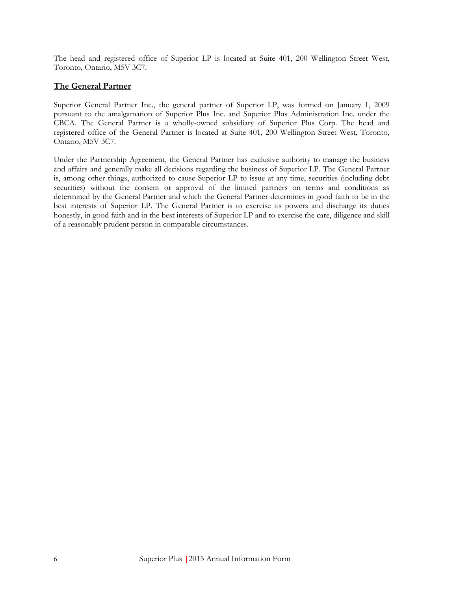The head and registered office of Superior LP is located at Suite 401, 200 Wellington Street West, Toronto, Ontario, M5V 3C7.

## <span id="page-12-0"></span>**The General Partner**

Superior General Partner Inc., the general partner of Superior LP, was formed on January 1, 2009 pursuant to the amalgamation of Superior Plus Inc. and Superior Plus Administration Inc. under the CBCA. The General Partner is a wholly-owned subsidiary of Superior Plus Corp. The head and registered office of the General Partner is located at Suite 401, 200 Wellington Street West, Toronto, Ontario, M5V 3C7.

Under the Partnership Agreement, the General Partner has exclusive authority to manage the business and affairs and generally make all decisions regarding the business of Superior LP. The General Partner is, among other things, authorized to cause Superior LP to issue at any time, securities (including debt securities) without the consent or approval of the limited partners on terms and conditions as determined by the General Partner and which the General Partner determines in good faith to be in the best interests of Superior LP. The General Partner is to exercise its powers and discharge its duties honestly, in good faith and in the best interests of Superior LP and to exercise the care, diligence and skill of a reasonably prudent person in comparable circumstances.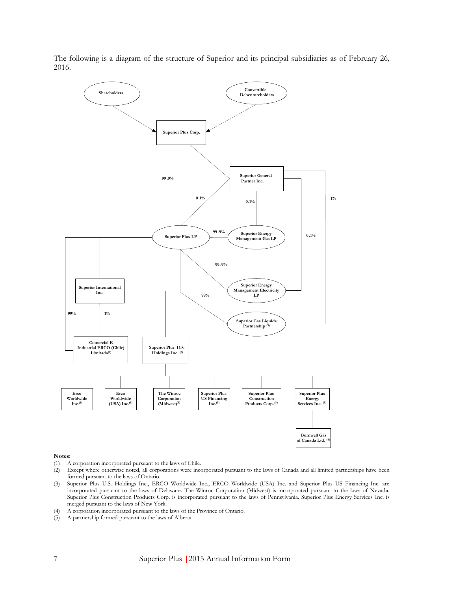The following is a diagram of the structure of Superior and its principal subsidiaries as of February 26, 2016.



#### **Notes:**

- (1) A corporation incorporated pursuant to the laws of Chile.
- (2) Except where otherwise noted, all corporations were incorporated pursuant to the laws of Canada and all limited partnerships have been formed pursuant to the laws of Ontario.
- (3) Superior Plus U.S. Holdings Inc., ERCO Worldwide Inc., ERCO Worldwide (USA) Inc. and Superior Plus US Financing Inc. are incorporated pursuant to the laws of Delaware. The Winroc Corporation (Midwest) is incorporated pursuant to the laws of Nevada. Superior Plus Construction Products Corp. is incorporated pursuant to the laws of Pennsylvania. Superior Plus Energy Services Inc. is merged pursuant to the laws of New York.
- (4) A corporation incorporated pursuant to the laws of the Province of Ontario.
- (5) A partnership formed pursuant to the laws of Alberta.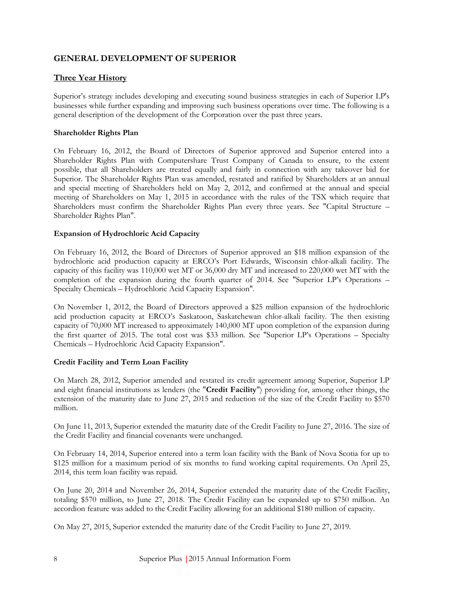# <span id="page-14-0"></span>**GENERAL DEVELOPMENT OF SUPERIOR**

# <span id="page-14-1"></span>**Three Year History**

Superior's strategy includes developing and executing sound business strategies in each of Superior LP's businesses while further expanding and improving such business operations over time. The following is a general description of the development of the Corporation over the past three years.

#### **Shareholder Rights Plan**

On February 16, 2012, the Board of Directors of Superior approved and Superior entered into a Shareholder Rights Plan with Computershare Trust Company of Canada to ensure, to the extent possible, that all Shareholders are treated equally and fairly in connection with any takeover bid for Superior. The Shareholder Rights Plan was amended, restated and ratified by Shareholders at an annual and special meeting of Shareholders held on May 2, 2012, and confirmed at the annual and special meeting of Shareholders on May 1, 2015 in accordance with the rules of the TSX which require that Shareholders must confirm the Shareholder Rights Plan every three years. See "Capital Structure – Shareholder Rights Plan".

#### **Expansion of Hydrochloric Acid Capacity**

On February 16, 2012, the Board of Directors of Superior approved an \$18 million expansion of the hydrochloric acid production capacity at ERCO's Port Edwards, Wisconsin chlor-alkali facility. The capacity of this facility was 110,000 wet MT or 36,000 dry MT and increased to 220,000 wet MT with the completion of the expansion during the fourth quarter of 2014. See "Superior LP's Operations – Specialty Chemicals – Hydrochloric Acid Capacity Expansion".

On November 1, 2012, the Board of Directors approved a \$25 million expansion of the hydrochloric acid production capacity at ERCO's Saskatoon, Saskatchewan chlor-alkali facility. The then existing capacity of 70,000 MT increased to approximately 140,000 MT upon completion of the expansion during the first quarter of 2015. The total cost was \$33 million. See "Superior LP's Operations – Specialty Chemicals – Hydrochloric Acid Capacity Expansion".

#### **Credit Facility and Term Loan Facility**

On March 28, 2012, Superior amended and restated its credit agreement among Superior, Superior LP and eight financial institutions as lenders (the "**Credit Facility**") providing for, among other things, the extension of the maturity date to June 27, 2015 and reduction of the size of the Credit Facility to \$570 million.

On June 11, 2013, Superior extended the maturity date of the Credit Facility to June 27, 2016. The size of the Credit Facility and financial covenants were unchanged.

On February 14, 2014, Superior entered into a term loan facility with the Bank of Nova Scotia for up to \$125 million for a maximum period of six months to fund working capital requirements. On April 25, 2014, this term loan facility was repaid.

On June 20, 2014 and November 26, 2014, Superior extended the maturity date of the Credit Facility, totaling \$570 million, to June 27, 2018. The Credit Facility can be expanded up to \$750 million. An accordion feature was added to the Credit Facility allowing for an additional \$180 million of capacity.

On May 27, 2015, Superior extended the maturity date of the Credit Facility to June 27, 2019.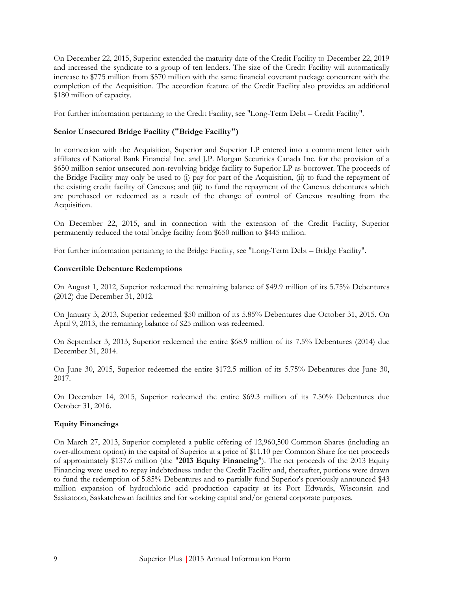On December 22, 2015, Superior extended the maturity date of the Credit Facility to December 22, 2019 and increased the syndicate to a group of ten lenders. The size of the Credit Facility will automatically increase to \$775 million from \$570 million with the same financial covenant package concurrent with the completion of the Acquisition. The accordion feature of the Credit Facility also provides an additional \$180 million of capacity.

For further information pertaining to the Credit Facility, see "Long-Term Debt – Credit Facility".

## **Senior Unsecured Bridge Facility ("Bridge Facility")**

In connection with the Acquisition, Superior and Superior LP entered into a commitment letter with affiliates of National Bank Financial Inc. and J.P. Morgan Securities Canada Inc. for the provision of a \$650 million senior unsecured non-revolving bridge facility to Superior LP as borrower. The proceeds of the Bridge Facility may only be used to (i) pay for part of the Acquisition, (ii) to fund the repayment of the existing credit facility of Canexus; and (iii) to fund the repayment of the Canexus debentures which are purchased or redeemed as a result of the change of control of Canexus resulting from the Acquisition.

On December 22, 2015, and in connection with the extension of the Credit Facility, Superior permanently reduced the total bridge facility from \$650 million to \$445 million.

For further information pertaining to the Bridge Facility, see "Long-Term Debt – Bridge Facility".

#### **Convertible Debenture Redemptions**

On August 1, 2012, Superior redeemed the remaining balance of \$49.9 million of its 5.75% Debentures (2012) due December 31, 2012.

On January 3, 2013, Superior redeemed \$50 million of its 5.85% Debentures due October 31, 2015. On April 9, 2013, the remaining balance of \$25 million was redeemed.

On September 3, 2013, Superior redeemed the entire \$68.9 million of its 7.5% Debentures (2014) due December 31, 2014.

On June 30, 2015, Superior redeemed the entire \$172.5 million of its 5.75% Debentures due June 30, 2017.

On December 14, 2015, Superior redeemed the entire \$69.3 million of its 7.50% Debentures due October 31, 2016.

#### **Equity Financings**

On March 27, 2013, Superior completed a public offering of 12,960,500 Common Shares (including an over-allotment option) in the capital of Superior at a price of \$11.10 per Common Share for net proceeds of approximately \$137.6 million (the "**2013 Equity Financing**"). The net proceeds of the 2013 Equity Financing were used to repay indebtedness under the Credit Facility and, thereafter, portions were drawn to fund the redemption of 5.85% Debentures and to partially fund Superior's previously announced \$43 million expansion of hydrochloric acid production capacity at its Port Edwards, Wisconsin and Saskatoon, Saskatchewan facilities and for working capital and/or general corporate purposes.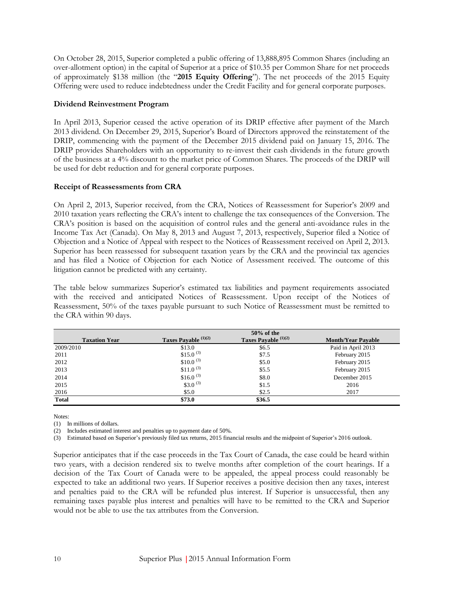On October 28, 2015, Superior completed a public offering of 13,888,895 Common Shares (including an over-allotment option) in the capital of Superior at a price of \$10.35 per Common Share for net proceeds of approximately \$138 million (the "**2015 Equity Offering**"). The net proceeds of the 2015 Equity Offering were used to reduce indebtedness under the Credit Facility and for general corporate purposes.

#### **Dividend Reinvestment Program**

In April 2013, Superior ceased the active operation of its DRIP effective after payment of the March 2013 dividend. On December 29, 2015, Superior's Board of Directors approved the reinstatement of the DRIP, commencing with the payment of the December 2015 dividend paid on January 15, 2016. The DRIP provides Shareholders with an opportunity to re-invest their cash dividends in the future growth of the business at a 4% discount to the market price of Common Shares. The proceeds of the DRIP will be used for debt reduction and for general corporate purposes.

#### **Receipt of Reassessments from CRA**

On April 2, 2013, Superior received, from the CRA, Notices of Reassessment for Superior's 2009 and 2010 taxation years reflecting the CRA's intent to challenge the tax consequences of the Conversion. The CRA's position is based on the acquisition of control rules and the general anti-avoidance rules in the Income Tax Act (Canada). On May 8, 2013 and August 7, 2013, respectively, Superior filed a Notice of Objection and a Notice of Appeal with respect to the Notices of Reassessment received on April 2, 2013. Superior has been reassessed for subsequent taxation years by the CRA and the provincial tax agencies and has filed a Notice of Objection for each Notice of Assessment received. The outcome of this litigation cannot be predicted with any certainty.

The table below summarizes Superior's estimated tax liabilities and payment requirements associated with the received and anticipated Notices of Reassessment. Upon receipt of the Notices of Reassessment, 50% of the taxes payable pursuant to such Notice of Reassessment must be remitted to the CRA within 90 days.

|                      |                       | $50\%$ of the        |                           |
|----------------------|-----------------------|----------------------|---------------------------|
| <b>Taxation Year</b> | Taxes Payable (1)(2)  | Taxes Payable (1)(2) | <b>Month/Year Payable</b> |
| 2009/2010            | \$13.0                | \$6.5                | Paid in April 2013        |
| 2011                 | \$15.0 <sup>(3)</sup> | \$7.5                | February 2015             |
| 2012                 | $$10.0^{(3)}$         | \$5.0                | February 2015             |
| 2013                 | \$11.0 <sup>(3)</sup> | \$5.5                | February 2015             |
| 2014                 | \$16.0 <sup>(3)</sup> | \$8.0                | December 2015             |
| 2015                 | \$3.0 $(3)$           | \$1.5                | 2016                      |
| 2016                 | \$5.0\$               | \$2.5                | 2017                      |
| <b>Total</b>         | \$73.0                | \$36.5               |                           |

Notes:

(1) In millions of dollars.

(2) Includes estimated interest and penalties up to payment date of 50%.

(3) Estimated based on Superior's previously filed tax returns, 2015 financial results and the midpoint of Superior's 2016 outlook.

Superior anticipates that if the case proceeds in the Tax Court of Canada, the case could be heard within two years, with a decision rendered six to twelve months after completion of the court hearings. If a decision of the Tax Court of Canada were to be appealed, the appeal process could reasonably be expected to take an additional two years. If Superior receives a positive decision then any taxes, interest and penalties paid to the CRA will be refunded plus interest. If Superior is unsuccessful, then any remaining taxes payable plus interest and penalties will have to be remitted to the CRA and Superior would not be able to use the tax attributes from the Conversion.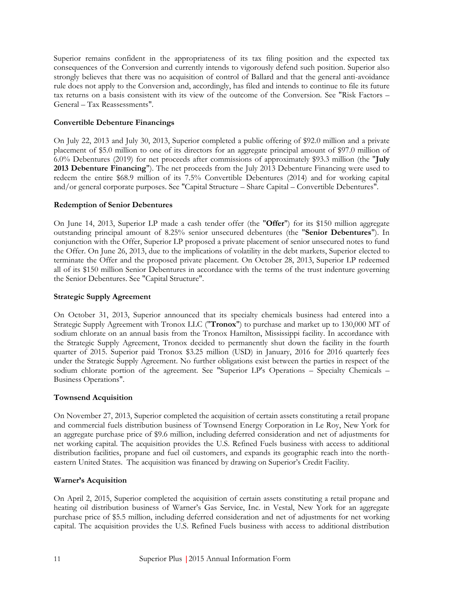Superior remains confident in the appropriateness of its tax filing position and the expected tax consequences of the Conversion and currently intends to vigorously defend such position. Superior also strongly believes that there was no acquisition of control of Ballard and that the general anti-avoidance rule does not apply to the Conversion and, accordingly, has filed and intends to continue to file its future tax returns on a basis consistent with its view of the outcome of the Conversion. See "Risk Factors – General – Tax Reassessments".

#### **Convertible Debenture Financings**

On July 22, 2013 and July 30, 2013, Superior completed a public offering of \$92.0 million and a private placement of \$5.0 million to one of its directors for an aggregate principal amount of \$97.0 million of 6.0% Debentures (2019) for net proceeds after commissions of approximately \$93.3 million (the "**July 2013 Debenture Financing**"). The net proceeds from the July 2013 Debenture Financing were used to redeem the entire \$68.9 million of its 7.5% Convertible Debentures (2014) and for working capital and/or general corporate purposes. See "Capital Structure – Share Capital – Convertible Debentures".

#### **Redemption of Senior Debentures**

On June 14, 2013, Superior LP made a cash tender offer (the "**Offer**") for its \$150 million aggregate outstanding principal amount of 8.25% senior unsecured debentures (the "**Senior Debentures**"). In conjunction with the Offer, Superior LP proposed a private placement of senior unsecured notes to fund the Offer. On June 26, 2013, due to the implications of volatility in the debt markets, Superior elected to terminate the Offer and the proposed private placement. On October 28, 2013, Superior LP redeemed all of its \$150 million Senior Debentures in accordance with the terms of the trust indenture governing the Senior Debentures. See "Capital Structure".

#### **Strategic Supply Agreement**

On October 31, 2013, Superior announced that its specialty chemicals business had entered into a Strategic Supply Agreement with Tronox LLC ("**Tronox**") to purchase and market up to 130,000 MT of sodium chlorate on an annual basis from the Tronox Hamilton, Mississippi facility. In accordance with the Strategic Supply Agreement, Tronox decided to permanently shut down the facility in the fourth quarter of 2015. Superior paid Tronox \$3.25 million (USD) in January, 2016 for 2016 quarterly fees under the Strategic Supply Agreement. No further obligations exist between the parties in respect of the sodium chlorate portion of the agreement. See "Superior LP's Operations – Specialty Chemicals – Business Operations".

#### **Townsend Acquisition**

On November 27, 2013, Superior completed the acquisition of certain assets constituting a retail propane and commercial fuels distribution business of Townsend Energy Corporation in Le Roy, New York for an aggregate purchase price of \$9.6 million, including deferred consideration and net of adjustments for net working capital. The acquisition provides the U.S. Refined Fuels business with access to additional distribution facilities, propane and fuel oil customers, and expands its geographic reach into the northeastern United States. The acquisition was financed by drawing on Superior's Credit Facility.

#### **Warner's Acquisition**

On April 2, 2015, Superior completed the acquisition of certain assets constituting a retail propane and heating oil distribution business of Warner's Gas Service, Inc. in Vestal, New York for an aggregate purchase price of \$5.5 million, including deferred consideration and net of adjustments for net working capital. The acquisition provides the U.S. Refined Fuels business with access to additional distribution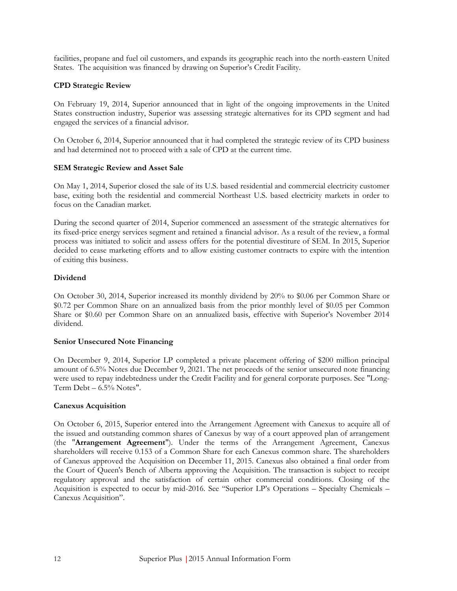facilities, propane and fuel oil customers, and expands its geographic reach into the north-eastern United States. The acquisition was financed by drawing on Superior's Credit Facility.

#### **CPD Strategic Review**

On February 19, 2014, Superior announced that in light of the ongoing improvements in the United States construction industry, Superior was assessing strategic alternatives for its CPD segment and had engaged the services of a financial advisor.

On October 6, 2014, Superior announced that it had completed the strategic review of its CPD business and had determined not to proceed with a sale of CPD at the current time.

#### **SEM Strategic Review and Asset Sale**

On May 1, 2014, Superior closed the sale of its U.S. based residential and commercial electricity customer base, exiting both the residential and commercial Northeast U.S. based electricity markets in order to focus on the Canadian market.

During the second quarter of 2014, Superior commenced an assessment of the strategic alternatives for its fixed-price energy services segment and retained a financial advisor. As a result of the review, a formal process was initiated to solicit and assess offers for the potential divestiture of SEM. In 2015, Superior decided to cease marketing efforts and to allow existing customer contracts to expire with the intention of exiting this business.

#### **Dividend**

On October 30, 2014, Superior increased its monthly dividend by 20% to \$0.06 per Common Share or \$0.72 per Common Share on an annualized basis from the prior monthly level of \$0.05 per Common Share or \$0.60 per Common Share on an annualized basis, effective with Superior's November 2014 dividend.

#### **Senior Unsecured Note Financing**

On December 9, 2014, Superior LP completed a private placement offering of \$200 million principal amount of 6.5% Notes due December 9, 2021. The net proceeds of the senior unsecured note financing were used to repay indebtedness under the Credit Facility and for general corporate purposes. See "Long-Term  $Debt - 6.5\%$  Notes".

#### **Canexus Acquisition**

On October 6, 2015, Superior entered into the Arrangement Agreement with Canexus to acquire all of the issued and outstanding common shares of Canexus by way of a court approved plan of arrangement (the "**Arrangement Agreement**"). Under the terms of the Arrangement Agreement, Canexus shareholders will receive 0.153 of a Common Share for each Canexus common share. The shareholders of Canexus approved the Acquisition on December 11, 2015. Canexus also obtained a final order from the Court of Queen's Bench of Alberta approving the Acquisition. The transaction is subject to receipt regulatory approval and the satisfaction of certain other commercial conditions. Closing of the Acquisition is expected to occur by mid-2016. See "Superior LP's Operations – Specialty Chemicals – Canexus Acquisition".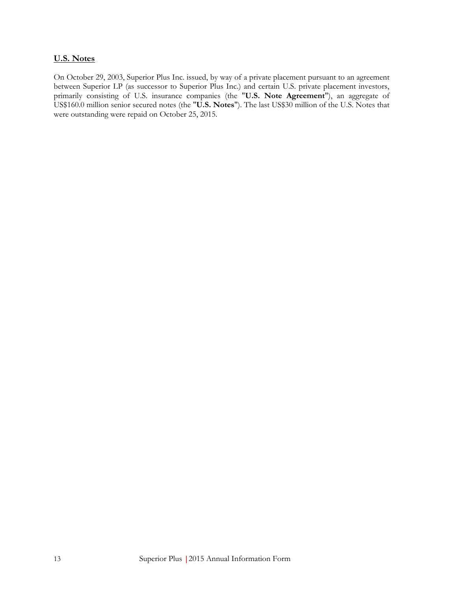# <span id="page-19-0"></span>**U.S. Notes**

On October 29, 2003, Superior Plus Inc. issued, by way of a private placement pursuant to an agreement between Superior LP (as successor to Superior Plus Inc.) and certain U.S. private placement investors, primarily consisting of U.S. insurance companies (the "**U.S. Note Agreement**"), an aggregate of US\$160.0 million senior secured notes (the "**U.S. Notes**"). The last US\$30 million of the U.S. Notes that were outstanding were repaid on October 25, 2015.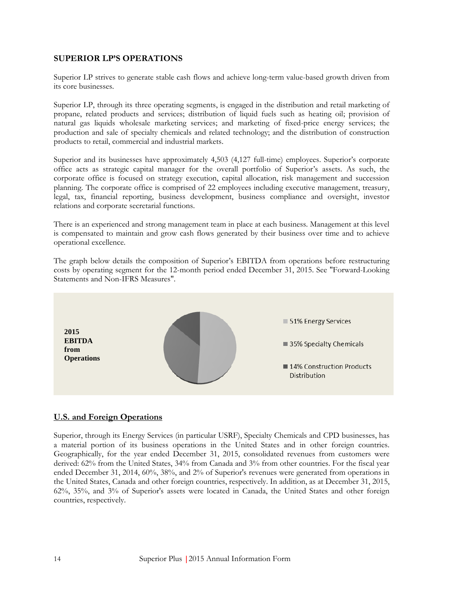# <span id="page-20-0"></span>**SUPERIOR LP'S OPERATIONS**

Superior LP strives to generate stable cash flows and achieve long-term value-based growth driven from its core businesses.

Superior LP, through its three operating segments, is engaged in the distribution and retail marketing of propane, related products and services; distribution of liquid fuels such as heating oil; provision of natural gas liquids wholesale marketing services; and marketing of fixed-price energy services; the production and sale of specialty chemicals and related technology; and the distribution of construction products to retail, commercial and industrial markets.

Superior and its businesses have approximately 4,503 (4,127 full-time) employees. Superior's corporate office acts as strategic capital manager for the overall portfolio of Superior's assets. As such, the corporate office is focused on strategy execution, capital allocation, risk management and succession planning. The corporate office is comprised of 22 employees including executive management, treasury, legal, tax, financial reporting, business development, business compliance and oversight, investor relations and corporate secretarial functions.

There is an experienced and strong management team in place at each business. Management at this level is compensated to maintain and grow cash flows generated by their business over time and to achieve operational excellence.

The graph below details the composition of Superior's EBITDA from operations before restructuring costs by operating segment for the 12-month period ended December 31, 2015. See "Forward-Looking Statements and Non-IFRS Measures".



# <span id="page-20-1"></span>**U.S. and Foreign Operations**

Superior, through its Energy Services (in particular USRF), Specialty Chemicals and CPD businesses, has a material portion of its business operations in the United States and in other foreign countries. Geographically, for the year ended December 31, 2015, consolidated revenues from customers were derived: 62% from the United States, 34% from Canada and 3% from other countries. For the fiscal year ended December 31, 2014, 60%, 38%, and 2% of Superior's revenues were generated from operations in the United States, Canada and other foreign countries, respectively. In addition, as at December 31, 2015, 62%, 35%, and 3% of Superior's assets were located in Canada, the United States and other foreign countries, respectively.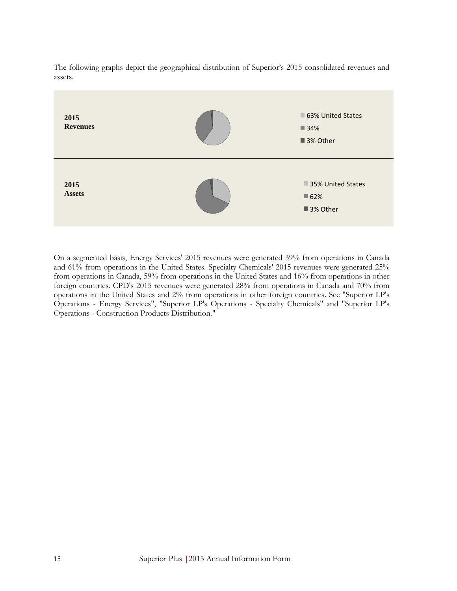The following graphs depict the geographical distribution of Superior's 2015 consolidated revenues and assets.



On a segmented basis, Energy Services' 2015 revenues were generated 39% from operations in Canada and 61% from operations in the United States. Specialty Chemicals' 2015 revenues were generated 25% from operations in Canada, 59% from operations in the United States and 16% from operations in other foreign countries. CPD's 2015 revenues were generated 28% from operations in Canada and 70% from operations in the United States and 2% from operations in other foreign countries. See "Superior LP's Operations - Energy Services", "Superior LP's Operations - Specialty Chemicals" and "Superior LP's Operations - Construction Products Distribution."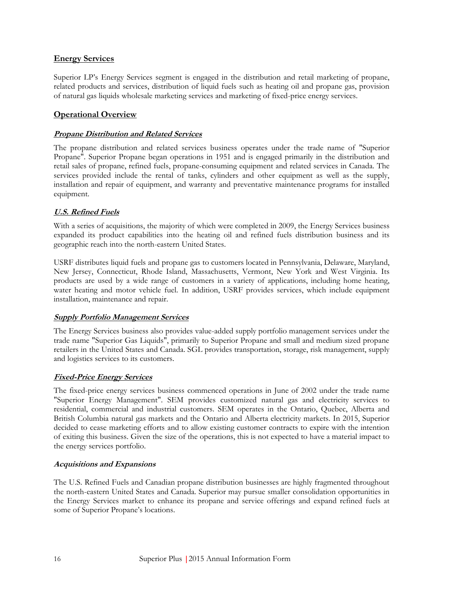# <span id="page-22-0"></span>**Energy Services**

Superior LP's Energy Services segment is engaged in the distribution and retail marketing of propane, related products and services, distribution of liquid fuels such as heating oil and propane gas, provision of natural gas liquids wholesale marketing services and marketing of fixed-price energy services.

# **Operational Overview**

## **Propane Distribution and Related Services**

The propane distribution and related services business operates under the trade name of "Superior Propane". Superior Propane began operations in 1951 and is engaged primarily in the distribution and retail sales of propane, refined fuels, propane-consuming equipment and related services in Canada. The services provided include the rental of tanks, cylinders and other equipment as well as the supply, installation and repair of equipment, and warranty and preventative maintenance programs for installed equipment.

# **U.S. Refined Fuels**

With a series of acquisitions, the majority of which were completed in 2009, the Energy Services business expanded its product capabilities into the heating oil and refined fuels distribution business and its geographic reach into the north-eastern United States.

USRF distributes liquid fuels and propane gas to customers located in Pennsylvania, Delaware, Maryland, New Jersey, Connecticut, Rhode Island, Massachusetts, Vermont, New York and West Virginia. Its products are used by a wide range of customers in a variety of applications, including home heating, water heating and motor vehicle fuel. In addition, USRF provides services, which include equipment installation, maintenance and repair.

#### **Supply Portfolio Management Services**

The Energy Services business also provides value-added supply portfolio management services under the trade name "Superior Gas Liquids", primarily to Superior Propane and small and medium sized propane retailers in the United States and Canada. SGL provides transportation, storage, risk management, supply and logistics services to its customers.

#### **Fixed-Price Energy Services**

The fixed-price energy services business commenced operations in June of 2002 under the trade name "Superior Energy Management". SEM provides customized natural gas and electricity services to residential, commercial and industrial customers. SEM operates in the Ontario, Quebec, Alberta and British Columbia natural gas markets and the Ontario and Alberta electricity markets. In 2015, Superior decided to cease marketing efforts and to allow existing customer contracts to expire with the intention of exiting this business. Given the size of the operations, this is not expected to have a material impact to the energy services portfolio.

#### **Acquisitions and Expansions**

The U.S. Refined Fuels and Canadian propane distribution businesses are highly fragmented throughout the north-eastern United States and Canada. Superior may pursue smaller consolidation opportunities in the Energy Services market to enhance its propane and service offerings and expand refined fuels at some of Superior Propane's locations.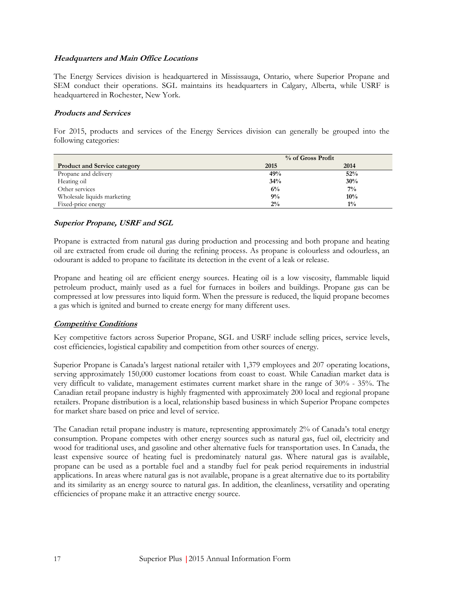#### **Headquarters and Main Office Locations**

The Energy Services division is headquartered in Mississauga, Ontario, where Superior Propane and SEM conduct their operations. SGL maintains its headquarters in Calgary, Alberta, while USRF is headquartered in Rochester, New York.

#### **Products and Services**

For 2015, products and services of the Energy Services division can generally be grouped into the following categories:

|                                     | % of Gross Profit |        |  |
|-------------------------------------|-------------------|--------|--|
| <b>Product and Service category</b> | 2015              | 2014   |  |
| Propane and delivery                | 49%               | 52%    |  |
| Heating oil                         | 34%               | 30%    |  |
| Other services                      | 6%                | $7\%$  |  |
| Wholesale liquids marketing         | 9%                | $10\%$ |  |
| Fixed-price energy                  | $2\%$             | $1\%$  |  |

#### **Superior Propane, USRF and SGL**

Propane is extracted from natural gas during production and processing and both propane and heating oil are extracted from crude oil during the refining process. As propane is colourless and odourless, an odourant is added to propane to facilitate its detection in the event of a leak or release.

Propane and heating oil are efficient energy sources. Heating oil is a low viscosity, flammable liquid petroleum product, mainly used as a fuel for furnaces in boilers and buildings. Propane gas can be compressed at low pressures into liquid form. When the pressure is reduced, the liquid propane becomes a gas which is ignited and burned to create energy for many different uses.

#### **Competitive Conditions**

Key competitive factors across Superior Propane, SGL and USRF include selling prices, service levels, cost efficiencies, logistical capability and competition from other sources of energy.

Superior Propane is Canada's largest national retailer with 1,379 employees and 207 operating locations, serving approximately 150,000 customer locations from coast to coast. While Canadian market data is very difficult to validate, management estimates current market share in the range of 30% - 35%. The Canadian retail propane industry is highly fragmented with approximately 200 local and regional propane retailers. Propane distribution is a local, relationship based business in which Superior Propane competes for market share based on price and level of service.

The Canadian retail propane industry is mature, representing approximately 2% of Canada's total energy consumption. Propane competes with other energy sources such as natural gas, fuel oil, electricity and wood for traditional uses, and gasoline and other alternative fuels for transportation uses. In Canada, the least expensive source of heating fuel is predominately natural gas. Where natural gas is available, propane can be used as a portable fuel and a standby fuel for peak period requirements in industrial applications. In areas where natural gas is not available, propane is a great alternative due to its portability and its similarity as an energy source to natural gas. In addition, the cleanliness, versatility and operating efficiencies of propane make it an attractive energy source.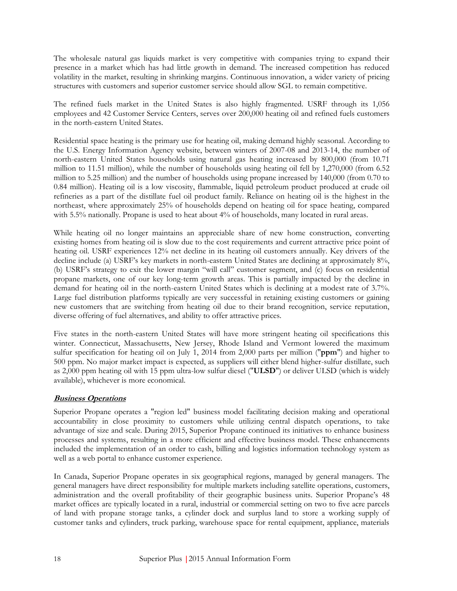The wholesale natural gas liquids market is very competitive with companies trying to expand their presence in a market which has had little growth in demand. The increased competition has reduced volatility in the market, resulting in shrinking margins. Continuous innovation, a wider variety of pricing structures with customers and superior customer service should allow SGL to remain competitive.

The refined fuels market in the United States is also highly fragmented. USRF through its 1,056 employees and 42 Customer Service Centers, serves over 200,000 heating oil and refined fuels customers in the north-eastern United States.

Residential space heating is the primary use for heating oil, making demand highly seasonal. According to the U.S. Energy Information Agency website, between winters of 2007-08 and 2013-14, the number of north-eastern United States households using natural gas heating increased by 800,000 (from 10.71 million to 11.51 million), while the number of households using heating oil fell by 1,270,000 (from 6.52 million to 5.25 million) and the number of households using propane increased by 140,000 (from 0.70 to 0.84 million). Heating oil is a low viscosity, flammable, liquid petroleum product produced at crude oil refineries as a part of the distillate fuel oil product family. Reliance on heating oil is the highest in the northeast, where approximately 25% of households depend on heating oil for space heating, compared with 5.5% nationally. Propane is used to heat about 4% of households, many located in rural areas.

While heating oil no longer maintains an appreciable share of new home construction, converting existing homes from heating oil is slow due to the cost requirements and current attractive price point of heating oil. USRF experiences 12% net decline in its heating oil customers annually. Key drivers of the decline include (a) USRF's key markets in north-eastern United States are declining at approximately 8%, (b) USRF's strategy to exit the lower margin "will call" customer segment, and (c) focus on residential propane markets, one of our key long-term growth areas. This is partially impacted by the decline in demand for heating oil in the north-eastern United States which is declining at a modest rate of 3.7%. Large fuel distribution platforms typically are very successful in retaining existing customers or gaining new customers that are switching from heating oil due to their brand recognition, service reputation, diverse offering of fuel alternatives, and ability to offer attractive prices.

Five states in the north-eastern United States will have more stringent heating oil specifications this winter. Connecticut, Massachusetts, New Jersey, Rhode Island and Vermont lowered the maximum sulfur specification for heating oil on July 1, 2014 from 2,000 parts per million ("**ppm**") and higher to 500 ppm. No major market impact is expected, as suppliers will either blend higher-sulfur distillate, such as 2,000 ppm heating oil with 15 ppm ultra-low sulfur diesel ("**ULSD**") or deliver ULSD (which is widely available), whichever is more economical.

#### **Business Operations**

Superior Propane operates a "region led" business model facilitating decision making and operational accountability in close proximity to customers while utilizing central dispatch operations, to take advantage of size and scale. During 2015, Superior Propane continued its initiatives to enhance business processes and systems, resulting in a more efficient and effective business model. These enhancements included the implementation of an order to cash, billing and logistics information technology system as well as a web portal to enhance customer experience.

In Canada, Superior Propane operates in six geographical regions, managed by general managers. The general managers have direct responsibility for multiple markets including satellite operations, customers, administration and the overall profitability of their geographic business units. Superior Propane's 48 market offices are typically located in a rural, industrial or commercial setting on two to five acre parcels of land with propane storage tanks, a cylinder dock and surplus land to store a working supply of customer tanks and cylinders, truck parking, warehouse space for rental equipment, appliance, materials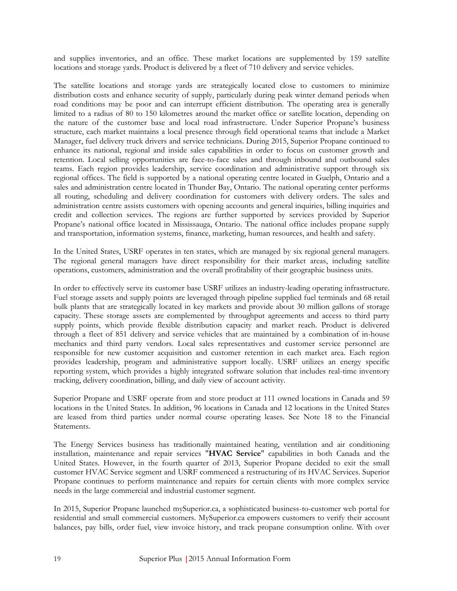and supplies inventories, and an office. These market locations are supplemented by 159 satellite locations and storage yards. Product is delivered by a fleet of 710 delivery and service vehicles.

The satellite locations and storage yards are strategically located close to customers to minimize distribution costs and enhance security of supply, particularly during peak winter demand periods when road conditions may be poor and can interrupt efficient distribution. The operating area is generally limited to a radius of 80 to 150 kilometres around the market office or satellite location, depending on the nature of the customer base and local road infrastructure. Under Superior Propane's business structure, each market maintains a local presence through field operational teams that include a Market Manager, fuel delivery truck drivers and service technicians. During 2015, Superior Propane continued to enhance its national, regional and inside sales capabilities in order to focus on customer growth and retention. Local selling opportunities are face-to-face sales and through inbound and outbound sales teams. Each region provides leadership, service coordination and administrative support through six regional offices. The field is supported by a national operating centre located in Guelph, Ontario and a sales and administration centre located in Thunder Bay, Ontario. The national operating center performs all routing, scheduling and delivery coordination for customers with delivery orders. The sales and administration centre assists customers with opening accounts and general inquiries, billing inquiries and credit and collection services. The regions are further supported by services provided by Superior Propane's national office located in Mississauga, Ontario. The national office includes propane supply and transportation, information systems, finance, marketing, human resources, and health and safety.

In the United States, USRF operates in ten states, which are managed by six regional general managers. The regional general managers have direct responsibility for their market areas, including satellite operations, customers, administration and the overall profitability of their geographic business units.

In order to effectively serve its customer base USRF utilizes an industry-leading operating infrastructure. Fuel storage assets and supply points are leveraged through pipeline supplied fuel terminals and 68 retail bulk plants that are strategically located in key markets and provide about 30 million gallons of storage capacity. These storage assets are complemented by throughput agreements and access to third party supply points, which provide flexible distribution capacity and market reach. Product is delivered through a fleet of 851 delivery and service vehicles that are maintained by a combination of in-house mechanics and third party vendors. Local sales representatives and customer service personnel are responsible for new customer acquisition and customer retention in each market area. Each region provides leadership, program and administrative support locally. USRF utilizes an energy specific reporting system, which provides a highly integrated software solution that includes real-time inventory tracking, delivery coordination, billing, and daily view of account activity.

Superior Propane and USRF operate from and store product at 111 owned locations in Canada and 59 locations in the United States. In addition, 96 locations in Canada and 12 locations in the United States are leased from third parties under normal course operating leases. See Note 18 to the Financial Statements.

The Energy Services business has traditionally maintained heating, ventilation and air conditioning installation, maintenance and repair services "**HVAC Service**" capabilities in both Canada and the United States. However, in the fourth quarter of 2013, Superior Propane decided to exit the small customer HVAC Service segment and USRF commenced a restructuring of its HVAC Services. Superior Propane continues to perform maintenance and repairs for certain clients with more complex service needs in the large commercial and industrial customer segment.

In 2015, Superior Propane launched mySuperior.ca, a sophisticated business-to-customer web portal for residential and small commercial customers. MySuperior.ca empowers customers to verify their account balances, pay bills, order fuel, view invoice history, and track propane consumption online. With over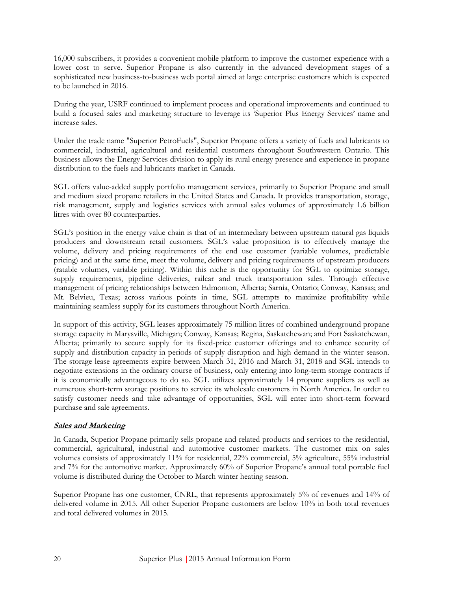16,000 subscribers, it provides a convenient mobile platform to improve the customer experience with a lower cost to serve. Superior Propane is also currently in the advanced development stages of a sophisticated new business-to-business web portal aimed at large enterprise customers which is expected to be launched in 2016.

During the year, USRF continued to implement process and operational improvements and continued to build a focused sales and marketing structure to leverage its 'Superior Plus Energy Services' name and increase sales.

Under the trade name "Superior PetroFuels", Superior Propane offers a variety of fuels and lubricants to commercial, industrial, agricultural and residential customers throughout Southwestern Ontario. This business allows the Energy Services division to apply its rural energy presence and experience in propane distribution to the fuels and lubricants market in Canada.

SGL offers value-added supply portfolio management services, primarily to Superior Propane and small and medium sized propane retailers in the United States and Canada. It provides transportation, storage, risk management, supply and logistics services with annual sales volumes of approximately 1.6 billion litres with over 80 counterparties.

SGL's position in the energy value chain is that of an intermediary between upstream natural gas liquids producers and downstream retail customers. SGL's value proposition is to effectively manage the volume, delivery and pricing requirements of the end use customer (variable volumes, predictable pricing) and at the same time, meet the volume, delivery and pricing requirements of upstream producers (ratable volumes, variable pricing). Within this niche is the opportunity for SGL to optimize storage, supply requirements, pipeline deliveries, railcar and truck transportation sales. Through effective management of pricing relationships between Edmonton, Alberta; Sarnia, Ontario; Conway, Kansas; and Mt. Belvieu, Texas; across various points in time, SGL attempts to maximize profitability while maintaining seamless supply for its customers throughout North America.

In support of this activity, SGL leases approximately 75 million litres of combined underground propane storage capacity in Marysville, Michigan; Conway, Kansas; Regina, Saskatchewan; and Fort Saskatchewan, Alberta; primarily to secure supply for its fixed-price customer offerings and to enhance security of supply and distribution capacity in periods of supply disruption and high demand in the winter season. The storage lease agreements expire between March 31, 2016 and March 31, 2018 and SGL intends to negotiate extensions in the ordinary course of business, only entering into long-term storage contracts if it is economically advantageous to do so. SGL utilizes approximately 14 propane suppliers as well as numerous short-term storage positions to service its wholesale customers in North America. In order to satisfy customer needs and take advantage of opportunities, SGL will enter into short-term forward purchase and sale agreements.

#### **Sales and Marketing**

In Canada, Superior Propane primarily sells propane and related products and services to the residential, commercial, agricultural, industrial and automotive customer markets. The customer mix on sales volumes consists of approximately 11% for residential, 22% commercial, 5% agriculture, 55% industrial and 7% for the automotive market. Approximately 60% of Superior Propane's annual total portable fuel volume is distributed during the October to March winter heating season.

Superior Propane has one customer, CNRL, that represents approximately 5% of revenues and 14% of delivered volume in 2015. All other Superior Propane customers are below 10% in both total revenues and total delivered volumes in 2015.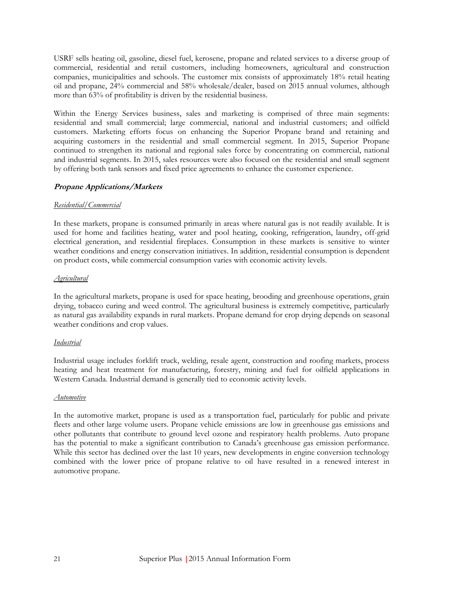USRF sells heating oil, gasoline, diesel fuel, kerosene, propane and related services to a diverse group of commercial, residential and retail customers, including homeowners, agricultural and construction companies, municipalities and schools. The customer mix consists of approximately 18% retail heating oil and propane, 24% commercial and 58% wholesale/dealer, based on 2015 annual volumes, although more than 63% of profitability is driven by the residential business.

Within the Energy Services business, sales and marketing is comprised of three main segments: residential and small commercial; large commercial, national and industrial customers; and oilfield customers. Marketing efforts focus on enhancing the Superior Propane brand and retaining and acquiring customers in the residential and small commercial segment. In 2015, Superior Propane continued to strengthen its national and regional sales force by concentrating on commercial, national and industrial segments. In 2015, sales resources were also focused on the residential and small segment by offering both tank sensors and fixed price agreements to enhance the customer experience.

#### **Propane Applications/Markets**

#### *Residential/Commercial*

In these markets, propane is consumed primarily in areas where natural gas is not readily available. It is used for home and facilities heating, water and pool heating, cooking, refrigeration, laundry, off-grid electrical generation, and residential fireplaces. Consumption in these markets is sensitive to winter weather conditions and energy conservation initiatives. In addition, residential consumption is dependent on product costs, while commercial consumption varies with economic activity levels.

#### *Agricultural*

In the agricultural markets, propane is used for space heating, brooding and greenhouse operations, grain drying, tobacco curing and weed control. The agricultural business is extremely competitive, particularly as natural gas availability expands in rural markets. Propane demand for crop drying depends on seasonal weather conditions and crop values.

#### *Industrial*

Industrial usage includes forklift truck, welding, resale agent, construction and roofing markets, process heating and heat treatment for manufacturing, forestry, mining and fuel for oilfield applications in Western Canada. Industrial demand is generally tied to economic activity levels.

#### *Automotive*

In the automotive market, propane is used as a transportation fuel, particularly for public and private fleets and other large volume users. Propane vehicle emissions are low in greenhouse gas emissions and other pollutants that contribute to ground level ozone and respiratory health problems. Auto propane has the potential to make a significant contribution to Canada's greenhouse gas emission performance. While this sector has declined over the last 10 years, new developments in engine conversion technology combined with the lower price of propane relative to oil have resulted in a renewed interest in automotive propane.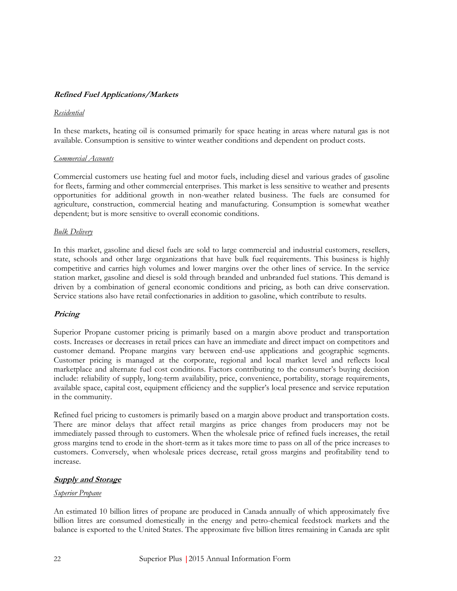#### **Refined Fuel Applications/Markets**

#### *Residential*

In these markets, heating oil is consumed primarily for space heating in areas where natural gas is not available. Consumption is sensitive to winter weather conditions and dependent on product costs.

#### *Commercial Accounts*

Commercial customers use heating fuel and motor fuels, including diesel and various grades of gasoline for fleets, farming and other commercial enterprises. This market is less sensitive to weather and presents opportunities for additional growth in non-weather related business. The fuels are consumed for agriculture, construction, commercial heating and manufacturing. Consumption is somewhat weather dependent; but is more sensitive to overall economic conditions.

#### *Bulk Delivery*

In this market, gasoline and diesel fuels are sold to large commercial and industrial customers, resellers, state, schools and other large organizations that have bulk fuel requirements. This business is highly competitive and carries high volumes and lower margins over the other lines of service. In the service station market, gasoline and diesel is sold through branded and unbranded fuel stations. This demand is driven by a combination of general economic conditions and pricing, as both can drive conservation. Service stations also have retail confectionaries in addition to gasoline, which contribute to results.

#### **Pricing**

Superior Propane customer pricing is primarily based on a margin above product and transportation costs. Increases or decreases in retail prices can have an immediate and direct impact on competitors and customer demand. Propane margins vary between end-use applications and geographic segments. Customer pricing is managed at the corporate, regional and local market level and reflects local marketplace and alternate fuel cost conditions. Factors contributing to the consumer's buying decision include: reliability of supply, long-term availability, price, convenience, portability, storage requirements, available space, capital cost, equipment efficiency and the supplier's local presence and service reputation in the community.

Refined fuel pricing to customers is primarily based on a margin above product and transportation costs. There are minor delays that affect retail margins as price changes from producers may not be immediately passed through to customers. When the wholesale price of refined fuels increases, the retail gross margins tend to erode in the short-term as it takes more time to pass on all of the price increases to customers. Conversely, when wholesale prices decrease, retail gross margins and profitability tend to increase.

#### **Supply and Storage**

#### *Superior Propane*

An estimated 10 billion litres of propane are produced in Canada annually of which approximately five billion litres are consumed domestically in the energy and petro-chemical feedstock markets and the balance is exported to the United States. The approximate five billion litres remaining in Canada are split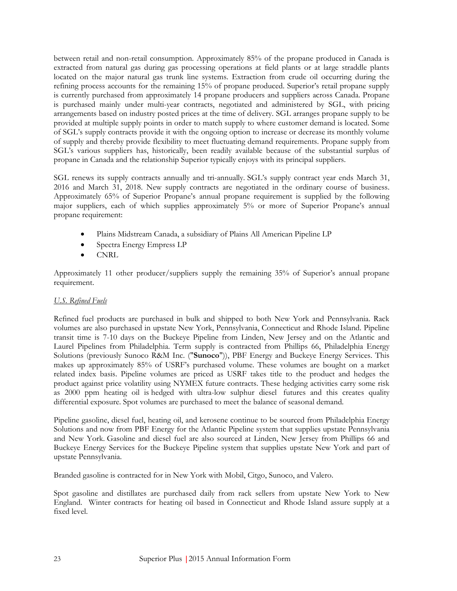between retail and non-retail consumption. Approximately 85% of the propane produced in Canada is extracted from natural gas during gas processing operations at field plants or at large straddle plants located on the major natural gas trunk line systems. Extraction from crude oil occurring during the refining process accounts for the remaining 15% of propane produced. Superior's retail propane supply is currently purchased from approximately 14 propane producers and suppliers across Canada. Propane is purchased mainly under multi-year contracts, negotiated and administered by SGL, with pricing arrangements based on industry posted prices at the time of delivery. SGL arranges propane supply to be provided at multiple supply points in order to match supply to where customer demand is located. Some of SGL's supply contracts provide it with the ongoing option to increase or decrease its monthly volume of supply and thereby provide flexibility to meet fluctuating demand requirements. Propane supply from SGL's various suppliers has, historically, been readily available because of the substantial surplus of propane in Canada and the relationship Superior typically enjoys with its principal suppliers.

SGL renews its supply contracts annually and tri-annually. SGL's supply contract year ends March 31, 2016 and March 31, 2018. New supply contracts are negotiated in the ordinary course of business. Approximately 65% of Superior Propane's annual propane requirement is supplied by the following major suppliers, each of which supplies approximately 5% or more of Superior Propane's annual propane requirement:

- Plains Midstream Canada, a subsidiary of Plains All American Pipeline LP
- Spectra Energy Empress LP
- CNRL

Approximately 11 other producer/suppliers supply the remaining 35% of Superior's annual propane requirement.

#### *U.S. Refined Fuels*

Refined fuel products are purchased in bulk and shipped to both New York and Pennsylvania. Rack volumes are also purchased in upstate New York, Pennsylvania, Connecticut and Rhode Island. Pipeline transit time is 7-10 days on the Buckeye Pipeline from Linden, New Jersey and on the Atlantic and Laurel Pipelines from Philadelphia. Term supply is contracted from Phillips 66, Philadelphia Energy Solutions (previously Sunoco R&M Inc. ("**Sunoco**")), PBF Energy and Buckeye Energy Services. This makes up approximately 85% of USRF's purchased volume. These volumes are bought on a market related index basis. Pipeline volumes are priced as USRF takes title to the product and hedges the product against price volatility using NYMEX future contracts. These hedging activities carry some risk as 2000 ppm heating oil is hedged with ultra-low sulphur diesel futures and this creates quality differential exposure. Spot volumes are purchased to meet the balance of seasonal demand.

Pipeline gasoline, diesel fuel, heating oil, and kerosene continue to be sourced from Philadelphia Energy Solutions and now from PBF Energy for the Atlantic Pipeline system that supplies upstate Pennsylvania and New York. Gasoline and diesel fuel are also sourced at Linden, New Jersey from Phillips 66 and Buckeye Energy Services for the Buckeye Pipeline system that supplies upstate New York and part of upstate Pennsylvania.

Branded gasoline is contracted for in New York with Mobil, Citgo, Sunoco, and Valero.

Spot gasoline and distillates are purchased daily from rack sellers from upstate New York to New England. Winter contracts for heating oil based in Connecticut and Rhode Island assure supply at a fixed level.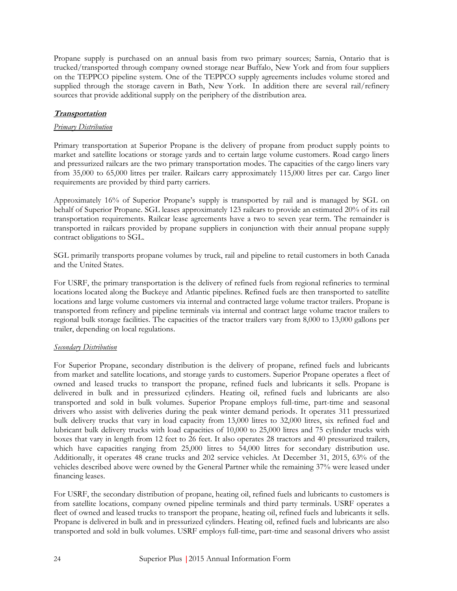Propane supply is purchased on an annual basis from two primary sources; Sarnia, Ontario that is trucked/transported through company owned storage near Buffalo, New York and from four suppliers on the TEPPCO pipeline system. One of the TEPPCO supply agreements includes volume stored and supplied through the storage cavern in Bath, New York. In addition there are several rail/refinery sources that provide additional supply on the periphery of the distribution area.

# **Transportation**

#### *Primary Distribution*

Primary transportation at Superior Propane is the delivery of propane from product supply points to market and satellite locations or storage yards and to certain large volume customers. Road cargo liners and pressurized railcars are the two primary transportation modes. The capacities of the cargo liners vary from 35,000 to 65,000 litres per trailer. Railcars carry approximately 115,000 litres per car. Cargo liner requirements are provided by third party carriers.

Approximately 16% of Superior Propane's supply is transported by rail and is managed by SGL on behalf of Superior Propane. SGL leases approximately 123 railcars to provide an estimated 20% of its rail transportation requirements. Railcar lease agreements have a two to seven year term. The remainder is transported in railcars provided by propane suppliers in conjunction with their annual propane supply contract obligations to SGL.

SGL primarily transports propane volumes by truck, rail and pipeline to retail customers in both Canada and the United States.

For USRF, the primary transportation is the delivery of refined fuels from regional refineries to terminal locations located along the Buckeye and Atlantic pipelines. Refined fuels are then transported to satellite locations and large volume customers via internal and contracted large volume tractor trailers. Propane is transported from refinery and pipeline terminals via internal and contract large volume tractor trailers to regional bulk storage facilities. The capacities of the tractor trailers vary from 8,000 to 13,000 gallons per trailer, depending on local regulations.

#### *Secondary Distribution*

For Superior Propane, secondary distribution is the delivery of propane, refined fuels and lubricants from market and satellite locations, and storage yards to customers. Superior Propane operates a fleet of owned and leased trucks to transport the propane, refined fuels and lubricants it sells. Propane is delivered in bulk and in pressurized cylinders. Heating oil, refined fuels and lubricants are also transported and sold in bulk volumes. Superior Propane employs full-time, part-time and seasonal drivers who assist with deliveries during the peak winter demand periods. It operates 311 pressurized bulk delivery trucks that vary in load capacity from 13,000 litres to 32,000 litres, six refined fuel and lubricant bulk delivery trucks with load capacities of 10,000 to 25,000 litres and 75 cylinder trucks with boxes that vary in length from 12 feet to 26 feet. It also operates 28 tractors and 40 pressurized trailers, which have capacities ranging from 25,000 litres to 54,000 litres for secondary distribution use. Additionally, it operates 48 crane trucks and 202 service vehicles. At December 31, 2015, 63% of the vehicles described above were owned by the General Partner while the remaining 37% were leased under financing leases.

For USRF, the secondary distribution of propane, heating oil, refined fuels and lubricants to customers is from satellite locations, company owned pipeline terminals and third party terminals. USRF operates a fleet of owned and leased trucks to transport the propane, heating oil, refined fuels and lubricants it sells. Propane is delivered in bulk and in pressurized cylinders. Heating oil, refined fuels and lubricants are also transported and sold in bulk volumes. USRF employs full-time, part-time and seasonal drivers who assist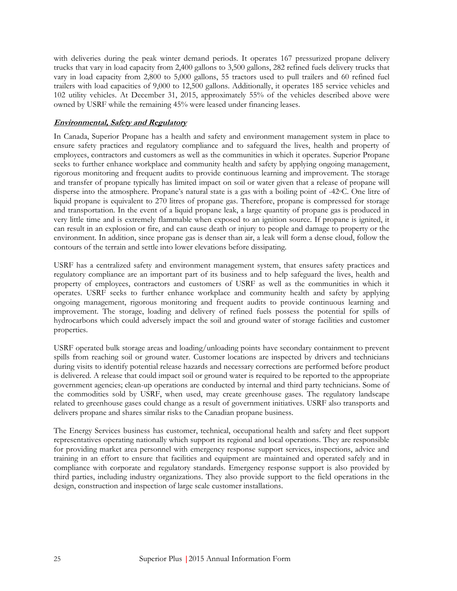with deliveries during the peak winter demand periods. It operates 167 pressurized propane delivery trucks that vary in load capacity from 2,400 gallons to 3,500 gallons, 282 refined fuels delivery trucks that vary in load capacity from 2,800 to 5,000 gallons, 55 tractors used to pull trailers and 60 refined fuel trailers with load capacities of 9,000 to 12,500 gallons. Additionally, it operates 185 service vehicles and 102 utility vehicles. At December 31, 2015, approximately 55% of the vehicles described above were owned by USRF while the remaining 45% were leased under financing leases.

## **Environmental, Safety and Regulatory**

In Canada, Superior Propane has a health and safety and environment management system in place to ensure safety practices and regulatory compliance and to safeguard the lives, health and property of employees, contractors and customers as well as the communities in which it operates. Superior Propane seeks to further enhance workplace and community health and safety by applying ongoing management, rigorous monitoring and frequent audits to provide continuous learning and improvement. The storage and transfer of propane typically has limited impact on soil or water given that a release of propane will disperse into the atmosphere. Propane's natural state is a gas with a boiling point of -42oC. One litre of liquid propane is equivalent to 270 litres of propane gas. Therefore, propane is compressed for storage and transportation. In the event of a liquid propane leak, a large quantity of propane gas is produced in very little time and is extremely flammable when exposed to an ignition source. If propane is ignited, it can result in an explosion or fire, and can cause death or injury to people and damage to property or the environment. In addition, since propane gas is denser than air, a leak will form a dense cloud, follow the contours of the terrain and settle into lower elevations before dissipating.

USRF has a centralized safety and environment management system, that ensures safety practices and regulatory compliance are an important part of its business and to help safeguard the lives, health and property of employees, contractors and customers of USRF as well as the communities in which it operates. USRF seeks to further enhance workplace and community health and safety by applying ongoing management, rigorous monitoring and frequent audits to provide continuous learning and improvement. The storage, loading and delivery of refined fuels possess the potential for spills of hydrocarbons which could adversely impact the soil and ground water of storage facilities and customer properties.

USRF operated bulk storage areas and loading/unloading points have secondary containment to prevent spills from reaching soil or ground water. Customer locations are inspected by drivers and technicians during visits to identify potential release hazards and necessary corrections are performed before product is delivered. A release that could impact soil or ground water is required to be reported to the appropriate government agencies; clean-up operations are conducted by internal and third party technicians. Some of the commodities sold by USRF, when used, may create greenhouse gases. The regulatory landscape related to greenhouse gases could change as a result of government initiatives. USRF also transports and delivers propane and shares similar risks to the Canadian propane business.

The Energy Services business has customer, technical, occupational health and safety and fleet support representatives operating nationally which support its regional and local operations. They are responsible for providing market area personnel with emergency response support services, inspections, advice and training in an effort to ensure that facilities and equipment are maintained and operated safely and in compliance with corporate and regulatory standards. Emergency response support is also provided by third parties, including industry organizations. They also provide support to the field operations in the design, construction and inspection of large scale customer installations.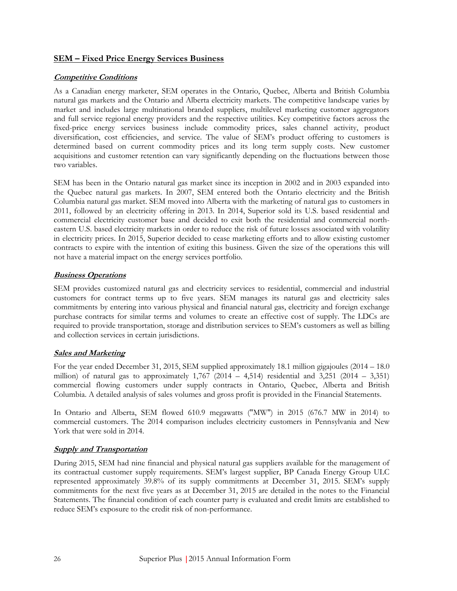## **SEM – Fixed Price Energy Services Business**

## **Competitive Conditions**

As a Canadian energy marketer, SEM operates in the Ontario, Quebec, Alberta and British Columbia natural gas markets and the Ontario and Alberta electricity markets. The competitive landscape varies by market and includes large multinational branded suppliers, multilevel marketing customer aggregators and full service regional energy providers and the respective utilities. Key competitive factors across the fixed-price energy services business include commodity prices, sales channel activity, product diversification, cost efficiencies, and service. The value of SEM's product offering to customers is determined based on current commodity prices and its long term supply costs. New customer acquisitions and customer retention can vary significantly depending on the fluctuations between those two variables.

SEM has been in the Ontario natural gas market since its inception in 2002 and in 2003 expanded into the Quebec natural gas markets. In 2007, SEM entered both the Ontario electricity and the British Columbia natural gas market. SEM moved into Alberta with the marketing of natural gas to customers in 2011, followed by an electricity offering in 2013. In 2014, Superior sold its U.S. based residential and commercial electricity customer base and decided to exit both the residential and commercial northeastern U.S. based electricity markets in order to reduce the risk of future losses associated with volatility in electricity prices. In 2015, Superior decided to cease marketing efforts and to allow existing customer contracts to expire with the intention of exiting this business. Given the size of the operations this will not have a material impact on the energy services portfolio.

# **Business Operations**

SEM provides customized natural gas and electricity services to residential, commercial and industrial customers for contract terms up to five years. SEM manages its natural gas and electricity sales commitments by entering into various physical and financial natural gas, electricity and foreign exchange purchase contracts for similar terms and volumes to create an effective cost of supply. The LDCs are required to provide transportation, storage and distribution services to SEM's customers as well as billing and collection services in certain jurisdictions.

#### **Sales and Marketing**

For the year ended December 31, 2015, SEM supplied approximately 18.1 million gigajoules (2014 – 18.0 million) of natural gas to approximately  $1,767$  (2014 – 4,514) residential and 3,251 (2014 – 3,351) commercial flowing customers under supply contracts in Ontario, Quebec, Alberta and British Columbia. A detailed analysis of sales volumes and gross profit is provided in the Financial Statements.

In Ontario and Alberta, SEM flowed 610.9 megawatts ("MW") in 2015 (676.7 MW in 2014) to commercial customers. The 2014 comparison includes electricity customers in Pennsylvania and New York that were sold in 2014.

#### **Supply and Transportation**

During 2015, SEM had nine financial and physical natural gas suppliers available for the management of its contractual customer supply requirements. SEM's largest supplier, BP Canada Energy Group ULC represented approximately 39.8% of its supply commitments at December 31, 2015. SEM's supply commitments for the next five years as at December 31, 2015 are detailed in the notes to the Financial Statements. The financial condition of each counter party is evaluated and credit limits are established to reduce SEM's exposure to the credit risk of non-performance.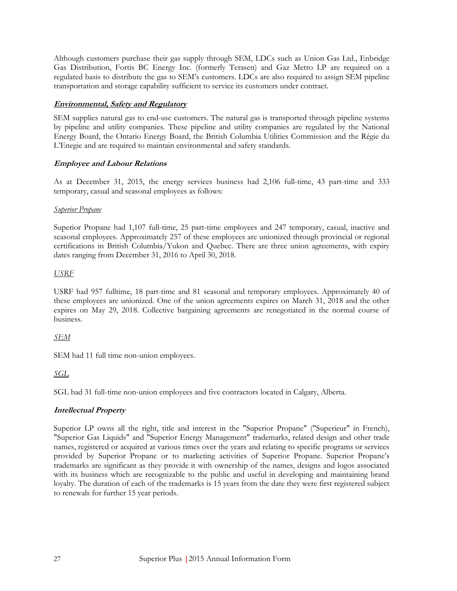Although customers purchase their gas supply through SEM, LDCs such as Union Gas Ltd., Enbridge Gas Distribution, Fortis BC Energy Inc. (formerly Terasen) and Gaz Metro LP are required on a regulated basis to distribute the gas to SEM's customers. LDCs are also required to assign SEM pipeline transportation and storage capability sufficient to service its customers under contract.

# **Environmental, Safety and Regulatory**

SEM supplies natural gas to end-use customers. The natural gas is transported through pipeline systems by pipeline and utility companies. These pipeline and utility companies are regulated by the National Energy Board, the Ontario Energy Board, the British Columbia Utilities Commission and the Régie du L'Enegie and are required to maintain environmental and safety standards.

# **Employee and Labour Relations**

As at December 31, 2015, the energy services business had 2,106 full-time, 43 part-time and 333 temporary, casual and seasonal employees as follows:

#### *Superior Propane*

Superior Propane had 1,107 full-time, 25 part-time employees and 247 temporary, casual, inactive and seasonal employees. Approximately 257 of these employees are unionized through provincial or regional certifications in British Columbia/Yukon and Quebec. There are three union agreements, with expiry dates ranging from December 31, 2016 to April 30, 2018.

# *USRF*

USRF had 957 fulltime, 18 part-time and 81 seasonal and temporary employees. Approximately 40 of these employees are unionized. One of the union agreements expires on March 31, 2018 and the other expires on May 29, 2018. Collective bargaining agreements are renegotiated in the normal course of business.

# *SEM*

SEM had 11 full time non-union employees.

# *SGL*

SGL had 31 full-time non-union employees and five contractors located in Calgary, Alberta.

# **Intellectual Property**

Superior LP owns all the right, title and interest in the "Superior Propane" ("Superieur" in French), "Superior Gas Liquids" and "Superior Energy Management" trademarks, related design and other trade names, registered or acquired at various times over the years and relating to specific programs or services provided by Superior Propane or to marketing activities of Superior Propane. Superior Propane's trademarks are significant as they provide it with ownership of the names, designs and logos associated with its business which are recognizable to the public and useful in developing and maintaining brand loyalty. The duration of each of the trademarks is 15 years from the date they were first registered subject to renewals for further 15 year periods.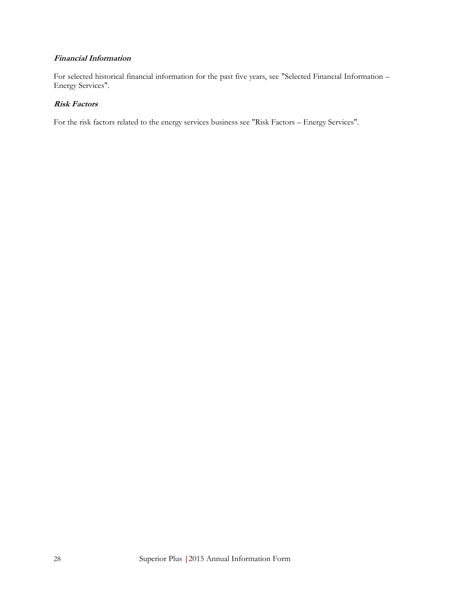# **Financial Information**

For selected historical financial information for the past five years, see "Selected Financial Information – Energy Services".

# **Risk Factors**

For the risk factors related to the energy services business see "Risk Factors – Energy Services".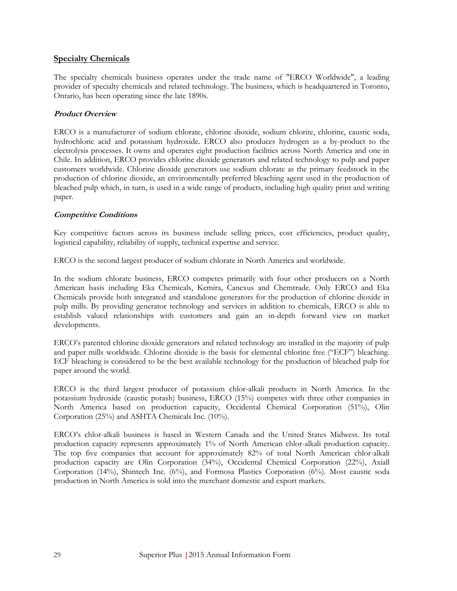### <span id="page-35-0"></span>**Specialty Chemicals**

The specialty chemicals business operates under the trade name of "ERCO Worldwide", a leading provider of specialty chemicals and related technology. The business, which is headquartered in Toronto, Ontario, has been operating since the late 1890s.

## **Product Overview**

ERCO is a manufacturer of sodium chlorate, chlorine dioxide, sodium chlorite, chlorine, caustic soda, hydrochloric acid and potassium hydroxide. ERCO also produces hydrogen as a by-product to the electrolysis processes. It owns and operates eight production facilities across North America and one in Chile. In addition, ERCO provides chlorine dioxide generators and related technology to pulp and paper customers worldwide. Chlorine dioxide generators use sodium chlorate as the primary feedstock in the production of chlorine dioxide, an environmentally preferred bleaching agent used in the production of bleached pulp which, in turn, is used in a wide range of products, including high quality print and writing paper.

#### **Competitive Conditions**

Key competitive factors across its business include selling prices, cost efficiencies, product quality, logistical capability, reliability of supply, technical expertise and service.

ERCO is the second largest producer of sodium chlorate in North America and worldwide.

In the sodium chlorate business, ERCO competes primarily with four other producers on a North American basis including Eka Chemicals, Kemira, Canexus and Chemtrade. Only ERCO and Eka Chemicals provide both integrated and standalone generators for the production of chlorine dioxide in pulp mills. By providing generator technology and services in addition to chemicals, ERCO is able to establish valued relationships with customers and gain an in-depth forward view on market developments.

ERCO's patented chlorine dioxide generators and related technology are installed in the majority of pulp and paper mills worldwide. Chlorine dioxide is the basis for elemental chlorine free ("ECF") bleaching. ECF bleaching is considered to be the best available technology for the production of bleached pulp for paper around the world.

ERCO is the third largest producer of potassium chlor-alkali products in North America. In the potassium hydroxide (caustic potash) business, ERCO (15%) competes with three other companies in North America based on production capacity, Occidental Chemical Corporation (51%), Olin Corporation (25%) and ASHTA Chemicals Inc. (10%).

ERCO's chlor-alkali business is based in Western Canada and the United States Midwest. Its total production capacity represents approximately 1% of North American chlor-alkali production capacity. The top five companies that account for approximately 82% of total North American chlor-alkali production capacity are Olin Corporation (34%), Occidental Chemical Corporation (22%), Axiall Corporation (14%), Shintech Inc. (6%), and Formosa Plastics Corporation (6%). Most caustic soda production in North America is sold into the merchant domestic and export markets.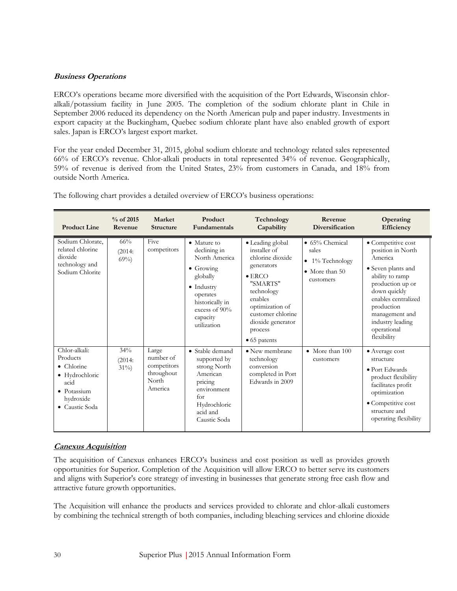# **Business Operations**

ERCO's operations became more diversified with the acquisition of the Port Edwards, Wisconsin chloralkali/potassium facility in June 2005. The completion of the sodium chlorate plant in Chile in September 2006 reduced its dependency on the North American pulp and paper industry. Investments in export capacity at the Buckingham, Quebec sodium chlorate plant have also enabled growth of export sales. Japan is ERCO's largest export market.

For the year ended December 31, 2015, global sodium chlorate and technology related sales represented 66% of ERCO's revenue. Chlor-alkali products in total represented 34% of revenue. Geographically, 59% of revenue is derived from the United States, 23% from customers in Canada, and 18% from outside North America.

| <b>Product Line</b>                                                                                                           | $%$ of 2015<br>Revenue  | Market<br><b>Structure</b>                                          | Product<br><b>Fundamentals</b>                                                                                                                                                         | Technology<br>Capability                                                                                                                                                                                                  | Revenue<br>Diversification                                                                        | Operating<br>Efficiency                                                                                                                                                                                                                  |
|-------------------------------------------------------------------------------------------------------------------------------|-------------------------|---------------------------------------------------------------------|----------------------------------------------------------------------------------------------------------------------------------------------------------------------------------------|---------------------------------------------------------------------------------------------------------------------------------------------------------------------------------------------------------------------------|---------------------------------------------------------------------------------------------------|------------------------------------------------------------------------------------------------------------------------------------------------------------------------------------------------------------------------------------------|
| Sodium Chlorate,<br>related chlorine<br>dioxide<br>technology and<br>Sodium Chlorite                                          | 66%<br>(2014:<br>$69\%$ | Five<br>competitors                                                 | $\bullet$ Mature to<br>declining in<br>North America<br>$\bullet$ Growing<br>globally<br>$\bullet$ Industry<br>operates<br>historically in<br>excess of 90%<br>capacity<br>utilization | • Leading global<br>installer of<br>chlorine dioxide<br>generators<br>$\bullet$ ERCO<br>"SMARTS"<br>technology<br>enables<br>optimization of<br>customer chlorine<br>dioxide generator<br>process<br>$\bullet$ 65 patents | $\bullet$ 65% Chemical<br>sales<br>$\bullet$ 1% Technology<br>$\bullet$ More than 50<br>customers | • Competitive cost<br>position in North<br>America<br>• Seven plants and<br>ability to ramp<br>production up or<br>down quickly<br>enables centralized<br>production<br>management and<br>industry leading<br>operational<br>flexibility |
| Chlor-alkali:<br>Products<br>$\bullet$ Chlorine<br>• Hydrochloric<br>acid<br>$\bullet$ Potassium<br>hydroxide<br>Caustic Soda | 34%<br>(2014:<br>$31\%$ | Large<br>number of<br>competitors<br>throughout<br>North<br>America | $\bullet$ Stable demand<br>supported by<br>strong North<br>American<br>pricing<br>environment<br>for<br>Hydrochloric<br>acid and<br>Caustic Soda                                       | • New membrane<br>technology<br>conversion<br>completed in Port<br>Edwards in 2009                                                                                                                                        | • More than 100<br>customers                                                                      | • Average cost<br>structure<br>• Port Edwards<br>product flexibility<br>facilitates profit<br>optimization<br>· Competitive cost<br>structure and<br>operating flexibility                                                               |

The following chart provides a detailed overview of ERCO's business operations:

# **Canexus Acquisition**

The acquisition of Canexus enhances ERCO's business and cost position as well as provides growth opportunities for Superior. Completion of the Acquisition will allow ERCO to better serve its customers and aligns with Superior's core strategy of investing in businesses that generate strong free cash flow and attractive future growth opportunities.

The Acquisition will enhance the products and services provided to chlorate and chlor-alkali customers by combining the technical strength of both companies, including bleaching services and chlorine dioxide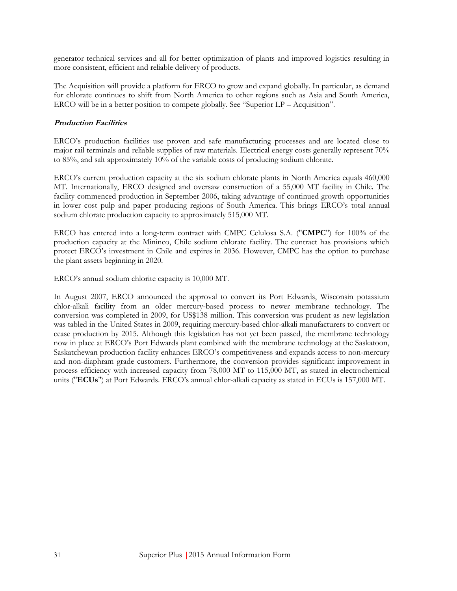generator technical services and all for better optimization of plants and improved logistics resulting in more consistent, efficient and reliable delivery of products.

The Acquisition will provide a platform for ERCO to grow and expand globally. In particular, as demand for chlorate continues to shift from North America to other regions such as Asia and South America, ERCO will be in a better position to compete globally. See "Superior LP – Acquisition".

# **Production Facilities**

ERCO's production facilities use proven and safe manufacturing processes and are located close to major rail terminals and reliable supplies of raw materials. Electrical energy costs generally represent 70% to 85%, and salt approximately 10% of the variable costs of producing sodium chlorate.

ERCO's current production capacity at the six sodium chlorate plants in North America equals 460,000 MT. Internationally, ERCO designed and oversaw construction of a 55,000 MT facility in Chile. The facility commenced production in September 2006, taking advantage of continued growth opportunities in lower cost pulp and paper producing regions of South America. This brings ERCO's total annual sodium chlorate production capacity to approximately 515,000 MT.

ERCO has entered into a long-term contract with CMPC Celulosa S.A. ("**CMPC**") for 100% of the production capacity at the Mininco, Chile sodium chlorate facility. The contract has provisions which protect ERCO's investment in Chile and expires in 2036. However, CMPC has the option to purchase the plant assets beginning in 2020.

ERCO's annual sodium chlorite capacity is 10,000 MT.

In August 2007, ERCO announced the approval to convert its Port Edwards, Wisconsin potassium chlor-alkali facility from an older mercury-based process to newer membrane technology. The conversion was completed in 2009, for US\$138 million. This conversion was prudent as new legislation was tabled in the United States in 2009, requiring mercury-based chlor-alkali manufacturers to convert or cease production by 2015. Although this legislation has not yet been passed, the membrane technology now in place at ERCO's Port Edwards plant combined with the membrane technology at the Saskatoon, Saskatchewan production facility enhances ERCO's competitiveness and expands access to non-mercury and non-diaphram grade customers. Furthermore, the conversion provides significant improvement in process efficiency with increased capacity from 78,000 MT to 115,000 MT, as stated in electrochemical units ("**ECUs**") at Port Edwards. ERCO's annual chlor-alkali capacity as stated in ECUs is 157,000 MT.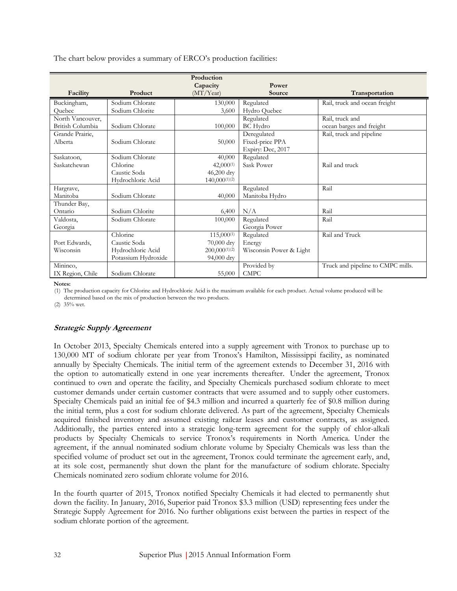The chart below provides a summary of ERCO's production facilities:

|                  |                     | Production<br>Capacity | Power                   |                                   |
|------------------|---------------------|------------------------|-------------------------|-----------------------------------|
| Facility         | Product             | (MT/Year)              | Source                  | Transportation                    |
| Buckingham,      | Sodium Chlorate     | 130,000                | Regulated               | Rail, truck and ocean freight     |
| Ouebec           | Sodium Chlorite     | 3,600                  | Hydro Quebec            |                                   |
| North Vancouver, |                     |                        | Regulated               | Rail, truck and                   |
| British Columbia | Sodium Chlorate     | 100,000                | <b>BC</b> Hydro         | ocean barges and freight          |
| Grande Prairie,  |                     |                        | Deregulated             | Rail, truck and pipeline          |
| Alberta          | Sodium Chlorate     | 50,000                 | Fixed-price PPA         |                                   |
|                  |                     |                        | Expiry: Dec, 2017       |                                   |
| Saskatoon,       | Sodium Chlorate     | 40,000                 | Regulated               |                                   |
| Saskatchewan     | Chlorine            | $42,000^{(1)}$         | Sask Power              | Rail and truck                    |
|                  | Caustic Soda        | 46,200 dry             |                         |                                   |
|                  | Hydrochloric Acid   | $140,000^{(1)(2)}$     |                         |                                   |
| Hargrave,        |                     |                        | Regulated               | Rail                              |
| Manitoba         | Sodium Chlorate     | 40,000                 | Manitoba Hydro          |                                   |
| Thunder Bay,     |                     |                        |                         |                                   |
| Ontario          | Sodium Chlorite     | 6,400                  | N/A                     | Rail                              |
| Valdosta,        | Sodium Chlorate     | 100,000                | Regulated               | Rail                              |
| Georgia          |                     |                        | Georgia Power           |                                   |
|                  | Chlorine            | 115,000(1)             | Regulated               | Rail and Truck                    |
| Port Edwards.    | Caustic Soda        | 70,000 dry             | Energy                  |                                   |
| Wisconsin        | Hydrochloric Acid   | $200,000^{(1)(2)}$     | Wisconsin Power & Light |                                   |
|                  | Potassium Hydroxide | 94,000 dry             |                         |                                   |
| Mininco,         |                     |                        | Provided by             | Truck and pipeline to CMPC mills. |
| IX Region, Chile | Sodium Chlorate     | 55,000                 | <b>CMPC</b>             |                                   |

**Notes:**

(1) The production capacity for Chlorine and Hydrochloric Acid is the maximum available for each product. Actual volume produced will be

determined based on the mix of production between the two products.

(2) 35% wet.

# **Strategic Supply Agreement**

In October 2013, Specialty Chemicals entered into a supply agreement with Tronox to purchase up to 130,000 MT of sodium chlorate per year from Tronox's Hamilton, Mississippi facility, as nominated annually by Specialty Chemicals. The initial term of the agreement extends to December 31, 2016 with the option to automatically extend in one year increments thereafter. Under the agreement, Tronox continued to own and operate the facility, and Specialty Chemicals purchased sodium chlorate to meet customer demands under certain customer contracts that were assumed and to supply other customers. Specialty Chemicals paid an initial fee of \$4.3 million and incurred a quarterly fee of \$0.8 million during the initial term, plus a cost for sodium chlorate delivered. As part of the agreement, Specialty Chemicals acquired finished inventory and assumed existing railcar leases and customer contracts, as assigned. Additionally, the parties entered into a strategic long-term agreement for the supply of chlor-alkali products by Specialty Chemicals to service Tronox's requirements in North America. Under the agreement, if the annual nominated sodium chlorate volume by Specialty Chemicals was less than the specified volume of product set out in the agreement, Tronox could terminate the agreement early, and, at its sole cost, permanently shut down the plant for the manufacture of sodium chlorate. Specialty Chemicals nominated zero sodium chlorate volume for 2016.

In the fourth quarter of 2015, Tronox notified Specialty Chemicals it had elected to permanently shut down the facility. In January, 2016, Superior paid Tronox \$3.3 million (USD) representing fees under the Strategic Supply Agreement for 2016. No further obligations exist between the parties in respect of the sodium chlorate portion of the agreement.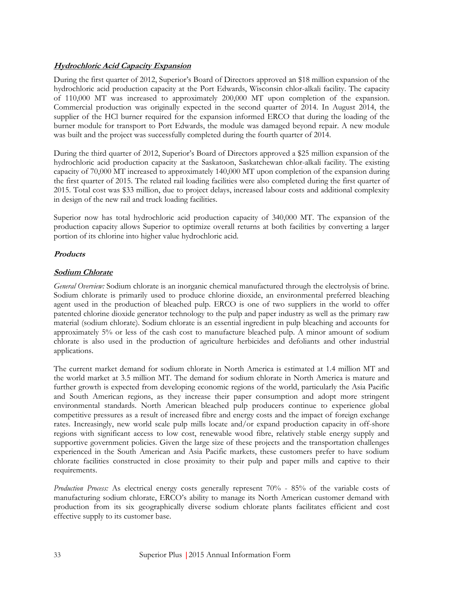# **Hydrochloric Acid Capacity Expansion**

During the first quarter of 2012, Superior's Board of Directors approved an \$18 million expansion of the hydrochloric acid production capacity at the Port Edwards, Wisconsin chlor-alkali facility. The capacity of 110,000 MT was increased to approximately 200,000 MT upon completion of the expansion. Commercial production was originally expected in the second quarter of 2014. In August 2014, the supplier of the HCl burner required for the expansion informed ERCO that during the loading of the burner module for transport to Port Edwards, the module was damaged beyond repair. A new module was built and the project was successfully completed during the fourth quarter of 2014.

During the third quarter of 2012, Superior's Board of Directors approved a \$25 million expansion of the hydrochloric acid production capacity at the Saskatoon, Saskatchewan chlor-alkali facility. The existing capacity of 70,000 MT increased to approximately 140,000 MT upon completion of the expansion during the first quarter of 2015. The related rail loading facilities were also completed during the first quarter of 2015. Total cost was \$33 million, due to project delays, increased labour costs and additional complexity in design of the new rail and truck loading facilities.

Superior now has total hydrochloric acid production capacity of 340,000 MT. The expansion of the production capacity allows Superior to optimize overall returns at both facilities by converting a larger portion of its chlorine into higher value hydrochloric acid.

### **Products**

# **Sodium Chlorate**

*General Overview:* Sodium chlorate is an inorganic chemical manufactured through the electrolysis of brine. Sodium chlorate is primarily used to produce chlorine dioxide, an environmental preferred bleaching agent used in the production of bleached pulp. ERCO is one of two suppliers in the world to offer patented chlorine dioxide generator technology to the pulp and paper industry as well as the primary raw material (sodium chlorate). Sodium chlorate is an essential ingredient in pulp bleaching and accounts for approximately 5% or less of the cash cost to manufacture bleached pulp. A minor amount of sodium chlorate is also used in the production of agriculture herbicides and defoliants and other industrial applications.

The current market demand for sodium chlorate in North America is estimated at 1.4 million MT and the world market at 3.5 million MT. The demand for sodium chlorate in North America is mature and further growth is expected from developing economic regions of the world, particularly the Asia Pacific and South American regions, as they increase their paper consumption and adopt more stringent environmental standards. North American bleached pulp producers continue to experience global competitive pressures as a result of increased fibre and energy costs and the impact of foreign exchange rates. Increasingly, new world scale pulp mills locate and/or expand production capacity in off-shore regions with significant access to low cost, renewable wood fibre, relatively stable energy supply and supportive government policies. Given the large size of these projects and the transportation challenges experienced in the South American and Asia Pacific markets, these customers prefer to have sodium chlorate facilities constructed in close proximity to their pulp and paper mills and captive to their requirements.

*Production Process:* As electrical energy costs generally represent 70% - 85% of the variable costs of manufacturing sodium chlorate, ERCO's ability to manage its North American customer demand with production from its six geographically diverse sodium chlorate plants facilitates efficient and cost effective supply to its customer base.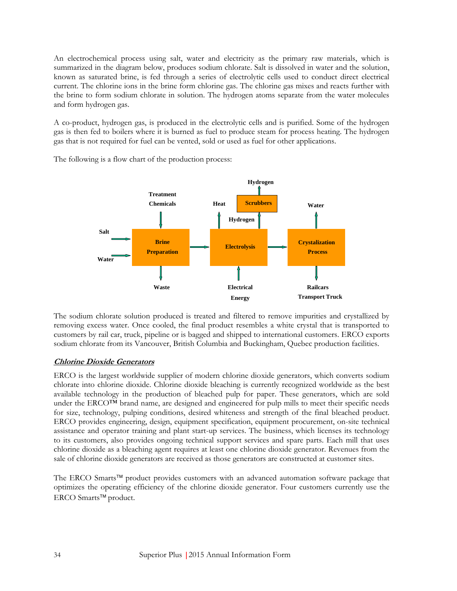An electrochemical process using salt, water and electricity as the primary raw materials, which is summarized in the diagram below, produces sodium chlorate. Salt is dissolved in water and the solution, known as saturated brine, is fed through a series of electrolytic cells used to conduct direct electrical current. The chlorine ions in the brine form chlorine gas. The chlorine gas mixes and reacts further with the brine to form sodium chlorate in solution. The hydrogen atoms separate from the water molecules and form hydrogen gas.

A co-product, hydrogen gas, is produced in the electrolytic cells and is purified. Some of the hydrogen gas is then fed to boilers where it is burned as fuel to produce steam for process heating. The hydrogen gas that is not required for fuel can be vented, sold or used as fuel for other applications.

The following is a flow chart of the production process:



The sodium chlorate solution produced is treated and filtered to remove impurities and crystallized by removing excess water. Once cooled, the final product resembles a white crystal that is transported to customers by rail car, truck, pipeline or is bagged and shipped to international customers. ERCO exports sodium chlorate from its Vancouver, British Columbia and Buckingham, Quebec production facilities.

# **Chlorine Dioxide Generators**

ERCO is the largest worldwide supplier of modern chlorine dioxide generators, which converts sodium chlorate into chlorine dioxide. Chlorine dioxide bleaching is currently recognized worldwide as the best available technology in the production of bleached pulp for paper. These generators, which are sold under the ERCO<sup>™</sup> brand name, are designed and engineered for pulp mills to meet their specific needs for size, technology, pulping conditions, desired whiteness and strength of the final bleached product. ERCO provides engineering, design, equipment specification, equipment procurement, on-site technical assistance and operator training and plant start-up services. The business, which licenses its technology to its customers, also provides ongoing technical support services and spare parts. Each mill that uses chlorine dioxide as a bleaching agent requires at least one chlorine dioxide generator. Revenues from the sale of chlorine dioxide generators are received as those generators are constructed at customer sites.

The ERCO Smarts<sup> $TM$ </sup> product provides customers with an advanced automation software package that optimizes the operating efficiency of the chlorine dioxide generator. Four customers currently use the ERCO Smarts<sup>™</sup> product.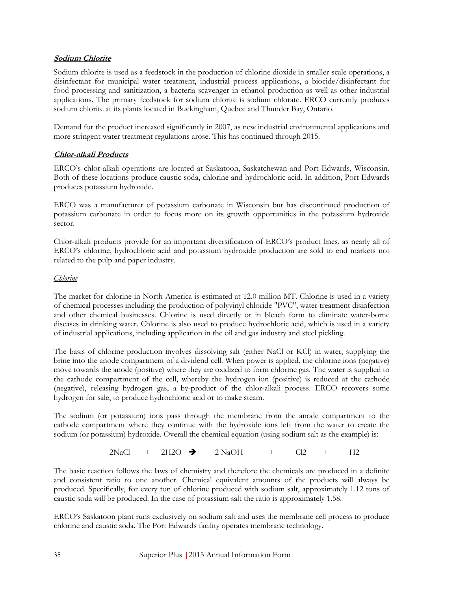# **Sodium Chlorite**

Sodium chlorite is used as a feedstock in the production of chlorine dioxide in smaller scale operations, a disinfectant for municipal water treatment, industrial process applications, a biocide/disinfectant for food processing and sanitization, a bacteria scavenger in ethanol production as well as other industrial applications. The primary feedstock for sodium chlorite is sodium chlorate. ERCO currently produces sodium chlorite at its plants located in Buckingham, Quebec and Thunder Bay, Ontario.

Demand for the product increased significantly in 2007, as new industrial environmental applications and more stringent water treatment regulations arose. This has continued through 2015.

# **Chlor-alkali Products**

ERCO's chlor-alkali operations are located at Saskatoon, Saskatchewan and Port Edwards, Wisconsin. Both of these locations produce caustic soda, chlorine and hydrochloric acid. In addition, Port Edwards produces potassium hydroxide.

ERCO was a manufacturer of potassium carbonate in Wisconsin but has discontinued production of potassium carbonate in order to focus more on its growth opportunities in the potassium hydroxide sector.

Chlor-alkali products provide for an important diversification of ERCO's product lines, as nearly all of ERCO's chlorine, hydrochloric acid and potassium hydroxide production are sold to end markets not related to the pulp and paper industry.

### *Chlorine*

The market for chlorine in North America is estimated at 12.0 million MT. Chlorine is used in a variety of chemical processes including the production of polyvinyl chloride "PVC", water treatment disinfection and other chemical businesses. Chlorine is used directly or in bleach form to eliminate water-borne diseases in drinking water. Chlorine is also used to produce hydrochloric acid, which is used in a variety of industrial applications, including application in the oil and gas industry and steel pickling.

The basis of chlorine production involves dissolving salt (either NaCl or KCl) in water, supplying the brine into the anode compartment of a dividend cell. When power is applied, the chlorine ions (negative) move towards the anode (positive) where they are oxidized to form chlorine gas. The water is supplied to the cathode compartment of the cell, whereby the hydrogen ion (positive) is reduced at the cathode (negative), releasing hydrogen gas, a by-product of the chlor-alkali process. ERCO recovers some hydrogen for sale, to produce hydrochloric acid or to make steam.

The sodium (or potassium) ions pass through the membrane from the anode compartment to the cathode compartment where they continue with the hydroxide ions left from the water to create the sodium (or potassium) hydroxide. Overall the chemical equation (using sodium salt as the example) is:

 $2NaCl + 2H2O \rightarrow 2NaOH + Cl2 + H2$ 

The basic reaction follows the laws of chemistry and therefore the chemicals are produced in a definite and consistent ratio to one another. Chemical equivalent amounts of the products will always be produced. Specifically, for every ton of chlorine produced with sodium salt, approximately 1.12 tons of caustic soda will be produced. In the case of potassium salt the ratio is approximately 1.58.

ERCO's Saskatoon plant runs exclusively on sodium salt and uses the membrane cell process to produce chlorine and caustic soda. The Port Edwards facility operates membrane technology.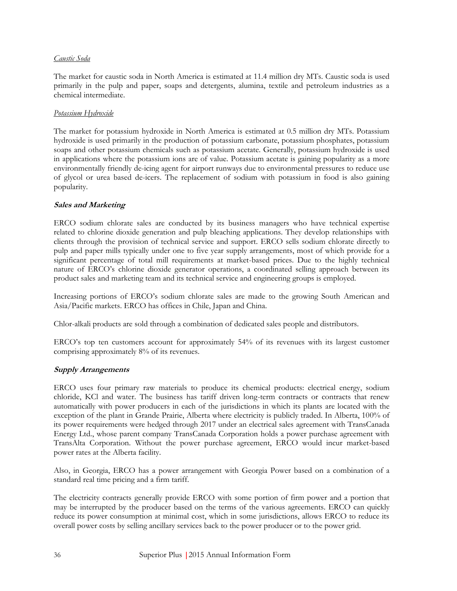### *Caustic Soda*

The market for caustic soda in North America is estimated at 11.4 million dry MTs. Caustic soda is used primarily in the pulp and paper, soaps and detergents, alumina, textile and petroleum industries as a chemical intermediate.

### *Potassium Hydroxide*

The market for potassium hydroxide in North America is estimated at 0.5 million dry MTs. Potassium hydroxide is used primarily in the production of potassium carbonate, potassium phosphates, potassium soaps and other potassium chemicals such as potassium acetate. Generally, potassium hydroxide is used in applications where the potassium ions are of value. Potassium acetate is gaining popularity as a more environmentally friendly de-icing agent for airport runways due to environmental pressures to reduce use of glycol or urea based de-icers. The replacement of sodium with potassium in food is also gaining popularity.

# **Sales and Marketing**

ERCO sodium chlorate sales are conducted by its business managers who have technical expertise related to chlorine dioxide generation and pulp bleaching applications. They develop relationships with clients through the provision of technical service and support. ERCO sells sodium chlorate directly to pulp and paper mills typically under one to five year supply arrangements, most of which provide for a significant percentage of total mill requirements at market-based prices. Due to the highly technical nature of ERCO's chlorine dioxide generator operations, a coordinated selling approach between its product sales and marketing team and its technical service and engineering groups is employed.

Increasing portions of ERCO's sodium chlorate sales are made to the growing South American and Asia/Pacific markets. ERCO has offices in Chile, Japan and China.

Chlor-alkali products are sold through a combination of dedicated sales people and distributors.

ERCO's top ten customers account for approximately 54% of its revenues with its largest customer comprising approximately 8% of its revenues.

# **Supply Arrangements**

ERCO uses four primary raw materials to produce its chemical products: electrical energy, sodium chloride, KCl and water. The business has tariff driven long-term contracts or contracts that renew automatically with power producers in each of the jurisdictions in which its plants are located with the exception of the plant in Grande Prairie, Alberta where electricity is publicly traded. In Alberta, 100% of its power requirements were hedged through 2017 under an electrical sales agreement with TransCanada Energy Ltd., whose parent company TransCanada Corporation holds a power purchase agreement with TransAlta Corporation. Without the power purchase agreement, ERCO would incur market-based power rates at the Alberta facility.

Also, in Georgia, ERCO has a power arrangement with Georgia Power based on a combination of a standard real time pricing and a firm tariff.

The electricity contracts generally provide ERCO with some portion of firm power and a portion that may be interrupted by the producer based on the terms of the various agreements. ERCO can quickly reduce its power consumption at minimal cost, which in some jurisdictions, allows ERCO to reduce its overall power costs by selling ancillary services back to the power producer or to the power grid.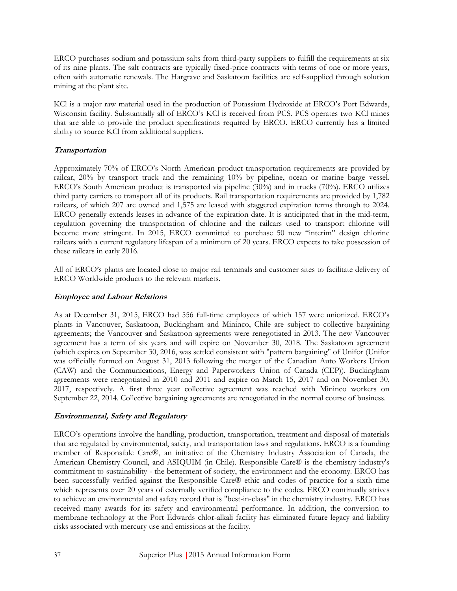ERCO purchases sodium and potassium salts from third-party suppliers to fulfill the requirements at six of its nine plants. The salt contracts are typically fixed-price contracts with terms of one or more years, often with automatic renewals. The Hargrave and Saskatoon facilities are self-supplied through solution mining at the plant site.

KCl is a major raw material used in the production of Potassium Hydroxide at ERCO's Port Edwards, Wisconsin facility. Substantially all of ERCO's KCl is received from PCS. PCS operates two KCl mines that are able to provide the product specifications required by ERCO. ERCO currently has a limited ability to source KCl from additional suppliers.

# **Transportation**

Approximately 70% of ERCO's North American product transportation requirements are provided by railcar, 20% by transport truck and the remaining 10% by pipeline, ocean or marine barge vessel. ERCO's South American product is transported via pipeline (30%) and in trucks (70%). ERCO utilizes third party carriers to transport all of its products. Rail transportation requirements are provided by 1,782 railcars, of which 207 are owned and 1,575 are leased with staggered expiration terms through to 2024. ERCO generally extends leases in advance of the expiration date. It is anticipated that in the mid-term, regulation governing the transportation of chlorine and the railcars used to transport chlorine will become more stringent. In 2015, ERCO committed to purchase 50 new "interim" design chlorine railcars with a current regulatory lifespan of a minimum of 20 years. ERCO expects to take possession of these railcars in early 2016.

All of ERCO's plants are located close to major rail terminals and customer sites to facilitate delivery of ERCO Worldwide products to the relevant markets.

# **Employee and Labour Relations**

As at December 31, 2015, ERCO had 556 full-time employees of which 157 were unionized. ERCO's plants in Vancouver, Saskatoon, Buckingham and Mininco, Chile are subject to collective bargaining agreements; the Vancouver and Saskatoon agreements were renegotiated in 2013. The new Vancouver agreement has a term of six years and will expire on November 30, 2018. The Saskatoon agreement (which expires on September 30, 2016, was settled consistent with "pattern bargaining" of Unifor (Unifor was officially formed on August 31, 2013 following the merger of the Canadian Auto Workers Union (CAW) and the Communications, Energy and Paperworkers Union of Canada (CEP)). Buckingham agreements were renegotiated in 2010 and 2011 and expire on March 15, 2017 and on November 30, 2017, respectively. A first three year collective agreement was reached with Mininco workers on September 22, 2014. Collective bargaining agreements are renegotiated in the normal course of business.

# **Environmental, Safety and Regulatory**

ERCO's operations involve the handling, production, transportation, treatment and disposal of materials that are regulated by environmental, safety, and transportation laws and regulations. ERCO is a founding member of Responsible Care®, an initiative of the Chemistry Industry Association of Canada, the American Chemistry Council, and ASIQUIM (in Chile). Responsible Care® is the chemistry industry's commitment to sustainability - the betterment of society, the environment and the economy. ERCO has been successfully verified against the Responsible Care® ethic and codes of practice for a sixth time which represents over 20 years of externally verified compliance to the codes. ERCO continually strives to achieve an environmental and safety record that is "best-in-class" in the chemistry industry. ERCO has received many awards for its safety and environmental performance. In addition, the conversion to membrane technology at the Port Edwards chlor-alkali facility has eliminated future legacy and liability risks associated with mercury use and emissions at the facility.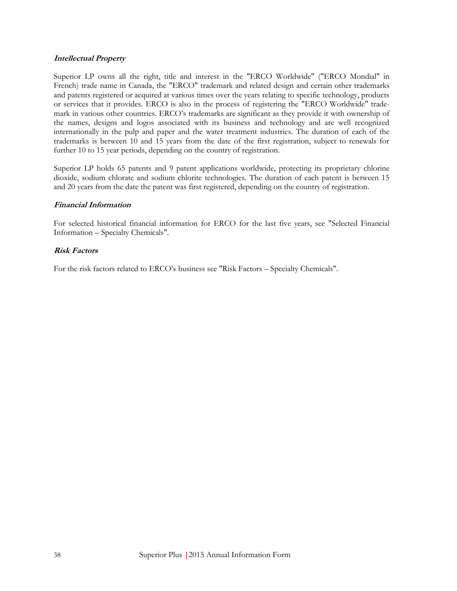### **Intellectual Property**

Superior LP owns all the right, title and interest in the "ERCO Worldwide" ("ERCO Mondial" in French) trade name in Canada, the "ERCO" trademark and related design and certain other trademarks and patents registered or acquired at various times over the years relating to specific technology, products or services that it provides. ERCO is also in the process of registering the "ERCO Worldwide" trademark in various other countries. ERCO's trademarks are significant as they provide it with ownership of the names, designs and logos associated with its business and technology and are well recognized internationally in the pulp and paper and the water treatment industries. The duration of each of the trademarks is between 10 and 15 years from the date of the first registration, subject to renewals for further 10 to 15 year periods, depending on the country of registration.

Superior LP holds 65 patents and 9 patent applications worldwide, protecting its proprietary chlorine dioxide, sodium chlorate and sodium chlorite technologies. The duration of each patent is between 15 and 20 years from the date the patent was first registered, depending on the country of registration.

### **Financial Information**

For selected historical financial information for ERCO for the last five years, see "Selected Financial Information – Specialty Chemicals".

### **Risk Factors**

For the risk factors related to ERCO's business see "Risk Factors – Specialty Chemicals".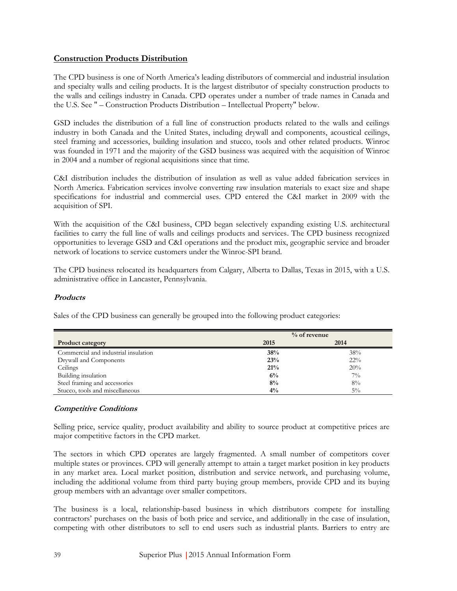# **Construction Products Distribution**

The CPD business is one of North America's leading distributors of commercial and industrial insulation and specialty walls and ceiling products. It is the largest distributor of specialty construction products to the walls and ceilings industry in Canada. CPD operates under a number of trade names in Canada and the U.S. See " – Construction Products Distribution – Intellectual Property" below.

GSD includes the distribution of a full line of construction products related to the walls and ceilings industry in both Canada and the United States, including drywall and components, acoustical ceilings, steel framing and accessories, building insulation and stucco, tools and other related products. Winroc was founded in 1971 and the majority of the GSD business was acquired with the acquisition of Winroc in 2004 and a number of regional acquisitions since that time.

C&I distribution includes the distribution of insulation as well as value added fabrication services in North America. Fabrication services involve converting raw insulation materials to exact size and shape specifications for industrial and commercial uses. CPD entered the C&I market in 2009 with the acquisition of SPI.

With the acquisition of the C&I business, CPD began selectively expanding existing U.S. architectural facilities to carry the full line of walls and ceilings products and services. The CPD business recognized opportunities to leverage GSD and C&I operations and the product mix, geographic service and broader network of locations to service customers under the Winroc-SPI brand.

The CPD business relocated its headquarters from Calgary, Alberta to Dallas, Texas in 2015, with a U.S. administrative office in Lancaster, Pennsylvania.

# **Products**

Sales of the CPD business can generally be grouped into the following product categories:

|                                      | $%$ of revenue |        |
|--------------------------------------|----------------|--------|
| <b>Product category</b>              | 2015           | 2014   |
| Commercial and industrial insulation | 38%            | 38%    |
| Drywall and Components               | 23%            | $22\%$ |
| Ceilings                             | 21%            | 20%    |
| Building insulation                  | 6%             | $7\%$  |
| Steel framing and accessories        | 8%             | 8%     |
| Stucco, tools and miscellaneous      | $4\%$          | $5\%$  |

# **Competitive Conditions**

Selling price, service quality, product availability and ability to source product at competitive prices are major competitive factors in the CPD market.

The sectors in which CPD operates are largely fragmented. A small number of competitors cover multiple states or provinces. CPD will generally attempt to attain a target market position in key products in any market area. Local market position, distribution and service network, and purchasing volume, including the additional volume from third party buying group members, provide CPD and its buying group members with an advantage over smaller competitors.

The business is a local, relationship-based business in which distributors compete for installing contractors' purchases on the basis of both price and service, and additionally in the case of insulation, competing with other distributors to sell to end users such as industrial plants. Barriers to entry are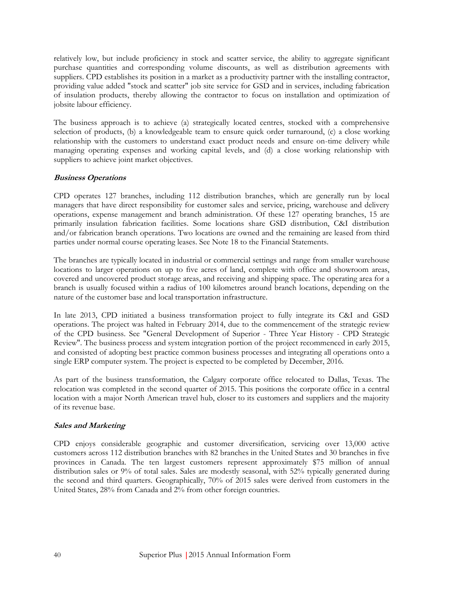relatively low, but include proficiency in stock and scatter service, the ability to aggregate significant purchase quantities and corresponding volume discounts, as well as distribution agreements with suppliers. CPD establishes its position in a market as a productivity partner with the installing contractor, providing value added "stock and scatter" job site service for GSD and in services, including fabrication of insulation products, thereby allowing the contractor to focus on installation and optimization of jobsite labour efficiency.

The business approach is to achieve (a) strategically located centres, stocked with a comprehensive selection of products, (b) a knowledgeable team to ensure quick order turnaround, (c) a close working relationship with the customers to understand exact product needs and ensure on-time delivery while managing operating expenses and working capital levels, and (d) a close working relationship with suppliers to achieve joint market objectives.

### **Business Operations**

CPD operates 127 branches, including 112 distribution branches, which are generally run by local managers that have direct responsibility for customer sales and service, pricing, warehouse and delivery operations, expense management and branch administration. Of these 127 operating branches, 15 are primarily insulation fabrication facilities. Some locations share GSD distribution, C&I distribution and/or fabrication branch operations. Two locations are owned and the remaining are leased from third parties under normal course operating leases. See Note 18 to the Financial Statements.

The branches are typically located in industrial or commercial settings and range from smaller warehouse locations to larger operations on up to five acres of land, complete with office and showroom areas, covered and uncovered product storage areas, and receiving and shipping space. The operating area for a branch is usually focused within a radius of 100 kilometres around branch locations, depending on the nature of the customer base and local transportation infrastructure.

In late 2013, CPD initiated a business transformation project to fully integrate its C&I and GSD operations. The project was halted in February 2014, due to the commencement of the strategic review of the CPD business. See "General Development of Superior - Three Year History - CPD Strategic Review". The business process and system integration portion of the project recommenced in early 2015, and consisted of adopting best practice common business processes and integrating all operations onto a single ERP computer system. The project is expected to be completed by December, 2016.

As part of the business transformation, the Calgary corporate office relocated to Dallas, Texas. The relocation was completed in the second quarter of 2015. This positions the corporate office in a central location with a major North American travel hub, closer to its customers and suppliers and the majority of its revenue base.

# **Sales and Marketing**

CPD enjoys considerable geographic and customer diversification, servicing over 13,000 active customers across 112 distribution branches with 82 branches in the United States and 30 branches in five provinces in Canada. The ten largest customers represent approximately \$75 million of annual distribution sales or 9% of total sales. Sales are modestly seasonal, with 52% typically generated during the second and third quarters. Geographically, 70% of 2015 sales were derived from customers in the United States, 28% from Canada and 2% from other foreign countries.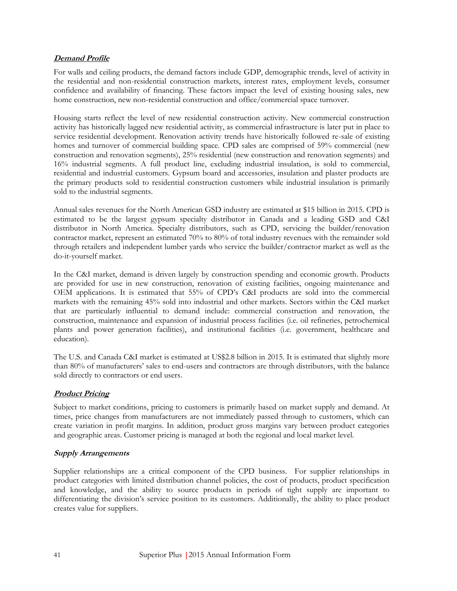# **Demand Profile**

For walls and ceiling products, the demand factors include GDP, demographic trends, level of activity in the residential and non-residential construction markets, interest rates, employment levels, consumer confidence and availability of financing. These factors impact the level of existing housing sales, new home construction, new non-residential construction and office/commercial space turnover.

Housing starts reflect the level of new residential construction activity. New commercial construction activity has historically lagged new residential activity, as commercial infrastructure is later put in place to service residential development. Renovation activity trends have historically followed re-sale of existing homes and turnover of commercial building space. CPD sales are comprised of 59% commercial (new construction and renovation segments), 25% residential (new construction and renovation segments) and 16% industrial segments. A full product line, excluding industrial insulation, is sold to commercial, residential and industrial customers. Gypsum board and accessories, insulation and plaster products are the primary products sold to residential construction customers while industrial insulation is primarily sold to the industrial segments.

Annual sales revenues for the North American GSD industry are estimated at \$15 billion in 2015. CPD is estimated to be the largest gypsum specialty distributor in Canada and a leading GSD and C&I distributor in North America. Specialty distributors, such as CPD, servicing the builder/renovation contractor market, represent an estimated 70% to 80% of total industry revenues with the remainder sold through retailers and independent lumber yards who service the builder/contractor market as well as the do-it-yourself market.

In the C&I market, demand is driven largely by construction spending and economic growth. Products are provided for use in new construction, renovation of existing facilities, ongoing maintenance and OEM applications. It is estimated that 55% of CPD's C&I products are sold into the commercial markets with the remaining 45% sold into industrial and other markets. Sectors within the C&I market that are particularly influential to demand include: commercial construction and renovation, the construction, maintenance and expansion of industrial process facilities (i.e. oil refineries, petrochemical plants and power generation facilities), and institutional facilities (i.e. government, healthcare and education).

The U.S. and Canada C&I market is estimated at US\$2.8 billion in 2015. It is estimated that slightly more than 80% of manufacturers' sales to end-users and contractors are through distributors, with the balance sold directly to contractors or end users.

# **Product Pricing**

Subject to market conditions, pricing to customers is primarily based on market supply and demand. At times, price changes from manufacturers are not immediately passed through to customers, which can create variation in profit margins. In addition, product gross margins vary between product categories and geographic areas. Customer pricing is managed at both the regional and local market level.

# **Supply Arrangements**

Supplier relationships are a critical component of the CPD business. For supplier relationships in product categories with limited distribution channel policies, the cost of products, product specification and knowledge, and the ability to source products in periods of tight supply are important to differentiating the division's service position to its customers. Additionally, the ability to place product creates value for suppliers.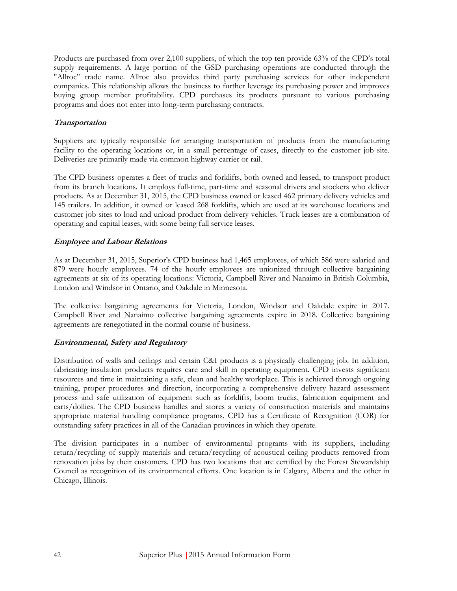Products are purchased from over 2,100 suppliers, of which the top ten provide 63% of the CPD's total supply requirements. A large portion of the GSD purchasing operations are conducted through the "Allroc" trade name. Allroc also provides third party purchasing services for other independent companies. This relationship allows the business to further leverage its purchasing power and improves buying group member profitability. CPD purchases its products pursuant to various purchasing programs and does not enter into long-term purchasing contracts.

# **Transportation**

Suppliers are typically responsible for arranging transportation of products from the manufacturing facility to the operating locations or, in a small percentage of cases, directly to the customer job site. Deliveries are primarily made via common highway carrier or rail.

The CPD business operates a fleet of trucks and forklifts, both owned and leased, to transport product from its branch locations. It employs full-time, part-time and seasonal drivers and stockers who deliver products. As at December 31, 2015, the CPD business owned or leased 462 primary delivery vehicles and 145 trailers. In addition, it owned or leased 268 forklifts, which are used at its warehouse locations and customer job sites to load and unload product from delivery vehicles. Truck leases are a combination of operating and capital leases, with some being full service leases.

# **Employee and Labour Relations**

As at December 31, 2015, Superior's CPD business had 1,465 employees, of which 586 were salaried and 879 were hourly employees. 74 of the hourly employees are unionized through collective bargaining agreements at six of its operating locations: Victoria, Campbell River and Nanaimo in British Columbia, London and Windsor in Ontario, and Oakdale in Minnesota.

The collective bargaining agreements for Victoria, London, Windsor and Oakdale expire in 2017. Campbell River and Nanaimo collective bargaining agreements expire in 2018. Collective bargaining agreements are renegotiated in the normal course of business.

# **Environmental, Safety and Regulatory**

Distribution of walls and ceilings and certain C&I products is a physically challenging job. In addition, fabricating insulation products requires care and skill in operating equipment. CPD invests significant resources and time in maintaining a safe, clean and healthy workplace. This is achieved through ongoing training, proper procedures and direction, incorporating a comprehensive delivery hazard assessment process and safe utilization of equipment such as forklifts, boom trucks, fabrication equipment and carts/dollies. The CPD business handles and stores a variety of construction materials and maintains appropriate material handling compliance programs. CPD has a Certificate of Recognition (COR) for outstanding safety practices in all of the Canadian provinces in which they operate.

The division participates in a number of environmental programs with its suppliers, including return/recycling of supply materials and return/recycling of acoustical ceiling products removed from renovation jobs by their customers. CPD has two locations that are certified by the Forest Stewardship Council as recognition of its environmental efforts. One location is in Calgary, Alberta and the other in Chicago, Illinois.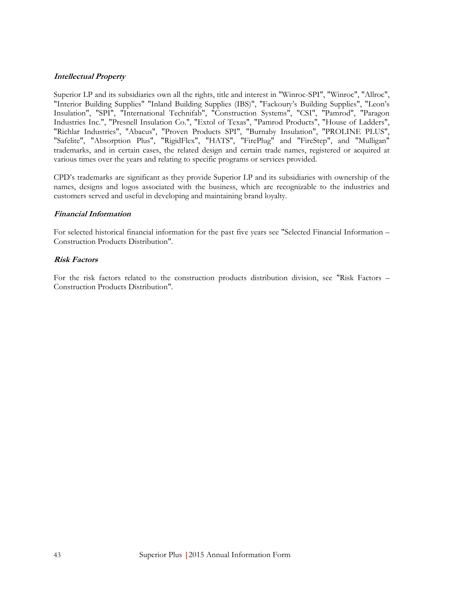# **Intellectual Property**

Superior LP and its subsidiaries own all the rights, title and interest in "Winroc-SPI", "Winroc", "Allroc", "Interior Building Supplies" "Inland Building Supplies (IBS)", "Fackoury's Building Supplies", "Leon's Insulation", "SPI", "International Technifab", "Construction Systems", "CSI", "Pamrod", "Paragon Industries Inc.", "Presnell Insulation Co.", "Extol of Texas", "Pamrod Products", "House of Ladders", "Richlar Industries", "Abacus", "Proven Products SPI", "Burnaby Insulation", "PROLINE PLUS", "Safelite", "Absorption Plus", "RigidFlex", "HATS", "FirePlug" and "FireStep", and "Mulligan" trademarks, and in certain cases, the related design and certain trade names, registered or acquired at various times over the years and relating to specific programs or services provided.

CPD's trademarks are significant as they provide Superior LP and its subsidiaries with ownership of the names, designs and logos associated with the business, which are recognizable to the industries and customers served and useful in developing and maintaining brand loyalty.

### **Financial Information**

For selected historical financial information for the past five years see "Selected Financial Information – Construction Products Distribution".

# **Risk Factors**

For the risk factors related to the construction products distribution division, see "Risk Factors – Construction Products Distribution".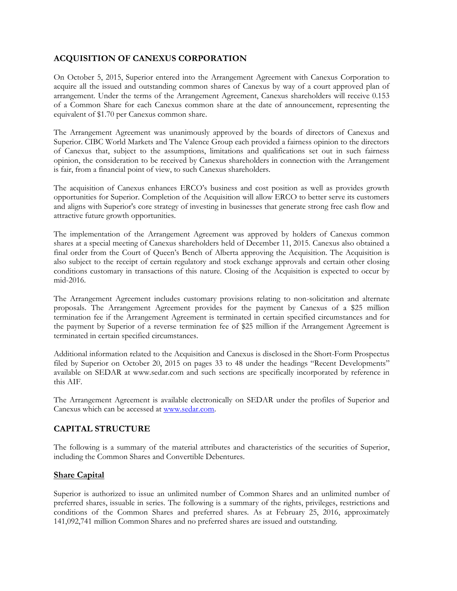# **ACQUISITION OF CANEXUS CORPORATION**

On October 5, 2015, Superior entered into the Arrangement Agreement with Canexus Corporation to acquire all the issued and outstanding common shares of Canexus by way of a court approved plan of arrangement. Under the terms of the Arrangement Agreement, Canexus shareholders will receive 0.153 of a Common Share for each Canexus common share at the date of announcement, representing the equivalent of \$1.70 per Canexus common share.

The Arrangement Agreement was unanimously approved by the boards of directors of Canexus and Superior. CIBC World Markets and The Valence Group each provided a fairness opinion to the directors of Canexus that, subject to the assumptions, limitations and qualifications set out in such fairness opinion, the consideration to be received by Canexus shareholders in connection with the Arrangement is fair, from a financial point of view, to such Canexus shareholders.

The acquisition of Canexus enhances ERCO's business and cost position as well as provides growth opportunities for Superior. Completion of the Acquisition will allow ERCO to better serve its customers and aligns with Superior's core strategy of investing in businesses that generate strong free cash flow and attractive future growth opportunities.

The implementation of the Arrangement Agreement was approved by holders of Canexus common shares at a special meeting of Canexus shareholders held of December 11, 2015. Canexus also obtained a final order from the Court of Queen's Bench of Alberta approving the Acquisition. The Acquisition is also subject to the receipt of certain regulatory and stock exchange approvals and certain other closing conditions customary in transactions of this nature. Closing of the Acquisition is expected to occur by mid-2016.

The Arrangement Agreement includes customary provisions relating to non-solicitation and alternate proposals. The Arrangement Agreement provides for the payment by Canexus of a \$25 million termination fee if the Arrangement Agreement is terminated in certain specified circumstances and for the payment by Superior of a reverse termination fee of \$25 million if the Arrangement Agreement is terminated in certain specified circumstances.

Additional information related to the Acquisition and Canexus is disclosed in the Short-Form Prospectus filed by Superior on October 20, 2015 on pages 33 to 48 under the headings "Recent Developments" available on SEDAR at www.sedar.com and such sections are specifically incorporated by reference in this AIF.

The Arrangement Agreement is available electronically on SEDAR under the profiles of Superior and Canexus which can be accessed at [www.sedar.com.](http://www.sedar.com/)

# **CAPITAL STRUCTURE**

The following is a summary of the material attributes and characteristics of the securities of Superior, including the Common Shares and Convertible Debentures.

# **Share Capital**

Superior is authorized to issue an unlimited number of Common Shares and an unlimited number of preferred shares, issuable in series. The following is a summary of the rights, privileges, restrictions and conditions of the Common Shares and preferred shares. As at February 25, 2016, approximately 141,092,741 million Common Shares and no preferred shares are issued and outstanding.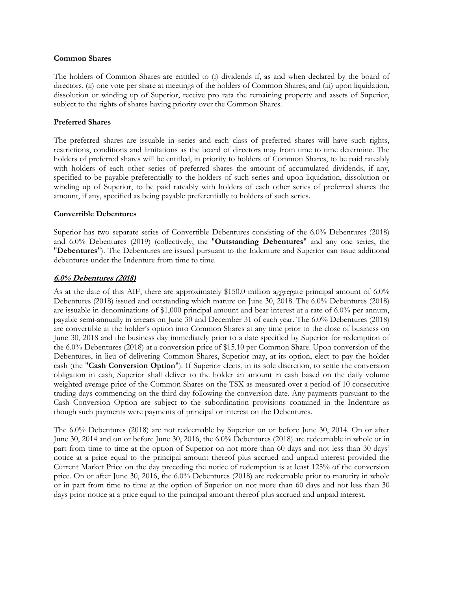#### **Common Shares**

The holders of Common Shares are entitled to (i) dividends if, as and when declared by the board of directors, (ii) one vote per share at meetings of the holders of Common Shares; and (iii) upon liquidation, dissolution or winding up of Superior, receive pro rata the remaining property and assets of Superior, subject to the rights of shares having priority over the Common Shares.

#### **Preferred Shares**

The preferred shares are issuable in series and each class of preferred shares will have such rights, restrictions, conditions and limitations as the board of directors may from time to time determine. The holders of preferred shares will be entitled, in priority to holders of Common Shares, to be paid rateably with holders of each other series of preferred shares the amount of accumulated dividends, if any, specified to be payable preferentially to the holders of such series and upon liquidation, dissolution or winding up of Superior, to be paid rateably with holders of each other series of preferred shares the amount, if any, specified as being payable preferentially to holders of such series.

### **Convertible Debentures**

Superior has two separate series of Convertible Debentures consisting of the 6.0% Debentures (2018) and 6.0% Debentures (2019) (collectively, the "**Outstanding Debentures**" and any one series, the "**Debentures**"). The Debentures are issued pursuant to the Indenture and Superior can issue additional debentures under the Indenture from time to time.

### **6.0% Debentures (2018)**

As at the date of this AIF, there are approximately \$150.0 million aggregate principal amount of 6.0% Debentures (2018) issued and outstanding which mature on June 30, 2018. The 6.0% Debentures (2018) are issuable in denominations of \$1,000 principal amount and bear interest at a rate of 6.0% per annum, payable semi-annually in arrears on June 30 and December 31 of each year. The 6.0% Debentures (2018) are convertible at the holder's option into Common Shares at any time prior to the close of business on June 30, 2018 and the business day immediately prior to a date specified by Superior for redemption of the 6.0% Debentures (2018) at a conversion price of \$15.10 per Common Share. Upon conversion of the Debentures, in lieu of delivering Common Shares, Superior may, at its option, elect to pay the holder cash (the "**Cash Conversion Option**"). If Superior elects, in its sole discretion, to settle the conversion obligation in cash, Superior shall deliver to the holder an amount in cash based on the daily volume weighted average price of the Common Shares on the TSX as measured over a period of 10 consecutive trading days commencing on the third day following the conversion date. Any payments pursuant to the Cash Conversion Option are subject to the subordination provisions contained in the Indenture as though such payments were payments of principal or interest on the Debentures.

The 6.0% Debentures (2018) are not redeemable by Superior on or before June 30, 2014. On or after June 30, 2014 and on or before June 30, 2016, the 6.0% Debentures (2018) are redeemable in whole or in part from time to time at the option of Superior on not more than 60 days and not less than 30 days' notice at a price equal to the principal amount thereof plus accrued and unpaid interest provided the Current Market Price on the day preceding the notice of redemption is at least 125% of the conversion price. On or after June 30, 2016, the 6.0% Debentures (2018) are redeemable prior to maturity in whole or in part from time to time at the option of Superior on not more than 60 days and not less than 30 days prior notice at a price equal to the principal amount thereof plus accrued and unpaid interest.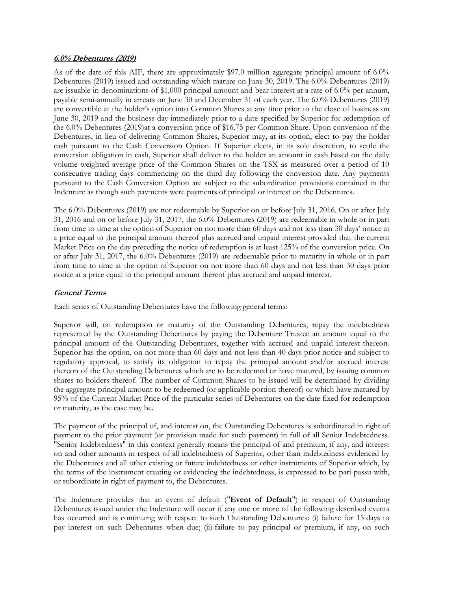#### **6.0% Debentures (2019)**

As of the date of this AIF, there are approximately \$97.0 million aggregate principal amount of 6.0% Debentures (2019) issued and outstanding which mature on June 30, 2019. The 6.0% Debentures (2019) are issuable in denominations of \$1,000 principal amount and bear interest at a rate of 6.0% per annum, payable semi-annually in arrears on June 30 and December 31 of each year. The 6.0% Debentures (2019) are convertible at the holder's option into Common Shares at any time prior to the close of business on June 30, 2019 and the business day immediately prior to a date specified by Superior for redemption of the 6.0% Debentures (2019)at a conversion price of \$16.75 per Common Share. Upon conversion of the Debentures, in lieu of delivering Common Shares, Superior may, at its option, elect to pay the holder cash pursuant to the Cash Conversion Option. If Superior elects, in its sole discretion, to settle the conversion obligation in cash, Superior shall deliver to the holder an amount in cash based on the daily volume weighted average price of the Common Shares on the TSX as measured over a period of 10 consecutive trading days commencing on the third day following the conversion date. Any payments pursuant to the Cash Conversion Option are subject to the subordination provisions contained in the Indenture as though such payments were payments of principal or interest on the Debentures.

The 6.0% Debentures (2019) are not redeemable by Superior on or before July 31, 2016. On or after July 31, 2016 and on or before July 31, 2017, the 6.0% Debentures (2019) are redeemable in whole or in part from time to time at the option of Superior on not more than 60 days and not less than 30 days' notice at a price equal to the principal amount thereof plus accrued and unpaid interest provided that the current Market Price on the day preceding the notice of redemption is at least 125% of the conversion price. On or after July 31, 2017, the 6.0% Debentures (2019) are redeemable prior to maturity in whole or in part from time to time at the option of Superior on not more than 60 days and not less than 30 days prior notice at a price equal to the principal amount thereof plus accrued and unpaid interest.

# **General Terms**

Each series of Outstanding Debentures have the following general terms:

Superior will, on redemption or maturity of the Outstanding Debentures, repay the indebtedness represented by the Outstanding Debentures by paying the Debenture Trustee an amount equal to the principal amount of the Outstanding Debentures, together with accrued and unpaid interest thereon. Superior has the option, on not more than 60 days and not less than 40 days prior notice and subject to regulatory approval, to satisfy its obligation to repay the principal amount and/or accrued interest thereon of the Outstanding Debentures which are to be redeemed or have matured, by issuing common shares to holders thereof. The number of Common Shares to be issued will be determined by dividing the aggregate principal amount to be redeemed (or applicable portion thereof) or which have matured by 95% of the Current Market Price of the particular series of Debentures on the date fixed for redemption or maturity, as the case may be.

The payment of the principal of, and interest on, the Outstanding Debentures is subordinated in right of payment to the prior payment (or provision made for such payment) in full of all Senior Indebtedness. "Senior Indebtedness" in this context generally means the principal of and premium, if any, and interest on and other amounts in respect of all indebtedness of Superior, other than indebtedness evidenced by the Debentures and all other existing or future indebtedness or other instruments of Superior which, by the terms of the instrument creating or evidencing the indebtedness, is expressed to be pari passu with, or subordinate in right of payment to, the Debentures.

The Indenture provides that an event of default ("**Event of Default**") in respect of Outstanding Debentures issued under the Indenture will occur if any one or more of the following described events has occurred and is continuing with respect to such Outstanding Debentures: (i) failure for 15 days to pay interest on such Debentures when due; (ii) failure to pay principal or premium, if any, on such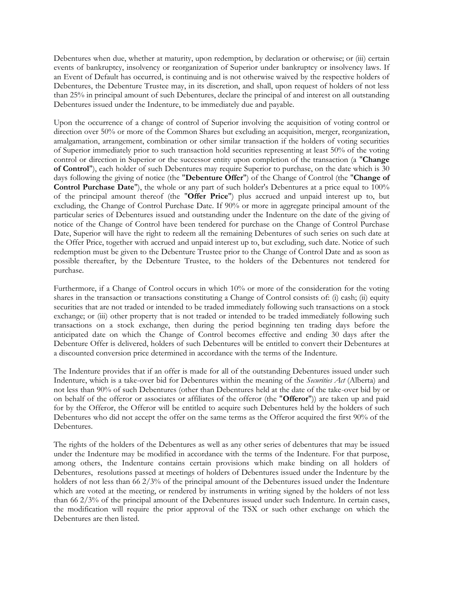Debentures when due, whether at maturity, upon redemption, by declaration or otherwise; or (iii) certain events of bankruptcy, insolvency or reorganization of Superior under bankruptcy or insolvency laws. If an Event of Default has occurred, is continuing and is not otherwise waived by the respective holders of Debentures, the Debenture Trustee may, in its discretion, and shall, upon request of holders of not less than 25% in principal amount of such Debentures, declare the principal of and interest on all outstanding Debentures issued under the Indenture, to be immediately due and payable.

Upon the occurrence of a change of control of Superior involving the acquisition of voting control or direction over 50% or more of the Common Shares but excluding an acquisition, merger, reorganization, amalgamation, arrangement, combination or other similar transaction if the holders of voting securities of Superior immediately prior to such transaction hold securities representing at least 50% of the voting control or direction in Superior or the successor entity upon completion of the transaction (a "**Change of Control**"), each holder of such Debentures may require Superior to purchase, on the date which is 30 days following the giving of notice (the "**Debenture Offer**") of the Change of Control (the "**Change of Control Purchase Date**"), the whole or any part of such holder's Debentures at a price equal to 100% of the principal amount thereof (the "**Offer Price**") plus accrued and unpaid interest up to, but excluding, the Change of Control Purchase Date. If 90% or more in aggregate principal amount of the particular series of Debentures issued and outstanding under the Indenture on the date of the giving of notice of the Change of Control have been tendered for purchase on the Change of Control Purchase Date, Superior will have the right to redeem all the remaining Debentures of such series on such date at the Offer Price, together with accrued and unpaid interest up to, but excluding, such date. Notice of such redemption must be given to the Debenture Trustee prior to the Change of Control Date and as soon as possible thereafter, by the Debenture Trustee, to the holders of the Debentures not tendered for purchase.

Furthermore, if a Change of Control occurs in which 10% or more of the consideration for the voting shares in the transaction or transactions constituting a Change of Control consists of: (i) cash; (ii) equity securities that are not traded or intended to be traded immediately following such transactions on a stock exchange; or (iii) other property that is not traded or intended to be traded immediately following such transactions on a stock exchange, then during the period beginning ten trading days before the anticipated date on which the Change of Control becomes effective and ending 30 days after the Debenture Offer is delivered, holders of such Debentures will be entitled to convert their Debentures at a discounted conversion price determined in accordance with the terms of the Indenture.

The Indenture provides that if an offer is made for all of the outstanding Debentures issued under such Indenture, which is a take-over bid for Debentures within the meaning of the *Securities Act* (Alberta) and not less than 90% of such Debentures (other than Debentures held at the date of the take-over bid by or on behalf of the offeror or associates or affiliates of the offeror (the "**Offeror**")) are taken up and paid for by the Offeror, the Offeror will be entitled to acquire such Debentures held by the holders of such Debentures who did not accept the offer on the same terms as the Offeror acquired the first 90% of the Debentures.

The rights of the holders of the Debentures as well as any other series of debentures that may be issued under the Indenture may be modified in accordance with the terms of the Indenture. For that purpose, among others, the Indenture contains certain provisions which make binding on all holders of Debentures, resolutions passed at meetings of holders of Debentures issued under the Indenture by the holders of not less than 66 2/3% of the principal amount of the Debentures issued under the Indenture which are voted at the meeting, or rendered by instruments in writing signed by the holders of not less than 66 2/3% of the principal amount of the Debentures issued under such Indenture. In certain cases, the modification will require the prior approval of the TSX or such other exchange on which the Debentures are then listed.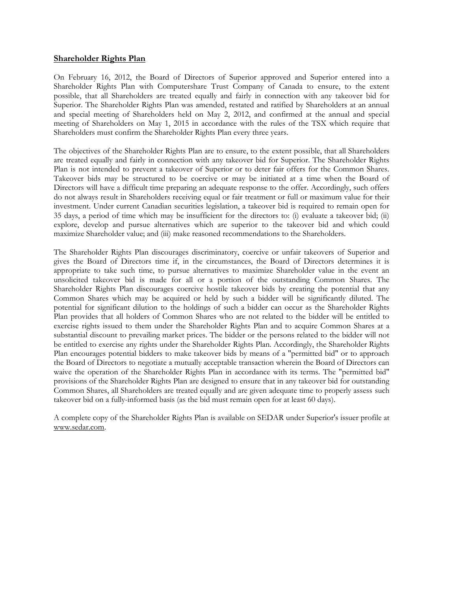### **Shareholder Rights Plan**

On February 16, 2012, the Board of Directors of Superior approved and Superior entered into a Shareholder Rights Plan with Computershare Trust Company of Canada to ensure, to the extent possible, that all Shareholders are treated equally and fairly in connection with any takeover bid for Superior. The Shareholder Rights Plan was amended, restated and ratified by Shareholders at an annual and special meeting of Shareholders held on May 2, 2012, and confirmed at the annual and special meeting of Shareholders on May 1, 2015 in accordance with the rules of the TSX which require that Shareholders must confirm the Shareholder Rights Plan every three years.

The objectives of the Shareholder Rights Plan are to ensure, to the extent possible, that all Shareholders are treated equally and fairly in connection with any takeover bid for Superior. The Shareholder Rights Plan is not intended to prevent a takeover of Superior or to deter fair offers for the Common Shares. Takeover bids may be structured to be coercive or may be initiated at a time when the Board of Directors will have a difficult time preparing an adequate response to the offer. Accordingly, such offers do not always result in Shareholders receiving equal or fair treatment or full or maximum value for their investment. Under current Canadian securities legislation, a takeover bid is required to remain open for 35 days, a period of time which may be insufficient for the directors to: (i) evaluate a takeover bid; (ii) explore, develop and pursue alternatives which are superior to the takeover bid and which could maximize Shareholder value; and (iii) make reasoned recommendations to the Shareholders.

The Shareholder Rights Plan discourages discriminatory, coercive or unfair takeovers of Superior and gives the Board of Directors time if, in the circumstances, the Board of Directors determines it is appropriate to take such time, to pursue alternatives to maximize Shareholder value in the event an unsolicited takeover bid is made for all or a portion of the outstanding Common Shares. The Shareholder Rights Plan discourages coercive hostile takeover bids by creating the potential that any Common Shares which may be acquired or held by such a bidder will be significantly diluted. The potential for significant dilution to the holdings of such a bidder can occur as the Shareholder Rights Plan provides that all holders of Common Shares who are not related to the bidder will be entitled to exercise rights issued to them under the Shareholder Rights Plan and to acquire Common Shares at a substantial discount to prevailing market prices. The bidder or the persons related to the bidder will not be entitled to exercise any rights under the Shareholder Rights Plan. Accordingly, the Shareholder Rights Plan encourages potential bidders to make takeover bids by means of a "permitted bid" or to approach the Board of Directors to negotiate a mutually acceptable transaction wherein the Board of Directors can waive the operation of the Shareholder Rights Plan in accordance with its terms. The "permitted bid" provisions of the Shareholder Rights Plan are designed to ensure that in any takeover bid for outstanding Common Shares, all Shareholders are treated equally and are given adequate time to properly assess such takeover bid on a fully-informed basis (as the bid must remain open for at least 60 days).

A complete copy of the Shareholder Rights Plan is available on SEDAR under Superior's issuer profile at www.sedar.com.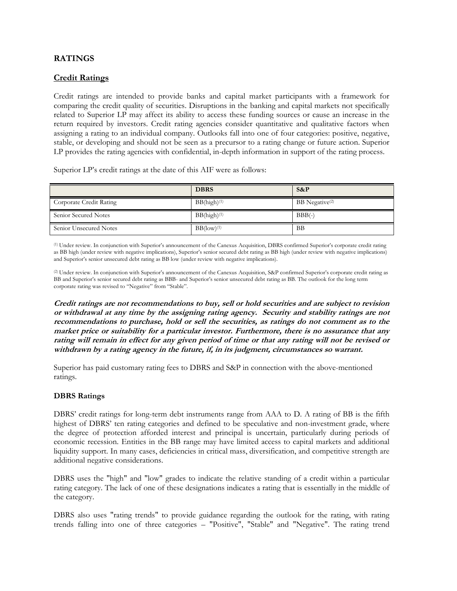# **RATINGS**

# **Credit Ratings**

Credit ratings are intended to provide banks and capital market participants with a framework for comparing the credit quality of securities. Disruptions in the banking and capital markets not specifically related to Superior LP may affect its ability to access these funding sources or cause an increase in the return required by investors. Credit rating agencies consider quantitative and qualitative factors when assigning a rating to an individual company. Outlooks fall into one of four categories: positive, negative, stable, or developing and should not be seen as a precursor to a rating change or future action. Superior LP provides the rating agencies with confidential, in-depth information in support of the rating process.

Superior LP's credit ratings at the date of this AIF were as follows:

|                         | <b>DBRS</b>               | $S\&P$                     |
|-------------------------|---------------------------|----------------------------|
| Corporate Credit Rating | $BB(high)^{(1)}$          | BB Negative <sup>(2)</sup> |
| Senior Secured Notes    | $BB(high)^{(1)}$          | $BBB(-)$                   |
| Senior Unsecured Notes  | $BB$ (low) <sup>(1)</sup> | BB                         |

(1) Under review. In conjunction with Superior's announcement of the Canexus Acquisition, DBRS confirmed Superior's corporate credit rating as BB high (under review with negative implications), Superior's senior secured debt rating as BB high (under review with negative implications) and Superior's senior unsecured debt rating as BB low (under review with negative implications).

(2) Under review. In conjunction with Superior's announcement of the Canexus Acquisition, S&P confirmed Superior's corporate credit rating as BB and Superior's senior secured debt rating as BBB- and Superior's senior unsecured debt rating as BB. The outlook for the long term corporate rating was revised to "Negative" from "Stable".

**Credit ratings are not recommendations to buy, sell or hold securities and are subject to revision or withdrawal at any time by the assigning rating agency. Security and stability ratings are not recommendations to purchase, hold or sell the securities, as ratings do not comment as to the market price or suitability for a particular investor. Furthermore, there is no assurance that any rating will remain in effect for any given period of time or that any rating will not be revised or withdrawn by a rating agency in the future, if, in its judgment, circumstances so warrant.**

Superior has paid customary rating fees to DBRS and S&P in connection with the above-mentioned ratings.

# **DBRS Ratings**

DBRS' credit ratings for long-term debt instruments range from AAA to D. A rating of BB is the fifth highest of DBRS' ten rating categories and defined to be speculative and non-investment grade, where the degree of protection afforded interest and principal is uncertain, particularly during periods of economic recession. Entities in the BB range may have limited access to capital markets and additional liquidity support. In many cases, deficiencies in critical mass, diversification, and competitive strength are additional negative considerations.

DBRS uses the "high" and "low" grades to indicate the relative standing of a credit within a particular rating category. The lack of one of these designations indicates a rating that is essentially in the middle of the category.

DBRS also uses "rating trends" to provide guidance regarding the outlook for the rating, with rating trends falling into one of three categories – "Positive", "Stable" and "Negative". The rating trend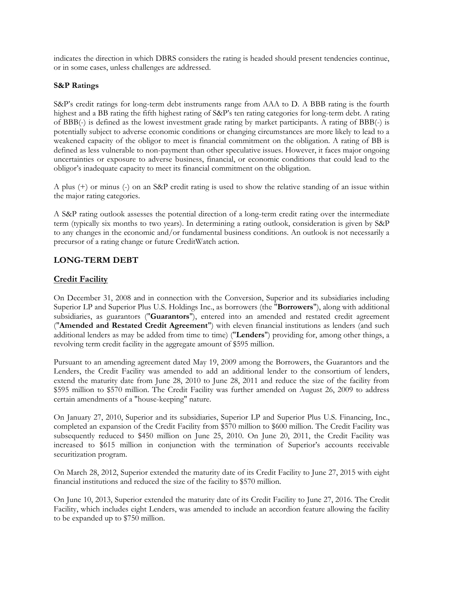indicates the direction in which DBRS considers the rating is headed should present tendencies continue, or in some cases, unless challenges are addressed.

### **S&P Ratings**

S&P's credit ratings for long-term debt instruments range from AAA to D. A BBB rating is the fourth highest and a BB rating the fifth highest rating of S&P's ten rating categories for long-term debt. A rating of BBB(-) is defined as the lowest investment grade rating by market participants. A rating of BBB(-) is potentially subject to adverse economic conditions or changing circumstances are more likely to lead to a weakened capacity of the obligor to meet is financial commitment on the obligation. A rating of BB is defined as less vulnerable to non-payment than other speculative issues. However, it faces major ongoing uncertainties or exposure to adverse business, financial, or economic conditions that could lead to the obligor's inadequate capacity to meet its financial commitment on the obligation.

A plus (+) or minus (-) on an S&P credit rating is used to show the relative standing of an issue within the major rating categories.

A S&P rating outlook assesses the potential direction of a long-term credit rating over the intermediate term (typically six months to two years). In determining a rating outlook, consideration is given by S&P to any changes in the economic and/or fundamental business conditions. An outlook is not necessarily a precursor of a rating change or future CreditWatch action.

# **LONG-TERM DEBT**

# **Credit Facility**

On December 31, 2008 and in connection with the Conversion, Superior and its subsidiaries including Superior LP and Superior Plus U.S. Holdings Inc., as borrowers (the "**Borrowers**"), along with additional subsidiaries, as guarantors ("**Guarantors**"), entered into an amended and restated credit agreement ("**Amended and Restated Credit Agreement**") with eleven financial institutions as lenders (and such additional lenders as may be added from time to time) ("**Lenders**") providing for, among other things, a revolving term credit facility in the aggregate amount of \$595 million.

Pursuant to an amending agreement dated May 19, 2009 among the Borrowers, the Guarantors and the Lenders, the Credit Facility was amended to add an additional lender to the consortium of lenders, extend the maturity date from June 28, 2010 to June 28, 2011 and reduce the size of the facility from \$595 million to \$570 million. The Credit Facility was further amended on August 26, 2009 to address certain amendments of a "house-keeping" nature.

On January 27, 2010, Superior and its subsidiaries, Superior LP and Superior Plus U.S. Financing, Inc., completed an expansion of the Credit Facility from \$570 million to \$600 million. The Credit Facility was subsequently reduced to \$450 million on June 25, 2010. On June 20, 2011, the Credit Facility was increased to \$615 million in conjunction with the termination of Superior's accounts receivable securitization program.

On March 28, 2012, Superior extended the maturity date of its Credit Facility to June 27, 2015 with eight financial institutions and reduced the size of the facility to \$570 million.

On June 10, 2013, Superior extended the maturity date of its Credit Facility to June 27, 2016. The Credit Facility, which includes eight Lenders, was amended to include an accordion feature allowing the facility to be expanded up to \$750 million.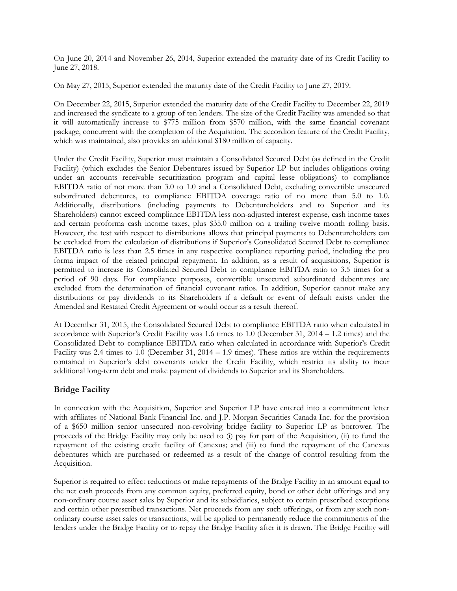On June 20, 2014 and November 26, 2014, Superior extended the maturity date of its Credit Facility to June 27, 2018.

On May 27, 2015, Superior extended the maturity date of the Credit Facility to June 27, 2019.

On December 22, 2015, Superior extended the maturity date of the Credit Facility to December 22, 2019 and increased the syndicate to a group of ten lenders. The size of the Credit Facility was amended so that it will automatically increase to \$775 million from \$570 million, with the same financial covenant package, concurrent with the completion of the Acquisition. The accordion feature of the Credit Facility, which was maintained, also provides an additional \$180 million of capacity.

Under the Credit Facility, Superior must maintain a Consolidated Secured Debt (as defined in the Credit Facility) (which excludes the Senior Debentures issued by Superior LP but includes obligations owing under an accounts receivable securitization program and capital lease obligations) to compliance EBITDA ratio of not more than 3.0 to 1.0 and a Consolidated Debt, excluding convertible unsecured subordinated debentures, to compliance EBITDA coverage ratio of no more than 5.0 to 1.0. Additionally, distributions (including payments to Debentureholders and to Superior and its Shareholders) cannot exceed compliance EBITDA less non-adjusted interest expense, cash income taxes and certain proforma cash income taxes, plus \$35.0 million on a trailing twelve month rolling basis. However, the test with respect to distributions allows that principal payments to Debentureholders can be excluded from the calculation of distributions if Superior's Consolidated Secured Debt to compliance EBITDA ratio is less than 2.5 times in any respective compliance reporting period, including the pro forma impact of the related principal repayment. In addition, as a result of acquisitions, Superior is permitted to increase its Consolidated Secured Debt to compliance EBITDA ratio to 3.5 times for a period of 90 days. For compliance purposes, convertible unsecured subordinated debentures are excluded from the determination of financial covenant ratios. In addition, Superior cannot make any distributions or pay dividends to its Shareholders if a default or event of default exists under the Amended and Restated Credit Agreement or would occur as a result thereof.

At December 31, 2015, the Consolidated Secured Debt to compliance EBITDA ratio when calculated in accordance with Superior's Credit Facility was 1.6 times to 1.0 (December 31, 2014 – 1.2 times) and the Consolidated Debt to compliance EBITDA ratio when calculated in accordance with Superior's Credit Facility was 2.4 times to 1.0 (December 31, 2014 – 1.9 times). These ratios are within the requirements contained in Superior's debt covenants under the Credit Facility, which restrict its ability to incur additional long-term debt and make payment of dividends to Superior and its Shareholders.

# **Bridge Facility**

In connection with the Acquisition, Superior and Superior LP have entered into a commitment letter with affiliates of National Bank Financial Inc. and J.P. Morgan Securities Canada Inc. for the provision of a \$650 million senior unsecured non-revolving bridge facility to Superior LP as borrower. The proceeds of the Bridge Facility may only be used to (i) pay for part of the Acquisition, (ii) to fund the repayment of the existing credit facility of Canexus; and (iii) to fund the repayment of the Canexus debentures which are purchased or redeemed as a result of the change of control resulting from the Acquisition.

Superior is required to effect reductions or make repayments of the Bridge Facility in an amount equal to the net cash proceeds from any common equity, preferred equity, bond or other debt offerings and any non-ordinary course asset sales by Superior and its subsidiaries, subject to certain prescribed exceptions and certain other prescribed transactions. Net proceeds from any such offerings, or from any such nonordinary course asset sales or transactions, will be applied to permanently reduce the commitments of the lenders under the Bridge Facility or to repay the Bridge Facility after it is drawn. The Bridge Facility will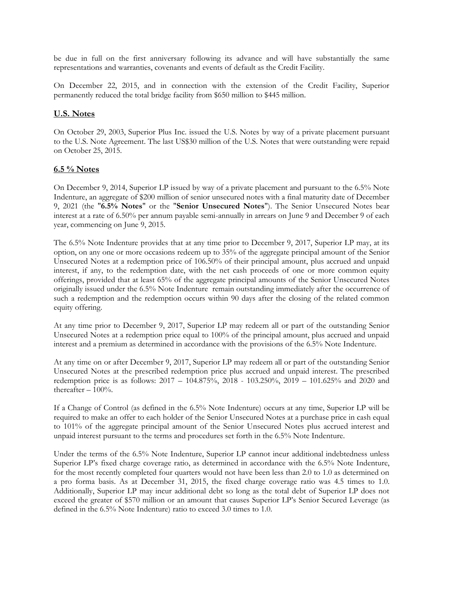be due in full on the first anniversary following its advance and will have substantially the same representations and warranties, covenants and events of default as the Credit Facility.

On December 22, 2015, and in connection with the extension of the Credit Facility, Superior permanently reduced the total bridge facility from \$650 million to \$445 million.

# **U.S. Notes**

On October 29, 2003, Superior Plus Inc. issued the U.S. Notes by way of a private placement pursuant to the U.S. Note Agreement. The last US\$30 million of the U.S. Notes that were outstanding were repaid on October 25, 2015.

# **6.5 % Notes**

On December 9, 2014, Superior LP issued by way of a private placement and pursuant to the 6.5% Note Indenture, an aggregate of \$200 million of senior unsecured notes with a final maturity date of December 9, 2021 (the "**6.5% Notes**" or the "**Senior Unsecured Notes**"). The Senior Unsecured Notes bear interest at a rate of 6.50% per annum payable semi-annually in arrears on June 9 and December 9 of each year, commencing on June 9, 2015.

The 6.5% Note Indenture provides that at any time prior to December 9, 2017, Superior LP may, at its option, on any one or more occasions redeem up to 35% of the aggregate principal amount of the Senior Unsecured Notes at a redemption price of 106.50% of their principal amount, plus accrued and unpaid interest, if any, to the redemption date, with the net cash proceeds of one or more common equity offerings, provided that at least 65% of the aggregate principal amounts of the Senior Unsecured Notes originally issued under the 6.5% Note Indenture remain outstanding immediately after the occurrence of such a redemption and the redemption occurs within 90 days after the closing of the related common equity offering.

At any time prior to December 9, 2017, Superior LP may redeem all or part of the outstanding Senior Unsecured Notes at a redemption price equal to 100% of the principal amount, plus accrued and unpaid interest and a premium as determined in accordance with the provisions of the 6.5% Note Indenture.

At any time on or after December 9, 2017, Superior LP may redeem all or part of the outstanding Senior Unsecured Notes at the prescribed redemption price plus accrued and unpaid interest. The prescribed redemption price is as follows: 2017 – 104.875%, 2018 - 103.250%, 2019 – 101.625% and 2020 and thereafter  $-100%$ .

If a Change of Control (as defined in the 6.5% Note Indenture) occurs at any time, Superior LP will be required to make an offer to each holder of the Senior Unsecured Notes at a purchase price in cash equal to 101% of the aggregate principal amount of the Senior Unsecured Notes plus accrued interest and unpaid interest pursuant to the terms and procedures set forth in the 6.5% Note Indenture.

Under the terms of the 6.5% Note Indenture, Superior LP cannot incur additional indebtedness unless Superior LP's fixed charge coverage ratio, as determined in accordance with the 6.5% Note Indenture, for the most recently completed four quarters would not have been less than 2.0 to 1.0 as determined on a pro forma basis. As at December 31, 2015, the fixed charge coverage ratio was 4.5 times to 1.0. Additionally, Superior LP may incur additional debt so long as the total debt of Superior LP does not exceed the greater of \$570 million or an amount that causes Superior LP's Senior Secured Leverage (as defined in the 6.5% Note Indenture) ratio to exceed 3.0 times to 1.0.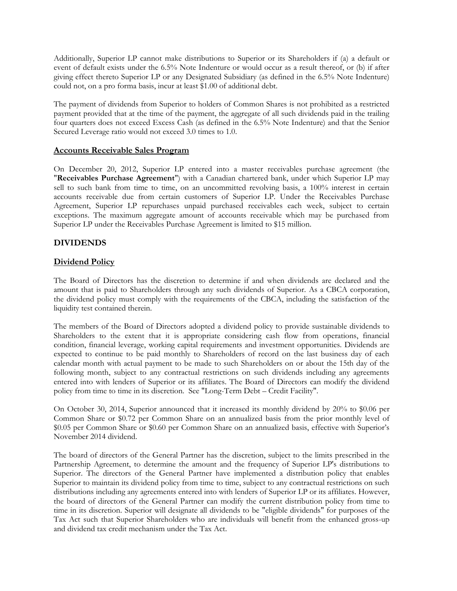Additionally, Superior LP cannot make distributions to Superior or its Shareholders if (a) a default or event of default exists under the 6.5% Note Indenture or would occur as a result thereof, or (b) if after giving effect thereto Superior LP or any Designated Subsidiary (as defined in the 6.5% Note Indenture) could not, on a pro forma basis, incur at least \$1.00 of additional debt.

The payment of dividends from Superior to holders of Common Shares is not prohibited as a restricted payment provided that at the time of the payment, the aggregate of all such dividends paid in the trailing four quarters does not exceed Excess Cash (as defined in the 6.5% Note Indenture) and that the Senior Secured Leverage ratio would not exceed 3.0 times to 1.0.

# **Accounts Receivable Sales Program**

On December 20, 2012, Superior LP entered into a master receivables purchase agreement (the "**Receivables Purchase Agreement**") with a Canadian chartered bank, under which Superior LP may sell to such bank from time to time, on an uncommitted revolving basis, a 100% interest in certain accounts receivable due from certain customers of Superior LP. Under the Receivables Purchase Agreement, Superior LP repurchases unpaid purchased receivables each week, subject to certain exceptions. The maximum aggregate amount of accounts receivable which may be purchased from Superior LP under the Receivables Purchase Agreement is limited to \$15 million.

# **DIVIDENDS**

# **Dividend Policy**

The Board of Directors has the discretion to determine if and when dividends are declared and the amount that is paid to Shareholders through any such dividends of Superior. As a CBCA corporation, the dividend policy must comply with the requirements of the CBCA, including the satisfaction of the liquidity test contained therein.

The members of the Board of Directors adopted a dividend policy to provide sustainable dividends to Shareholders to the extent that it is appropriate considering cash flow from operations, financial condition, financial leverage, working capital requirements and investment opportunities. Dividends are expected to continue to be paid monthly to Shareholders of record on the last business day of each calendar month with actual payment to be made to such Shareholders on or about the 15th day of the following month, subject to any contractual restrictions on such dividends including any agreements entered into with lenders of Superior or its affiliates. The Board of Directors can modify the dividend policy from time to time in its discretion. See "Long-Term Debt – Credit Facility".

On October 30, 2014, Superior announced that it increased its monthly dividend by 20% to \$0.06 per Common Share or \$0.72 per Common Share on an annualized basis from the prior monthly level of \$0.05 per Common Share or \$0.60 per Common Share on an annualized basis, effective with Superior's November 2014 dividend.

The board of directors of the General Partner has the discretion, subject to the limits prescribed in the Partnership Agreement, to determine the amount and the frequency of Superior LP's distributions to Superior. The directors of the General Partner have implemented a distribution policy that enables Superior to maintain its dividend policy from time to time, subject to any contractual restrictions on such distributions including any agreements entered into with lenders of Superior LP or its affiliates. However, the board of directors of the General Partner can modify the current distribution policy from time to time in its discretion. Superior will designate all dividends to be "eligible dividends" for purposes of the Tax Act such that Superior Shareholders who are individuals will benefit from the enhanced gross-up and dividend tax credit mechanism under the Tax Act.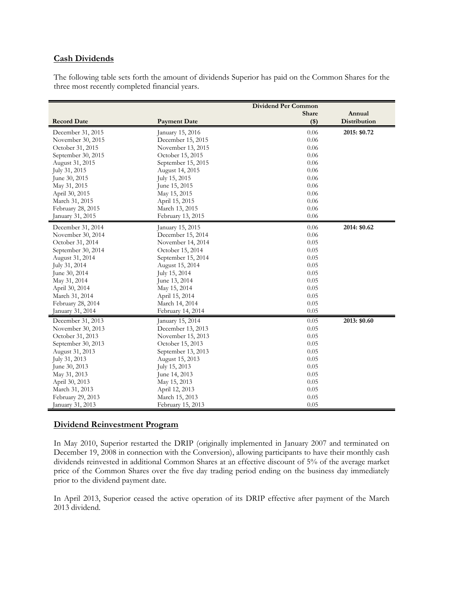# **Cash Dividends**

The following table sets forth the amount of dividends Superior has paid on the Common Shares for the three most recently completed financial years.

|                    |                     | <b>Dividend Per Common</b> |              |
|--------------------|---------------------|----------------------------|--------------|
|                    |                     | Share                      | Annual       |
| <b>Record Date</b> | <b>Payment Date</b> | $($ \$)                    | Distribution |
| December 31, 2015  | January 15, 2016    | 0.06                       | 2015: \$0.72 |
| November 30, 2015  | December 15, 2015   | 0.06                       |              |
| October 31, 2015   | November 13, 2015   | 0.06                       |              |
| September 30, 2015 | October 15, 2015    | 0.06                       |              |
| August 31, 2015    | September 15, 2015  | 0.06                       |              |
| July 31, 2015      | August 14, 2015     | 0.06                       |              |
| June 30, 2015      | July 15, 2015       | 0.06                       |              |
| May 31, 2015       | June 15, 2015       | 0.06                       |              |
| April 30, 2015     | May 15, 2015        | 0.06                       |              |
| March 31, 2015     | April 15, 2015      | 0.06                       |              |
| February 28, 2015  | March 13, 2015      | 0.06                       |              |
| January 31, 2015   | February 13, 2015   | 0.06                       |              |
| December 31, 2014  | January 15, 2015    | 0.06                       | 2014: \$0.62 |
| November 30, 2014  | December 15, 2014   | 0.06                       |              |
| October 31, 2014   | November 14, 2014   | 0.05                       |              |
| September 30, 2014 | October 15, 2014    | 0.05                       |              |
| August 31, 2014    | September 15, 2014  | 0.05                       |              |
| July 31, 2014      | August 15, 2014     | 0.05                       |              |
| June 30, 2014      | July 15, 2014       | 0.05                       |              |
| May 31, 2014       | June 13, 2014       | 0.05                       |              |
| April 30, 2014     | May 15, 2014        | 0.05                       |              |
| March 31, 2014     | April 15, 2014      | 0.05                       |              |
| February 28, 2014  | March 14, 2014      | 0.05                       |              |
| January 31, 2014   | February 14, 2014   | 0.05                       |              |
| December 31, 2013  | January 15, 2014    | 0.05                       | 2013: \$0.60 |
| November 30, 2013  | December 13, 2013   | 0.05                       |              |
| October 31, 2013   | November 15, 2013   | 0.05                       |              |
| September 30, 2013 | October 15, 2013    | 0.05                       |              |
| August 31, 2013    | September 13, 2013  | 0.05                       |              |
| July 31, 2013      | August 15, 2013     | 0.05                       |              |
| June 30, 2013      | July 15, 2013       | 0.05                       |              |
| May 31, 2013       | June 14, 2013       | 0.05                       |              |
| April 30, 2013     | May 15, 2013        | 0.05                       |              |
| March 31, 2013     | April 12, 2013      | 0.05                       |              |
| February 29, 2013  | March 15, 2013      | 0.05                       |              |
| January 31, 2013   | February 15, 2013   | 0.05                       |              |

# **Dividend Reinvestment Program**

In May 2010, Superior restarted the DRIP (originally implemented in January 2007 and terminated on December 19, 2008 in connection with the Conversion), allowing participants to have their monthly cash dividends reinvested in additional Common Shares at an effective discount of 5% of the average market price of the Common Shares over the five day trading period ending on the business day immediately prior to the dividend payment date.

In April 2013, Superior ceased the active operation of its DRIP effective after payment of the March 2013 dividend.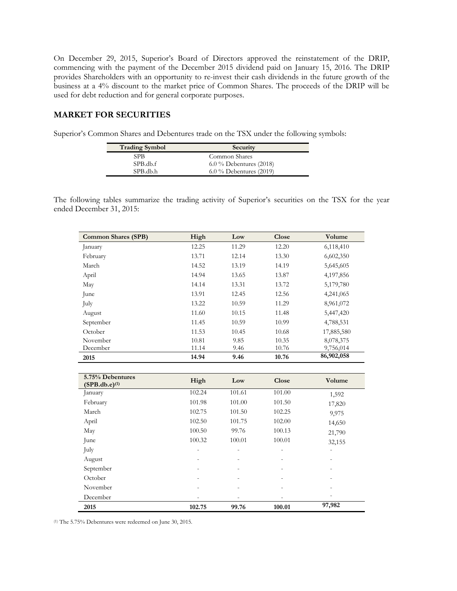On December 29, 2015, Superior's Board of Directors approved the reinstatement of the DRIP, commencing with the payment of the December 2015 dividend paid on January 15, 2016. The DRIP provides Shareholders with an opportunity to re-invest their cash dividends in the future growth of the business at a 4% discount to the market price of Common Shares. The proceeds of the DRIP will be used for debt reduction and for general corporate purposes.

# **MARKET FOR SECURITIES**

Superior's Common Shares and Debentures trade on the TSX under the following symbols:

| <b>Trading Symbol</b> | Security                  |
|-----------------------|---------------------------|
| SPB                   | Common Shares             |
| SPB.db.f              | $6.0\%$ Debentures (2018) |
| SPB.db.h              | $6.0\%$ Debentures (2019) |

The following tables summarize the trading activity of Superior's securities on the TSX for the year ended December 31, 2015:

| <b>Common Shares (SPB)</b> | High  | Low   | Close | Volume     |
|----------------------------|-------|-------|-------|------------|
| January                    | 12.25 | 11.29 | 12.20 | 6,118,410  |
| February                   | 13.71 | 12.14 | 13.30 | 6,602,350  |
| March                      | 14.52 | 13.19 | 14.19 | 5,645,605  |
| April                      | 14.94 | 13.65 | 13.87 | 4,197,856  |
| May                        | 14.14 | 13.31 | 13.72 | 5,179,780  |
| June                       | 13.91 | 12.45 | 12.56 | 4,241,065  |
| July                       | 13.22 | 10.59 | 11.29 | 8,961,072  |
| August                     | 11.60 | 10.15 | 11.48 | 5,447,420  |
| September                  | 11.45 | 10.59 | 10.99 | 4,788,531  |
| October                    | 11.53 | 10.45 | 10.68 | 17,885,580 |
| November                   | 10.81 | 9.85  | 10.35 | 8,078,375  |
| December                   | 11.14 | 9.46  | 10.76 | 9,756,014  |
| 2015                       | 14.94 | 9.46  | 10.76 | 86,902,058 |

| 5.75% Debentures<br>(SPB.db.e) <sup>(1)</sup> | High                     | Low            | Close                    | Volume                   |
|-----------------------------------------------|--------------------------|----------------|--------------------------|--------------------------|
| January                                       | 102.24                   | 101.61         | 101.00                   | 1,592                    |
| February                                      | 101.98                   | 101.00         | 101.50                   | 17,820                   |
| March                                         | 102.75                   | 101.50         | 102.25                   | 9,975                    |
| April                                         | 102.50                   | 101.75         | 102.00                   | 14,650                   |
| May                                           | 100.50                   | 99.76          | 100.13                   | 21,790                   |
| June                                          | 100.32                   | 100.01         | 100.01                   | 32,155                   |
| July                                          | $\overline{\phantom{a}}$ | -              | -                        | $\overline{\phantom{a}}$ |
| August                                        |                          |                |                          |                          |
| September                                     | $\overline{\phantom{0}}$ | $\overline{a}$ | $\overline{\phantom{0}}$ |                          |
| October                                       |                          |                |                          |                          |
| November                                      |                          |                |                          |                          |
| December                                      |                          |                |                          |                          |
| 2015                                          | 102.75                   | 99.76          | 100.01                   | 97,982                   |

(1) The 5.75% Debentures were redeemed on June 30, 2015.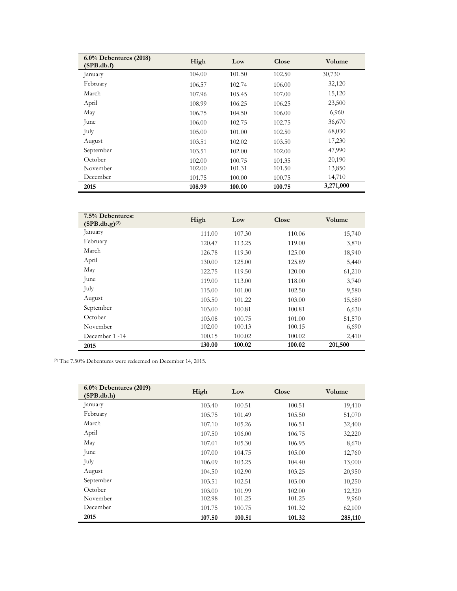| $6.0\%$ Debentures (2018)<br>(SPB.db.f) | High   | Low    | Close  | Volume    |
|-----------------------------------------|--------|--------|--------|-----------|
| January                                 | 104.00 | 101.50 | 102.50 | 30,730    |
| February                                | 106.57 | 102.74 | 106.00 | 32,120    |
| March                                   | 107.96 | 105.45 | 107.00 | 15,120    |
| April                                   | 108.99 | 106.25 | 106.25 | 23,500    |
| May                                     | 106.75 | 104.50 | 106.00 | 6,960     |
| June                                    | 106.00 | 102.75 | 102.75 | 36,670    |
| July                                    | 105.00 | 101.00 | 102.50 | 68,030    |
| August                                  | 103.51 | 102.02 | 103.50 | 17,230    |
| September                               | 103.51 | 102.00 | 102.00 | 47,990    |
| October                                 | 102.00 | 100.75 | 101.35 | 20,190    |
| November                                | 102.00 | 101.31 | 101.50 | 13,850    |
| December                                | 101.75 | 100.00 | 100.75 | 14,710    |
| 2015                                    | 108.99 | 100.00 | 100.75 | 3,271,000 |

| 7.5% Debentures:<br>(SPB.db.g) <sup>(2)</sup> | High   | Low    | <b>Close</b> | Volume  |
|-----------------------------------------------|--------|--------|--------------|---------|
| January                                       | 111.00 | 107.30 | 110.06       | 15,740  |
| February                                      | 120.47 | 113.25 | 119.00       | 3,870   |
| March                                         | 126.78 | 119.30 | 125.00       | 18,940  |
| April                                         | 130.00 | 125.00 | 125.89       | 5,440   |
| May                                           | 122.75 | 119.50 | 120.00       | 61,210  |
| June                                          | 119.00 | 113.00 | 118.00       | 3,740   |
| July                                          | 115.00 | 101.00 | 102.50       | 9,580   |
| August                                        | 103.50 | 101.22 | 103.00       | 15,680  |
| September                                     | 103.00 | 100.81 | 100.81       | 6,630   |
| October                                       | 103.08 | 100.75 | 101.00       | 51,570  |
| November                                      | 102.00 | 100.13 | 100.15       | 6,690   |
| December 1 -14                                | 100.15 | 100.02 | 100.02       | 2,410   |
| 2015                                          | 130.00 | 100.02 | 100.02       | 201,500 |

(2) The 7.50% Debentures were redeemed on December 14, 2015.

| $6.0\%$ Debentures (2019)<br>(SPB.db.h) | High   | Low    | Close  | Volume  |
|-----------------------------------------|--------|--------|--------|---------|
| January                                 | 103.40 | 100.51 | 100.51 | 19,410  |
| February                                | 105.75 | 101.49 | 105.50 | 51,070  |
| March                                   | 107.10 | 105.26 | 106.51 | 32,400  |
| April                                   | 107.50 | 106.00 | 106.75 | 32,220  |
| May                                     | 107.01 | 105.30 | 106.95 | 8,670   |
| June                                    | 107.00 | 104.75 | 105.00 | 12,760  |
| July                                    | 106.09 | 103.25 | 104.40 | 13,000  |
| August                                  | 104.50 | 102.90 | 103.25 | 20,950  |
| September                               | 103.51 | 102.51 | 103.00 | 10,250  |
| October                                 | 103.00 | 101.99 | 102.00 | 12,320  |
| November                                | 102.98 | 101.25 | 101.25 | 9,960   |
| December                                | 101.75 | 100.75 | 101.32 | 62,100  |
| 2015                                    | 107.50 | 100.51 | 101.32 | 285,110 |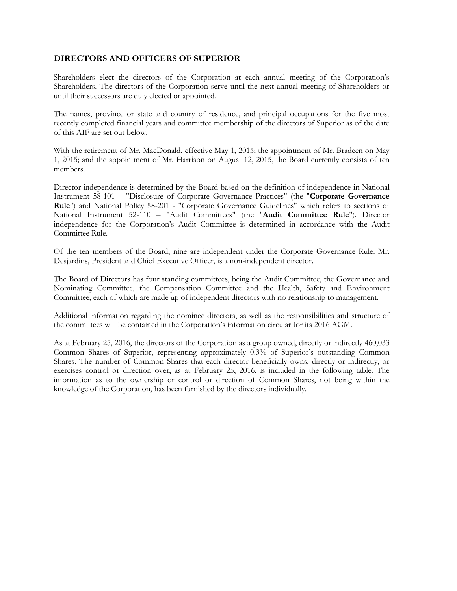# **DIRECTORS AND OFFICERS OF SUPERIOR**

Shareholders elect the directors of the Corporation at each annual meeting of the Corporation's Shareholders. The directors of the Corporation serve until the next annual meeting of Shareholders or until their successors are duly elected or appointed.

The names, province or state and country of residence, and principal occupations for the five most recently completed financial years and committee membership of the directors of Superior as of the date of this AIF are set out below.

With the retirement of Mr. MacDonald, effective May 1, 2015; the appointment of Mr. Bradeen on May 1, 2015; and the appointment of Mr. Harrison on August 12, 2015, the Board currently consists of ten members.

Director independence is determined by the Board based on the definition of independence in National Instrument 58-101 – "Disclosure of Corporate Governance Practices" (the "**Corporate Governance Rule**") and National Policy 58-201 - "Corporate Governance Guidelines" which refers to sections of National Instrument 52-110 – "Audit Committees" (the "**Audit Committee Rule**"). Director independence for the Corporation's Audit Committee is determined in accordance with the Audit Committee Rule.

Of the ten members of the Board, nine are independent under the Corporate Governance Rule. Mr. Desjardins, President and Chief Executive Officer, is a non-independent director.

The Board of Directors has four standing committees, being the Audit Committee, the Governance and Nominating Committee, the Compensation Committee and the Health, Safety and Environment Committee, each of which are made up of independent directors with no relationship to management.

Additional information regarding the nominee directors, as well as the responsibilities and structure of the committees will be contained in the Corporation's information circular for its 2016 AGM.

As at February 25, 2016, the directors of the Corporation as a group owned, directly or indirectly 460,033 Common Shares of Superior, representing approximately 0.3% of Superior's outstanding Common Shares. The number of Common Shares that each director beneficially owns, directly or indirectly, or exercises control or direction over, as at February 25, 2016, is included in the following table. The information as to the ownership or control or direction of Common Shares, not being within the knowledge of the Corporation, has been furnished by the directors individually.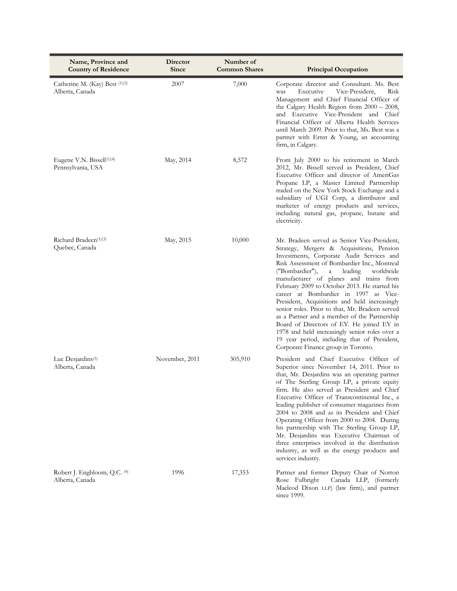| Name, Province and<br><b>Country of Residence</b>          | Director<br>Since | Number of<br><b>Common Shares</b> | <b>Principal Occupation</b>                                                                                                                                                                                                                                                                                                                                                                                                                                                                                                                                                                                                                                                                                          |
|------------------------------------------------------------|-------------------|-----------------------------------|----------------------------------------------------------------------------------------------------------------------------------------------------------------------------------------------------------------------------------------------------------------------------------------------------------------------------------------------------------------------------------------------------------------------------------------------------------------------------------------------------------------------------------------------------------------------------------------------------------------------------------------------------------------------------------------------------------------------|
| Catherine M. (Kay) Best (1)(2)<br>Alberta, Canada          | 2007              | 7,000                             | Corporate director and Consultant. Ms. Best<br>Vice-President,<br>Risk<br>Executive<br>was<br>Management and Chief Financial Officer of<br>the Calgary Health Region from 2000 - 2008,<br>and Executive Vice-President and Chief<br>Financial Officer of Alberta Health Services<br>until March 2009. Prior to that, Ms. Best was a<br>partner with Ernst & Young, an accounting<br>firm, in Calgary.                                                                                                                                                                                                                                                                                                                |
| Eugene V.N. Bissell $(1)(4)$<br>Pennsylvania, USA          | May, 2014         | 8,572                             | From July 2000 to his retirement in March<br>2012, Mr. Bissell served as President, Chief<br>Executive Officer and director of AmeriGas<br>Propane LP, a Master Limited Partnership<br>traded on the New York Stock Exchange and a<br>subsidiary of UGI Corp, a distributor and<br>marketer of energy products and services,<br>including natural gas, propane, butane and<br>electricity.                                                                                                                                                                                                                                                                                                                           |
| Richard Bradeen <sup>(1)(3)</sup><br>Quebec, Canada        | May, 2015         | 10,000                            | Mr. Bradeen served as Senior Vice-President,<br>Strategy, Mergers & Acquisitions, Pension<br>Investments, Corporate Audit Services and<br>Risk Assessment of Bombardier Inc., Montreal<br>("Bombardier"),<br>leading<br>worldwide<br>a<br>manufacturer of planes and trains from<br>February 2009 to October 2013. He started his<br>career at Bombardier in 1997 as Vice-<br>President, Acquisitions and held increasingly<br>senior roles. Prior to that, Mr. Bradeen served<br>as a Partner and a member of the Partnership<br>Board of Directors of EY. He joined EY in<br>1978 and held increasingly senior roles over a<br>19 year period, including that of President,<br>Corporate Finance group in Toronto. |
| Luc Desjardins <sup>(5)</sup><br>Alberta, Canada           | November, 2011    | 305,910                           | President and Chief Executive Officer of<br>Superior since November 14, 2011. Prior to<br>that, Mr. Desjardins was an operating partner<br>of The Sterling Group LP, a private equity<br>firm. He also served as President and Chief<br>Executive Officer of Transcontinental Inc., a<br>leading publisher of consumer magazines from<br>2004 to 2008 and as its President and Chief<br>Operating Officer from 2000 to 2004. During<br>his partnership with The Sterling Group LP,<br>Mr. Desjardins was Executive Chairman of<br>three enterprises involved in the distribution<br>industry, as well as the energy products and<br>services industry.                                                               |
| Robert J. Engbloom, Q.C. <sup>(4)</sup><br>Alberta, Canada | 1996              | 17,353                            | Partner and former Deputy Chair of Norton<br>Canada LLP, (formerly<br>Rose Fulbright<br>Macleod Dixon LLP) (law firm), and partner<br>since 1999.                                                                                                                                                                                                                                                                                                                                                                                                                                                                                                                                                                    |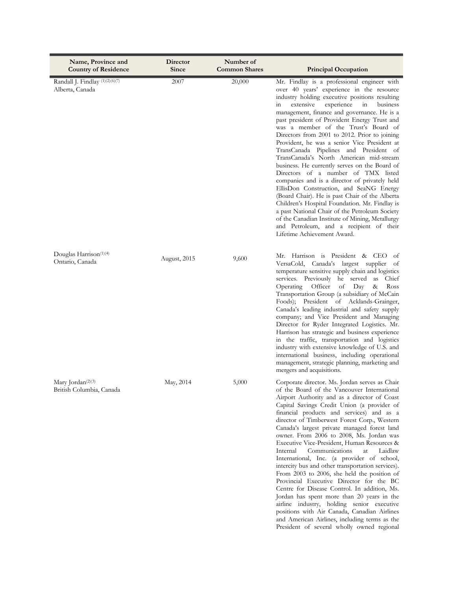| Name, Province and<br><b>Country of Residence</b>                      | Director<br>Since | Number of<br><b>Common Shares</b> | <b>Principal Occupation</b>                                                                                                                                                                                                                                                                                                                                                                                                                                                                                                                                                                                                                                                                                                                                                                                                                                                                                                                                                                       |
|------------------------------------------------------------------------|-------------------|-----------------------------------|---------------------------------------------------------------------------------------------------------------------------------------------------------------------------------------------------------------------------------------------------------------------------------------------------------------------------------------------------------------------------------------------------------------------------------------------------------------------------------------------------------------------------------------------------------------------------------------------------------------------------------------------------------------------------------------------------------------------------------------------------------------------------------------------------------------------------------------------------------------------------------------------------------------------------------------------------------------------------------------------------|
| Randall J. Findlay (1)(2)(6)(7)<br>Alberta, Canada                     | 2007              | 20,000                            | Mr. Findlay is a professional engineer with<br>over 40 years' experience in the resource<br>industry holding executive positions resulting<br>extensive<br>experience<br>in<br>business<br>in<br>management, finance and governance. He is a<br>past president of Provident Energy Trust and<br>was a member of the Trust's Board of<br>Directors from 2001 to 2012. Prior to joining<br>Provident, he was a senior Vice President at<br>TransCanada Pipelines and President of<br>TransCanada's North American mid-stream<br>business. He currently serves on the Board of<br>Directors of a number of TMX listed<br>companies and is a director of privately held<br>EllisDon Construction, and SeaNG Energy<br>(Board Chair). He is past Chair of the Alberta<br>Children's Hospital Foundation. Mr. Findlay is<br>a past National Chair of the Petroleum Society<br>of the Canadian Institute of Mining, Metallurgy<br>and Petroleum, and a recipient of their<br>Lifetime Achievement Award. |
| Douglas Harrison <sup>(1)(4)</sup><br>Ontario, Canada                  | August, 2015      | 9,600                             | Mr. Harrison is President & CEO<br>- of<br>VersaCold, Canada's largest supplier<br>- of<br>temperature sensitive supply chain and logistics<br>services. Previously he served<br>as<br>Chief<br>Operating<br>Officer<br>οf<br>Ross<br>Day<br>&<br>Transportation Group (a subsidiary of McCain<br>Foods); President of Acklands-Grainger,<br>Canada's leading industrial and safety supply<br>company; and Vice President and Managing<br>Director for Ryder Integrated Logistics. Mr.<br>Harrison has strategic and business experience<br>in the traffic, transportation and logistics<br>industry with extensive knowledge of U.S. and<br>international business, including operational<br>management, strategic planning, marketing and<br>mergers and acquisitions.                                                                                                                                                                                                                          |
| Mary Jordan <sup><math>(2)(3)</math></sup><br>British Columbia, Canada | May, 2014         | 5,000                             | Corporate director. Ms. Jordan serves as Chair<br>of the Board of the Vancouver International<br>Airport Authority and as a director of Coast<br>Capital Savings Credit Union (a provider of<br>financial products and services) and as a<br>director of Timberwest Forest Corp., Western<br>Canada's largest private managed forest land<br>owner. From 2006 to 2008, Ms. Jordan was<br>Executive Vice-President, Human Resources &<br>Communications<br>Laidlaw<br>Internal<br>at<br>International, Inc. (a provider of school,<br>intercity bus and other transportation services).<br>From 2003 to 2006, she held the position of<br>Provincial Executive Director for the BC<br>Centre for Disease Control. In addition, Ms.<br>Jordan has spent more than 20 years in the<br>airline industry, holding senior executive<br>positions with Air Canada, Canadian Airlines<br>and American Airlines, including terms as the<br>President of several wholly owned regional                      |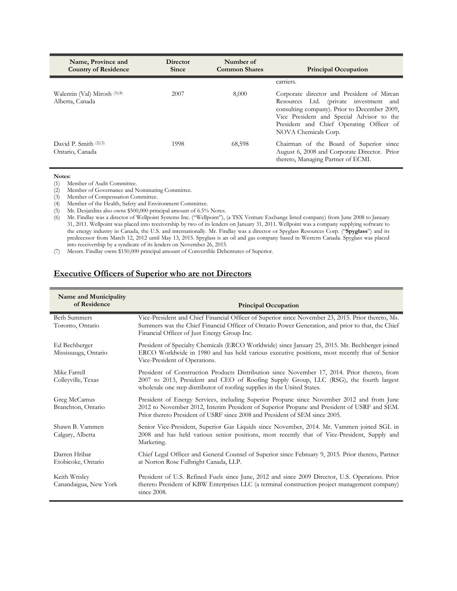| Name, Province and<br><b>Country of Residence</b> | <b>Director</b><br><b>Since</b> | Number of<br><b>Common Shares</b> | <b>Principal Occupation</b>                                                                                                                                                                                                                           |
|---------------------------------------------------|---------------------------------|-----------------------------------|-------------------------------------------------------------------------------------------------------------------------------------------------------------------------------------------------------------------------------------------------------|
|                                                   |                                 |                                   | carriers.                                                                                                                                                                                                                                             |
| Walentin (Val) Mirosh (3)(4)<br>Alberta, Canada   | 2007                            | 8,000                             | Corporate director and President of Mircan<br>Resources Ltd. (private investment and<br>consulting company). Prior to December 2009,<br>Vice President and Special Advisor to the<br>President and Chief Operating Officer of<br>NOVA Chemicals Corp. |
| David P. Smith (2)(3)<br>Ontario, Canada          | 1998                            | 68,598                            | Chairman of the Board of Superior since<br>August 6, 2008 and Corporate Director. Prior<br>thereto, Managing Partner of ECMI.                                                                                                                         |

**Notes:**<br>(1) **M** Member of Audit Committee.

(2) Member of Governance and Nominating Committee.

Member of Compensation Committee.

(4) Member of the Health, Safety and Environment Committee.

(5) Mr. Desjardins also owns \$500,000 principal amount of 6.5% Notes.

(6) Mr. Findlay was a director of Wellpoint Systems Inc. ("Wellpoint"), (a TSX Venture Exchange listed company) from June 2008 to January 31, 2011. Wellpoint was placed into receivership by two of its lenders on January 31, 2011. Wellpoint was a company supplying software to the energy industry in Canada, the U.S. and internationally. Mr. Findlay was a director or Spyglass Resources Corp. ("**Spyglass**") and its predecessor from March 12, 2012 until May 13, 2015. Spyglass is an oil and gas company based in Western Canada. Spyglass was placed into receivership by a syndicate of its lenders on November 26, 2015.

(7) Messrs. Findlay owns \$150,000 principal amount of Convertible Debentures of Superior.

# **Executive Officers of Superior who are not Directors**

| Name and Municipality<br>of Residence   | <b>Principal Occupation</b>                                                                                                                                                                                                                                              |  |  |
|-----------------------------------------|--------------------------------------------------------------------------------------------------------------------------------------------------------------------------------------------------------------------------------------------------------------------------|--|--|
| <b>Beth Summers</b><br>Toronto, Ontario | Vice-President and Chief Financial Officer of Superior since November 23, 2015. Prior thereto, Ms.<br>Summers was the Chief Financial Officer of Ontario Power Generation, and prior to that, the Chief<br>Financial Officer of Just Energy Group Inc.                   |  |  |
| Ed Bechberger<br>Mississauga, Ontario   | President of Specialty Chemicals (ERCO Worldwide) since January 25, 2015. Mr. Bechberger joined<br>ERCO Worldwide in 1980 and has held various executive positions, most recently that of Senior<br>Vice-President of Operations.                                        |  |  |
| Mike Farrell<br>Colleyville, Texas      | President of Construction Products Distribution since November 17, 2014. Prior thereto, from<br>2007 to 2013, President and CEO of Roofing Supply Group, LLC (RSG), the fourth largest<br>wholesale one step distributor of roofing supplies in the United States.       |  |  |
| Greg McCamus<br>Branchton, Ontario      | President of Energy Services, including Superior Propane since November 2012 and from June<br>2012 to November 2012, Interim President of Superior Propane and President of USRF and SEM.<br>Prior thereto President of USRF since 2008 and President of SEM since 2005. |  |  |
| Shawn B. Vammen<br>Calgary, Alberta     | Senior Vice-President, Superior Gas Liquids since November, 2014. Mr. Vammen joined SGL in<br>2008 and has held various senior positions, most recently that of Vice-President, Supply and<br>Marketing.                                                                 |  |  |
| Darren Hribar<br>Etobicoke, Ontario     | Chief Legal Officer and General Counsel of Superior since February 9, 2015. Prior thereto, Partner<br>at Norton Rose Fulbright Canada, LLP.                                                                                                                              |  |  |
| Keith Wrisley<br>Canandaigua, New York  | President of U.S. Refined Fuels since June, 2012 and since 2009 Director, U.S. Operations. Prior<br>thereto President of KBW Enterprises LLC (a terminal construction project management company)<br>since $2008$ .                                                      |  |  |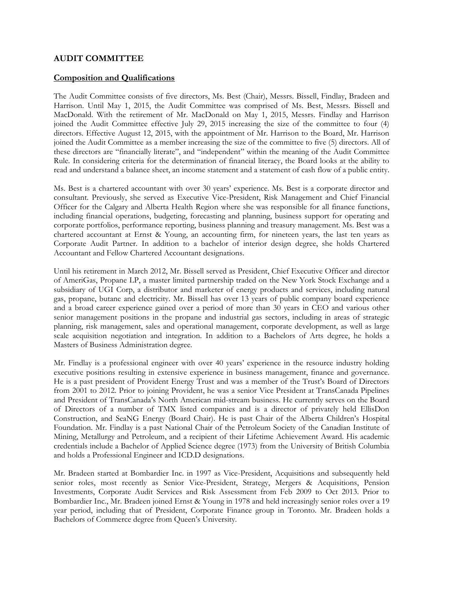# **AUDIT COMMITTEE**

# **Composition and Qualifications**

The Audit Committee consists of five directors, Ms. Best (Chair), Messrs. Bissell, Findlay, Bradeen and Harrison. Until May 1, 2015, the Audit Committee was comprised of Ms. Best, Messrs. Bissell and MacDonald. With the retirement of Mr. MacDonald on May 1, 2015, Messrs. Findlay and Harrison joined the Audit Committee effective July 29, 2015 increasing the size of the committee to four (4) directors. Effective August 12, 2015, with the appointment of Mr. Harrison to the Board, Mr. Harrison joined the Audit Committee as a member increasing the size of the committee to five (5) directors. All of these directors are "financially literate", and "independent" within the meaning of the Audit Committee Rule. In considering criteria for the determination of financial literacy, the Board looks at the ability to read and understand a balance sheet, an income statement and a statement of cash flow of a public entity.

Ms. Best is a chartered accountant with over 30 years' experience. Ms. Best is a corporate director and consultant. Previously, she served as Executive Vice-President, Risk Management and Chief Financial Officer for the Calgary and Alberta Health Region where she was responsible for all finance functions, including financial operations, budgeting, forecasting and planning, business support for operating and corporate portfolios, performance reporting, business planning and treasury management. Ms. Best was a chartered accountant at Ernst & Young, an accounting firm, for nineteen years, the last ten years as Corporate Audit Partner. In addition to a bachelor of interior design degree, she holds Chartered Accountant and Fellow Chartered Accountant designations.

Until his retirement in March 2012, Mr. Bissell served as President, Chief Executive Officer and director of AmeriGas, Propane LP, a master limited partnership traded on the New York Stock Exchange and a subsidiary of UGI Corp, a distributor and marketer of energy products and services, including natural gas, propane, butane and electricity. Mr. Bissell has over 13 years of public company board experience and a broad career experience gained over a period of more than 30 years in CEO and various other senior management positions in the propane and industrial gas sectors, including in areas of strategic planning, risk management, sales and operational management, corporate development, as well as large scale acquisition negotiation and integration. In addition to a Bachelors of Arts degree, he holds a Masters of Business Administration degree.

Mr. Findlay is a professional engineer with over 40 years' experience in the resource industry holding executive positions resulting in extensive experience in business management, finance and governance. He is a past president of Provident Energy Trust and was a member of the Trust's Board of Directors from 2001 to 2012. Prior to joining Provident, he was a senior Vice President at TransCanada Pipelines and President of TransCanada's North American mid-stream business. He currently serves on the Board of Directors of a number of TMX listed companies and is a director of privately held EllisDon Construction, and SeaNG Energy (Board Chair). He is past Chair of the Alberta Children's Hospital Foundation. Mr. Findlay is a past National Chair of the Petroleum Society of the Canadian Institute of Mining, Metallurgy and Petroleum, and a recipient of their Lifetime Achievement Award. His academic credentials include a Bachelor of Applied Science degree (1973) from the University of British Columbia and holds a Professional Engineer and ICD.D designations.

Mr. Bradeen started at Bombardier Inc. in 1997 as Vice-President, Acquisitions and subsequently held senior roles, most recently as Senior Vice-President, Strategy, Mergers & Acquisitions, Pension Investments, Corporate Audit Services and Risk Assessment from Feb 2009 to Oct 2013. Prior to Bombardier Inc., Mr. Bradeen joined Ernst & Young in 1978 and held increasingly senior roles over a 19 year period, including that of President, Corporate Finance group in Toronto. Mr. Bradeen holds a Bachelors of Commerce degree from Queen's University.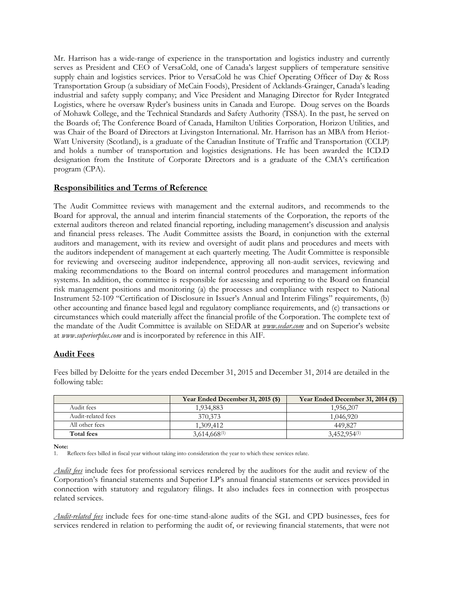Mr. Harrison has a wide-range of experience in the transportation and logistics industry and currently serves as President and CEO of VersaCold, one of Canada's largest suppliers of temperature sensitive supply chain and logistics services. Prior to VersaCold he was Chief Operating Officer of Day & Ross Transportation Group (a subsidiary of McCain Foods), President of Acklands-Grainger, Canada's leading industrial and safety supply company; and Vice President and Managing Director for Ryder Integrated Logistics, where he oversaw Ryder's business units in Canada and Europe. Doug serves on the Boards of Mohawk College, and the Technical Standards and Safety Authority (TSSA). In the past, he served on the Boards of; The Conference Board of Canada, Hamilton Utilities Corporation, Horizon Utilities, and was Chair of the Board of Directors at Livingston International. Mr. Harrison has an MBA from Heriot-Watt University (Scotland), is a graduate of the Canadian Institute of Traffic and Transportation (CCLP) and holds a number of transportation and logistics designations. He has been awarded the ICD.D designation from the Institute of Corporate Directors and is a graduate of the CMA's certification program (CPA).

# **Responsibilities and Terms of Reference**

The Audit Committee reviews with management and the external auditors, and recommends to the Board for approval, the annual and interim financial statements of the Corporation, the reports of the external auditors thereon and related financial reporting, including management's discussion and analysis and financial press releases. The Audit Committee assists the Board, in conjunction with the external auditors and management, with its review and oversight of audit plans and procedures and meets with the auditors independent of management at each quarterly meeting. The Audit Committee is responsible for reviewing and overseeing auditor independence, approving all non-audit services, reviewing and making recommendations to the Board on internal control procedures and management information systems. In addition, the committee is responsible for assessing and reporting to the Board on financial risk management positions and monitoring (a) the processes and compliance with respect to National Instrument 52-109 "Certification of Disclosure in Issuer's Annual and Interim Filings" requirements, (b) other accounting and finance based legal and regulatory compliance requirements, and (c) transactions or circumstances which could materially affect the financial profile of the Corporation. The complete text of the mandate of the Audit Committee is available on SEDAR at *www.sedar.com* and on Superior's website at *www.superiorplus.com* and is incorporated by reference in this AIF.

# **Audit Fees**

Fees billed by Deloitte for the years ended December 31, 2015 and December 31, 2014 are detailed in the following table:

|                    | Year Ended December 31, 2015 (\$) | Year Ended December 31, 2014 (\$) |
|--------------------|-----------------------------------|-----------------------------------|
| Audit fees         | 1,934,883                         | 1,956,207                         |
| Audit-related fees | 370,373                           | 1,046,920                         |
| All other fees     | 1,309,412                         | 449.827                           |
| Total fees         | $3.614.668^{(1)}$                 | $3,452,954^{(1)}$                 |

**Note:**

1. Reflects fees billed in fiscal year without taking into consideration the year to which these services relate.

*Audit fees* include fees for professional services rendered by the auditors for the audit and review of the Corporation's financial statements and Superior LP's annual financial statements or services provided in connection with statutory and regulatory filings. It also includes fees in connection with prospectus related services.

*Audit-related fees* include fees for one-time stand-alone audits of the SGL and CPD businesses, fees for services rendered in relation to performing the audit of, or reviewing financial statements, that were not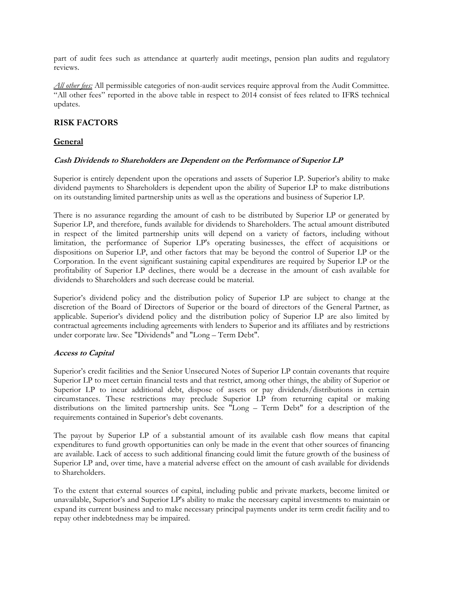part of audit fees such as attendance at quarterly audit meetings, pension plan audits and regulatory reviews.

*All other fees:* All permissible categories of non-audit services require approval from the Audit Committee. "All other fees" reported in the above table in respect to 2014 consist of fees related to IFRS technical updates.

# **RISK FACTORS**

# **General**

# **Cash Dividends to Shareholders are Dependent on the Performance of Superior LP**

Superior is entirely dependent upon the operations and assets of Superior LP. Superior's ability to make dividend payments to Shareholders is dependent upon the ability of Superior LP to make distributions on its outstanding limited partnership units as well as the operations and business of Superior LP.

There is no assurance regarding the amount of cash to be distributed by Superior LP or generated by Superior LP, and therefore, funds available for dividends to Shareholders. The actual amount distributed in respect of the limited partnership units will depend on a variety of factors, including without limitation, the performance of Superior LP's operating businesses, the effect of acquisitions or dispositions on Superior LP, and other factors that may be beyond the control of Superior LP or the Corporation. In the event significant sustaining capital expenditures are required by Superior LP or the profitability of Superior LP declines, there would be a decrease in the amount of cash available for dividends to Shareholders and such decrease could be material.

Superior's dividend policy and the distribution policy of Superior LP are subject to change at the discretion of the Board of Directors of Superior or the board of directors of the General Partner, as applicable. Superior's dividend policy and the distribution policy of Superior LP are also limited by contractual agreements including agreements with lenders to Superior and its affiliates and by restrictions under corporate law. See "Dividends" and "Long – Term Debt".

#### **Access to Capital**

Superior's credit facilities and the Senior Unsecured Notes of Superior LP contain covenants that require Superior LP to meet certain financial tests and that restrict, among other things, the ability of Superior or Superior LP to incur additional debt, dispose of assets or pay dividends/distributions in certain circumstances. These restrictions may preclude Superior LP from returning capital or making distributions on the limited partnership units. See "Long – Term Debt" for a description of the requirements contained in Superior's debt covenants.

The payout by Superior LP of a substantial amount of its available cash flow means that capital expenditures to fund growth opportunities can only be made in the event that other sources of financing are available. Lack of access to such additional financing could limit the future growth of the business of Superior LP and, over time, have a material adverse effect on the amount of cash available for dividends to Shareholders.

To the extent that external sources of capital, including public and private markets, become limited or unavailable, Superior's and Superior LP's ability to make the necessary capital investments to maintain or expand its current business and to make necessary principal payments under its term credit facility and to repay other indebtedness may be impaired.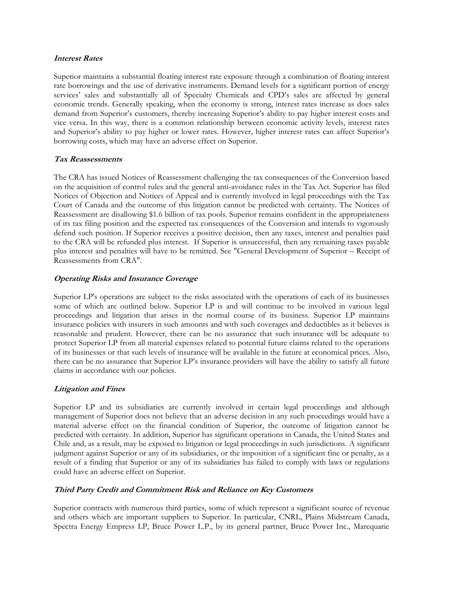#### **Interest Rates**

Superior maintains a substantial floating interest rate exposure through a combination of floating interest rate borrowings and the use of derivative instruments. Demand levels for a significant portion of energy services' sales and substantially all of Specialty Chemicals and CPD's sales are affected by general economic trends. Generally speaking, when the economy is strong, interest rates increase as does sales demand from Superior's customers, thereby increasing Superior's ability to pay higher interest costs and vice versa. In this way, there is a common relationship between economic activity levels, interest rates and Superior's ability to pay higher or lower rates. However, higher interest rates can affect Superior's borrowing costs, which may have an adverse effect on Superior.

### **Tax Reassessments**

The CRA has issued Notices of Reassessment challenging the tax consequences of the Conversion based on the acquisition of control rules and the general anti-avoidance rules in the Tax Act. Superior has filed Notices of Objection and Notices of Appeal and is currently involved in legal proceedings with the Tax Court of Canada and the outcome of this litigation cannot be predicted with certainty. The Notices of Reassessment are disallowing \$1.6 billion of tax pools. Superior remains confident in the appropriateness of its tax filing position and the expected tax consequences of the Conversion and intends to vigorously defend such position. If Superior receives a positive decision, then any taxes, interest and penalties paid to the CRA will be refunded plus interest. If Superior is unsuccessful, then any remaining taxes payable plus interest and penalties will have to be remitted. See "General Development of Superior – Receipt of Reassessments from CRA".

### **Operating Risks and Insurance Coverage**

Superior LP's operations are subject to the risks associated with the operations of each of its businesses some of which are outlined below. Superior LP is and will continue to be involved in various legal proceedings and litigation that arises in the normal course of its business. Superior LP maintains insurance policies with insurers in such amounts and with such coverages and deductibles as it believes is reasonable and prudent. However, there can be no assurance that such insurance will be adequate to protect Superior LP from all material expenses related to potential future claims related to the operations of its businesses or that such levels of insurance will be available in the future at economical prices. Also, there can be no assurance that Superior LP's insurance providers will have the ability to satisfy all future claims in accordance with our policies.

# **Litigation and Fines**

Superior LP and its subsidiaries are currently involved in certain legal proceedings and although management of Superior does not believe that an adverse decision in any such proceedings would have a material adverse effect on the financial condition of Superior, the outcome of litigation cannot be predicted with certainty. In addition, Superior has significant operations in Canada, the United States and Chile and, as a result, may be exposed to litigation or legal proceedings in such jurisdictions. A significant judgment against Superior or any of its subsidiaries, or the imposition of a significant fine or penalty, as a result of a finding that Superior or any of its subsidiaries has failed to comply with laws or regulations could have an adverse effect on Superior.

# **Third Party Credit and Commitment Risk and Reliance on Key Customers**

Superior contracts with numerous third parties, some of which represent a significant source of revenue and others which are important suppliers to Superior. In particular, CNRL, Plains Midstream Canada, Spectra Energy Empress LP, Bruce Power L.P., by its general partner, Bruce Power Inc., Marcquarie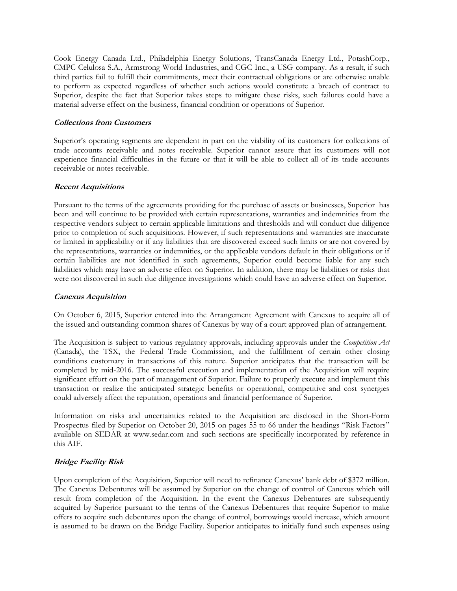Cook Energy Canada Ltd., Philadelphia Energy Solutions, TransCanada Energy Ltd., PotashCorp., CMPC Celulosa S.A., Armstrong World Industries, and CGC Inc., a USG company. As a result, if such third parties fail to fulfill their commitments, meet their contractual obligations or are otherwise unable to perform as expected regardless of whether such actions would constitute a breach of contract to Superior, despite the fact that Superior takes steps to mitigate these risks, such failures could have a material adverse effect on the business, financial condition or operations of Superior.

#### **Collections from Customers**

Superior's operating segments are dependent in part on the viability of its customers for collections of trade accounts receivable and notes receivable. Superior cannot assure that its customers will not experience financial difficulties in the future or that it will be able to collect all of its trade accounts receivable or notes receivable.

# **Recent Acquisitions**

Pursuant to the terms of the agreements providing for the purchase of assets or businesses, Superior has been and will continue to be provided with certain representations, warranties and indemnities from the respective vendors subject to certain applicable limitations and thresholds and will conduct due diligence prior to completion of such acquisitions. However, if such representations and warranties are inaccurate or limited in applicability or if any liabilities that are discovered exceed such limits or are not covered by the representations, warranties or indemnities, or the applicable vendors default in their obligations or if certain liabilities are not identified in such agreements, Superior could become liable for any such liabilities which may have an adverse effect on Superior. In addition, there may be liabilities or risks that were not discovered in such due diligence investigations which could have an adverse effect on Superior.

#### **Canexus Acquisition**

On October 6, 2015, Superior entered into the Arrangement Agreement with Canexus to acquire all of the issued and outstanding common shares of Canexus by way of a court approved plan of arrangement.

The Acquisition is subject to various regulatory approvals, including approvals under the *Competition Act* (Canada), the TSX, the Federal Trade Commission, and the fulfillment of certain other closing conditions customary in transactions of this nature. Superior anticipates that the transaction will be completed by mid-2016. The successful execution and implementation of the Acquisition will require significant effort on the part of management of Superior. Failure to properly execute and implement this transaction or realize the anticipated strategic benefits or operational, competitive and cost synergies could adversely affect the reputation, operations and financial performance of Superior.

Information on risks and uncertainties related to the Acquisition are disclosed in the Short-Form Prospectus filed by Superior on October 20, 2015 on pages 55 to 66 under the headings "Risk Factors" available on SEDAR at www.sedar.com and such sections are specifically incorporated by reference in this AIF.

# **Bridge Facility Risk**

Upon completion of the Acquisition, Superior will need to refinance Canexus' bank debt of \$372 million. The Canexus Debentures will be assumed by Superior on the change of control of Canexus which will result from completion of the Acquisition. In the event the Canexus Debentures are subsequently acquired by Superior pursuant to the terms of the Canexus Debentures that require Superior to make offers to acquire such debentures upon the change of control, borrowings would increase, which amount is assumed to be drawn on the Bridge Facility. Superior anticipates to initially fund such expenses using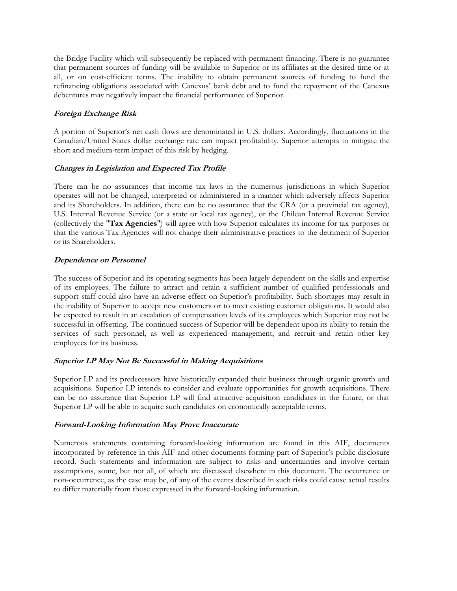the Bridge Facility which will subsequently be replaced with permanent financing. There is no guarantee that permanent sources of funding will be available to Superior or its affiliates at the desired time or at all, or on cost-efficient terms. The inability to obtain permanent sources of funding to fund the refinancing obligations associated with Canexus' bank debt and to fund the repayment of the Canexus debentures may negatively impact the financial performance of Superior.

## **Foreign Exchange Risk**

A portion of Superior's net cash flows are denominated in U.S. dollars. Accordingly, fluctuations in the Canadian/United States dollar exchange rate can impact profitability. Superior attempts to mitigate the short and medium-term impact of this risk by hedging.

## **Changes in Legislation and Expected Tax Profile**

There can be no assurances that income tax laws in the numerous jurisdictions in which Superior operates will not be changed, interpreted or administered in a manner which adversely affects Superior and its Shareholders. In addition, there can be no assurance that the CRA (or a provincial tax agency), U.S. Internal Revenue Service (or a state or local tax agency), or the Chilean Internal Revenue Service (collectively the "**Tax Agencies**") will agree with how Superior calculates its income for tax purposes or that the various Tax Agencies will not change their administrative practices to the detriment of Superior or its Shareholders.

## **Dependence on Personnel**

The success of Superior and its operating segments has been largely dependent on the skills and expertise of its employees. The failure to attract and retain a sufficient number of qualified professionals and support staff could also have an adverse effect on Superior's profitability. Such shortages may result in the inability of Superior to accept new customers or to meet existing customer obligations. It would also be expected to result in an escalation of compensation levels of its employees which Superior may not be successful in offsetting. The continued success of Superior will be dependent upon its ability to retain the services of such personnel, as well as experienced management, and recruit and retain other key employees for its business.

## **Superior LP May Not Be Successful in Making Acquisitions**

Superior LP and its predecessors have historically expanded their business through organic growth and acquisitions. Superior LP intends to consider and evaluate opportunities for growth acquisitions. There can be no assurance that Superior LP will find attractive acquisition candidates in the future, or that Superior LP will be able to acquire such candidates on economically acceptable terms.

## **Forward-Looking Information May Prove Inaccurate**

Numerous statements containing forward-looking information are found in this AIF, documents incorporated by reference in this AIF and other documents forming part of Superior's public disclosure record. Such statements and information are subject to risks and uncertainties and involve certain assumptions, some, but not all, of which are discussed elsewhere in this document. The occurrence or non-occurrence, as the case may be, of any of the events described in such risks could cause actual results to differ materially from those expressed in the forward-looking information.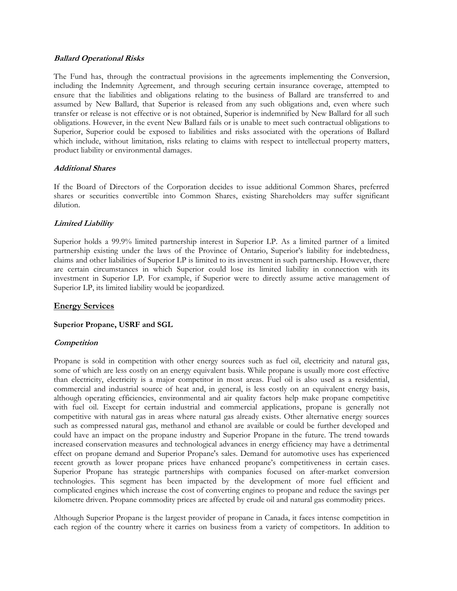#### **Ballard Operational Risks**

The Fund has, through the contractual provisions in the agreements implementing the Conversion, including the Indemnity Agreement, and through securing certain insurance coverage, attempted to ensure that the liabilities and obligations relating to the business of Ballard are transferred to and assumed by New Ballard, that Superior is released from any such obligations and, even where such transfer or release is not effective or is not obtained, Superior is indemnified by New Ballard for all such obligations. However, in the event New Ballard fails or is unable to meet such contractual obligations to Superior, Superior could be exposed to liabilities and risks associated with the operations of Ballard which include, without limitation, risks relating to claims with respect to intellectual property matters, product liability or environmental damages.

#### **Additional Shares**

If the Board of Directors of the Corporation decides to issue additional Common Shares, preferred shares or securities convertible into Common Shares, existing Shareholders may suffer significant dilution.

## **Limited Liability**

Superior holds a 99.9% limited partnership interest in Superior LP. As a limited partner of a limited partnership existing under the laws of the Province of Ontario, Superior's liability for indebtedness, claims and other liabilities of Superior LP is limited to its investment in such partnership. However, there are certain circumstances in which Superior could lose its limited liability in connection with its investment in Superior LP. For example, if Superior were to directly assume active management of Superior LP, its limited liability would be jeopardized.

## **Energy Services**

## **Superior Propane, USRF and SGL**

## **Competition**

Propane is sold in competition with other energy sources such as fuel oil, electricity and natural gas, some of which are less costly on an energy equivalent basis. While propane is usually more cost effective than electricity, electricity is a major competitor in most areas. Fuel oil is also used as a residential, commercial and industrial source of heat and, in general, is less costly on an equivalent energy basis, although operating efficiencies, environmental and air quality factors help make propane competitive with fuel oil. Except for certain industrial and commercial applications, propane is generally not competitive with natural gas in areas where natural gas already exists. Other alternative energy sources such as compressed natural gas, methanol and ethanol are available or could be further developed and could have an impact on the propane industry and Superior Propane in the future. The trend towards increased conservation measures and technological advances in energy efficiency may have a detrimental effect on propane demand and Superior Propane's sales. Demand for automotive uses has experienced recent growth as lower propane prices have enhanced propane's competitiveness in certain cases. Superior Propane has strategic partnerships with companies focused on after-market conversion technologies. This segment has been impacted by the development of more fuel efficient and complicated engines which increase the cost of converting engines to propane and reduce the savings per kilometre driven. Propane commodity prices are affected by crude oil and natural gas commodity prices.

Although Superior Propane is the largest provider of propane in Canada, it faces intense competition in each region of the country where it carries on business from a variety of competitors. In addition to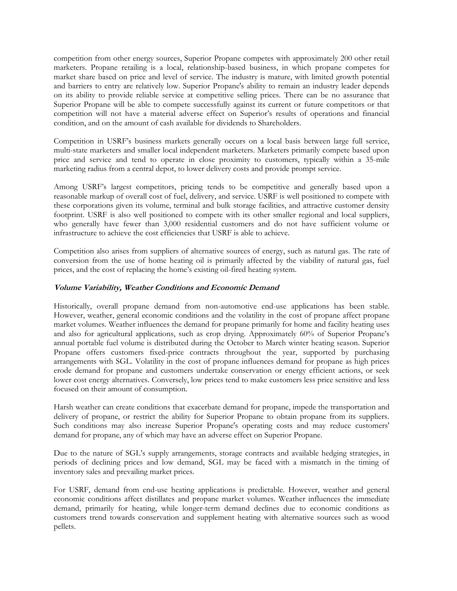competition from other energy sources, Superior Propane competes with approximately 200 other retail marketers. Propane retailing is a local, relationship-based business, in which propane competes for market share based on price and level of service. The industry is mature, with limited growth potential and barriers to entry are relatively low. Superior Propane's ability to remain an industry leader depends on its ability to provide reliable service at competitive selling prices. There can be no assurance that Superior Propane will be able to compete successfully against its current or future competitors or that competition will not have a material adverse effect on Superior's results of operations and financial condition, and on the amount of cash available for dividends to Shareholders.

Competition in USRF's business markets generally occurs on a local basis between large full service, multi-state marketers and smaller local independent marketers. Marketers primarily compete based upon price and service and tend to operate in close proximity to customers, typically within a 35-mile marketing radius from a central depot, to lower delivery costs and provide prompt service.

Among USRF's largest competitors, pricing tends to be competitive and generally based upon a reasonable markup of overall cost of fuel, delivery, and service. USRF is well positioned to compete with these corporations given its volume, terminal and bulk storage facilities, and attractive customer density footprint. USRF is also well positioned to compete with its other smaller regional and local suppliers, who generally have fewer than 3,000 residential customers and do not have sufficient volume or infrastructure to achieve the cost efficiencies that USRF is able to achieve.

Competition also arises from suppliers of alternative sources of energy, such as natural gas. The rate of conversion from the use of home heating oil is primarily affected by the viability of natural gas, fuel prices, and the cost of replacing the home's existing oil-fired heating system.

## **Volume Variability, Weather Conditions and Economic Demand**

Historically, overall propane demand from non-automotive end-use applications has been stable. However, weather, general economic conditions and the volatility in the cost of propane affect propane market volumes. Weather influences the demand for propane primarily for home and facility heating uses and also for agricultural applications, such as crop drying. Approximately 60% of Superior Propane's annual portable fuel volume is distributed during the October to March winter heating season. Superior Propane offers customers fixed-price contracts throughout the year, supported by purchasing arrangements with SGL. Volatility in the cost of propane influences demand for propane as high prices erode demand for propane and customers undertake conservation or energy efficient actions, or seek lower cost energy alternatives. Conversely, low prices tend to make customers less price sensitive and less focused on their amount of consumption.

Harsh weather can create conditions that exacerbate demand for propane, impede the transportation and delivery of propane, or restrict the ability for Superior Propane to obtain propane from its suppliers. Such conditions may also increase Superior Propane's operating costs and may reduce customers' demand for propane, any of which may have an adverse effect on Superior Propane.

Due to the nature of SGL's supply arrangements, storage contracts and available hedging strategies, in periods of declining prices and low demand, SGL may be faced with a mismatch in the timing of inventory sales and prevailing market prices.

For USRF, demand from end-use heating applications is predictable. However, weather and general economic conditions affect distillates and propane market volumes. Weather influences the immediate demand, primarily for heating, while longer-term demand declines due to economic conditions as customers trend towards conservation and supplement heating with alternative sources such as wood pellets.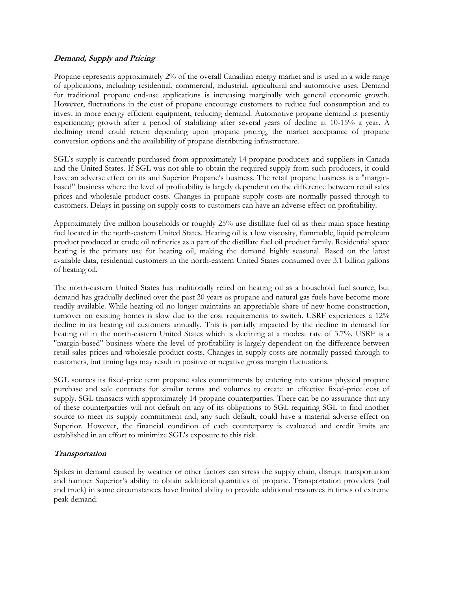#### **Demand, Supply and Pricing**

Propane represents approximately 2% of the overall Canadian energy market and is used in a wide range of applications, including residential, commercial, industrial, agricultural and automotive uses. Demand for traditional propane end-use applications is increasing marginally with general economic growth. However, fluctuations in the cost of propane encourage customers to reduce fuel consumption and to invest in more energy efficient equipment, reducing demand. Automotive propane demand is presently experiencing growth after a period of stabilizing after several years of decline at 10-15% a year. A declining trend could return depending upon propane pricing, the market acceptance of propane conversion options and the availability of propane distributing infrastructure.

SGL's supply is currently purchased from approximately 14 propane producers and suppliers in Canada and the United States. If SGL was not able to obtain the required supply from such producers, it could have an adverse effect on its and Superior Propane's business. The retail propane business is a "marginbased" business where the level of profitability is largely dependent on the difference between retail sales prices and wholesale product costs. Changes in propane supply costs are normally passed through to customers. Delays in passing on supply costs to customers can have an adverse effect on profitability.

Approximately five million households or roughly 25% use distillate fuel oil as their main space heating fuel located in the north-eastern United States. Heating oil is a low viscosity, flammable, liquid petroleum product produced at crude oil refineries as a part of the distillate fuel oil product family. Residential space heating is the primary use for heating oil, making the demand highly seasonal. Based on the latest available data, residential customers in the north-eastern United States consumed over 3.1 billion gallons of heating oil.

The north-eastern United States has traditionally relied on heating oil as a household fuel source, but demand has gradually declined over the past 20 years as propane and natural gas fuels have become more readily available. While heating oil no longer maintains an appreciable share of new home construction, turnover on existing homes is slow due to the cost requirements to switch. USRF experiences a 12% decline in its heating oil customers annually. This is partially impacted by the decline in demand for heating oil in the north-eastern United States which is declining at a modest rate of 3.7%. USRF is a "margin-based" business where the level of profitability is largely dependent on the difference between retail sales prices and wholesale product costs. Changes in supply costs are normally passed through to customers, but timing lags may result in positive or negative gross margin fluctuations.

SGL sources its fixed-price term propane sales commitments by entering into various physical propane purchase and sale contracts for similar terms and volumes to create an effective fixed-price cost of supply. SGL transacts with approximately 14 propane counterparties. There can be no assurance that any of these counterparties will not default on any of its obligations to SGL requiring SGL to find another source to meet its supply commitment and, any such default, could have a material adverse effect on Superior. However, the financial condition of each counterparty is evaluated and credit limits are established in an effort to minimize SGL's exposure to this risk.

## **Transportation**

Spikes in demand caused by weather or other factors can stress the supply chain, disrupt transportation and hamper Superior's ability to obtain additional quantities of propane. Transportation providers (rail and truck) in some circumstances have limited ability to provide additional resources in times of extreme peak demand.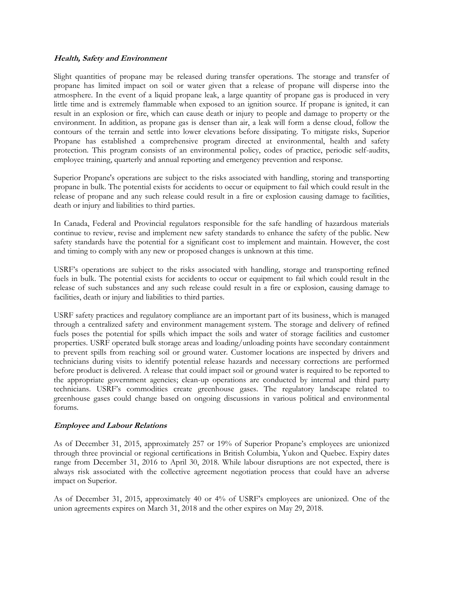#### **Health, Safety and Environment**

Slight quantities of propane may be released during transfer operations. The storage and transfer of propane has limited impact on soil or water given that a release of propane will disperse into the atmosphere. In the event of a liquid propane leak, a large quantity of propane gas is produced in very little time and is extremely flammable when exposed to an ignition source. If propane is ignited, it can result in an explosion or fire, which can cause death or injury to people and damage to property or the environment. In addition, as propane gas is denser than air, a leak will form a dense cloud, follow the contours of the terrain and settle into lower elevations before dissipating. To mitigate risks, Superior Propane has established a comprehensive program directed at environmental, health and safety protection. This program consists of an environmental policy, codes of practice, periodic self-audits, employee training, quarterly and annual reporting and emergency prevention and response.

Superior Propane's operations are subject to the risks associated with handling, storing and transporting propane in bulk. The potential exists for accidents to occur or equipment to fail which could result in the release of propane and any such release could result in a fire or explosion causing damage to facilities, death or injury and liabilities to third parties.

In Canada, Federal and Provincial regulators responsible for the safe handling of hazardous materials continue to review, revise and implement new safety standards to enhance the safety of the public. New safety standards have the potential for a significant cost to implement and maintain. However, the cost and timing to comply with any new or proposed changes is unknown at this time.

USRF's operations are subject to the risks associated with handling, storage and transporting refined fuels in bulk. The potential exists for accidents to occur or equipment to fail which could result in the release of such substances and any such release could result in a fire or explosion, causing damage to facilities, death or injury and liabilities to third parties.

USRF safety practices and regulatory compliance are an important part of its business, which is managed through a centralized safety and environment management system. The storage and delivery of refined fuels poses the potential for spills which impact the soils and water of storage facilities and customer properties. USRF operated bulk storage areas and loading/unloading points have secondary containment to prevent spills from reaching soil or ground water. Customer locations are inspected by drivers and technicians during visits to identify potential release hazards and necessary corrections are performed before product is delivered. A release that could impact soil or ground water is required to be reported to the appropriate government agencies; clean-up operations are conducted by internal and third party technicians. USRF's commodities create greenhouse gases. The regulatory landscape related to greenhouse gases could change based on ongoing discussions in various political and environmental forums.

#### **Employee and Labour Relations**

As of December 31, 2015, approximately 257 or 19% of Superior Propane's employees are unionized through three provincial or regional certifications in British Columbia, Yukon and Quebec. Expiry dates range from December 31, 2016 to April 30, 2018. While labour disruptions are not expected, there is always risk associated with the collective agreement negotiation process that could have an adverse impact on Superior.

As of December 31, 2015, approximately 40 or 4% of USRF's employees are unionized. One of the union agreements expires on March 31, 2018 and the other expires on May 29, 2018.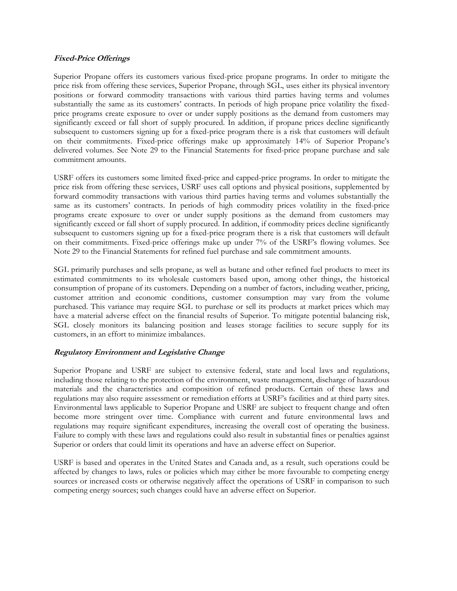#### **Fixed-Price Offerings**

Superior Propane offers its customers various fixed-price propane programs. In order to mitigate the price risk from offering these services, Superior Propane, through SGL, uses either its physical inventory positions or forward commodity transactions with various third parties having terms and volumes substantially the same as its customers' contracts. In periods of high propane price volatility the fixedprice programs create exposure to over or under supply positions as the demand from customers may significantly exceed or fall short of supply procured. In addition, if propane prices decline significantly subsequent to customers signing up for a fixed-price program there is a risk that customers will default on their commitments. Fixed-price offerings make up approximately 14% of Superior Propane's delivered volumes. See Note 29 to the Financial Statements for fixed-price propane purchase and sale commitment amounts.

USRF offers its customers some limited fixed-price and capped-price programs. In order to mitigate the price risk from offering these services, USRF uses call options and physical positions, supplemented by forward commodity transactions with various third parties having terms and volumes substantially the same as its customers' contracts. In periods of high commodity prices volatility in the fixed-price programs create exposure to over or under supply positions as the demand from customers may significantly exceed or fall short of supply procured. In addition, if commodity prices decline significantly subsequent to customers signing up for a fixed-price program there is a risk that customers will default on their commitments. Fixed-price offerings make up under 7% of the USRF's flowing volumes. See Note 29 to the Financial Statements for refined fuel purchase and sale commitment amounts.

SGL primarily purchases and sells propane, as well as butane and other refined fuel products to meet its estimated commitments to its wholesale customers based upon, among other things, the historical consumption of propane of its customers. Depending on a number of factors, including weather, pricing, customer attrition and economic conditions, customer consumption may vary from the volume purchased. This variance may require SGL to purchase or sell its products at market prices which may have a material adverse effect on the financial results of Superior. To mitigate potential balancing risk, SGL closely monitors its balancing position and leases storage facilities to secure supply for its customers, in an effort to minimize imbalances.

## **Regulatory Environment and Legislative Change**

Superior Propane and USRF are subject to extensive federal, state and local laws and regulations, including those relating to the protection of the environment, waste management, discharge of hazardous materials and the characteristics and composition of refined products. Certain of these laws and regulations may also require assessment or remediation efforts at USRF's facilities and at third party sites. Environmental laws applicable to Superior Propane and USRF are subject to frequent change and often become more stringent over time. Compliance with current and future environmental laws and regulations may require significant expenditures, increasing the overall cost of operating the business. Failure to comply with these laws and regulations could also result in substantial fines or penalties against Superior or orders that could limit its operations and have an adverse effect on Superior.

USRF is based and operates in the United States and Canada and, as a result, such operations could be affected by changes to laws, rules or policies which may either be more favourable to competing energy sources or increased costs or otherwise negatively affect the operations of USRF in comparison to such competing energy sources; such changes could have an adverse effect on Superior.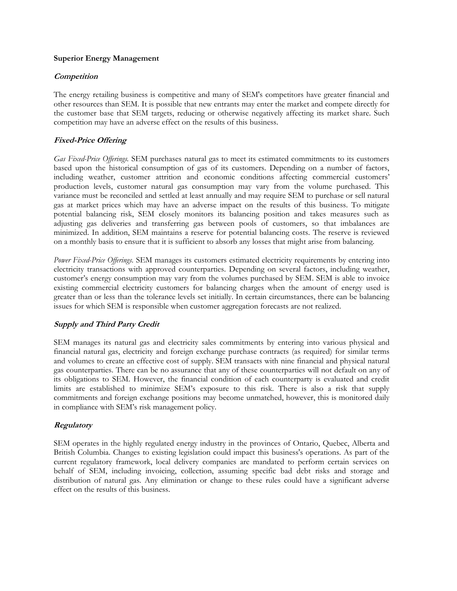#### **Superior Energy Management**

### **Competition**

The energy retailing business is competitive and many of SEM's competitors have greater financial and other resources than SEM. It is possible that new entrants may enter the market and compete directly for the customer base that SEM targets, reducing or otherwise negatively affecting its market share. Such competition may have an adverse effect on the results of this business.

## **Fixed-Price Offering**

*Gas Fixed-Price Offerings.* SEM purchases natural gas to meet its estimated commitments to its customers based upon the historical consumption of gas of its customers. Depending on a number of factors, including weather, customer attrition and economic conditions affecting commercial customers' production levels, customer natural gas consumption may vary from the volume purchased. This variance must be reconciled and settled at least annually and may require SEM to purchase or sell natural gas at market prices which may have an adverse impact on the results of this business. To mitigate potential balancing risk, SEM closely monitors its balancing position and takes measures such as adjusting gas deliveries and transferring gas between pools of customers, so that imbalances are minimized. In addition, SEM maintains a reserve for potential balancing costs. The reserve is reviewed on a monthly basis to ensure that it is sufficient to absorb any losses that might arise from balancing.

*Power Fixed-Price Offerings.* SEM manages its customers estimated electricity requirements by entering into electricity transactions with approved counterparties. Depending on several factors, including weather, customer's energy consumption may vary from the volumes purchased by SEM. SEM is able to invoice existing commercial electricity customers for balancing charges when the amount of energy used is greater than or less than the tolerance levels set initially. In certain circumstances, there can be balancing issues for which SEM is responsible when customer aggregation forecasts are not realized.

## **Supply and Third Party Credit**

SEM manages its natural gas and electricity sales commitments by entering into various physical and financial natural gas, electricity and foreign exchange purchase contracts (as required) for similar terms and volumes to create an effective cost of supply. SEM transacts with nine financial and physical natural gas counterparties. There can be no assurance that any of these counterparties will not default on any of its obligations to SEM. However, the financial condition of each counterparty is evaluated and credit limits are established to minimize SEM's exposure to this risk. There is also a risk that supply commitments and foreign exchange positions may become unmatched, however, this is monitored daily in compliance with SEM's risk management policy.

## **Regulatory**

SEM operates in the highly regulated energy industry in the provinces of Ontario, Quebec, Alberta and British Columbia. Changes to existing legislation could impact this business's operations. As part of the current regulatory framework, local delivery companies are mandated to perform certain services on behalf of SEM, including invoicing, collection, assuming specific bad debt risks and storage and distribution of natural gas. Any elimination or change to these rules could have a significant adverse effect on the results of this business.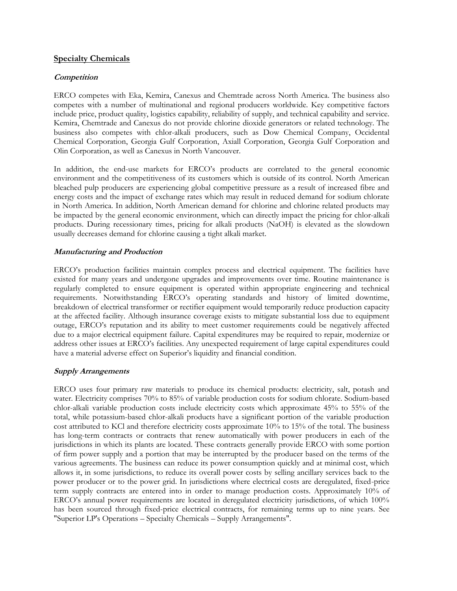## **Specialty Chemicals**

### **Competition**

ERCO competes with Eka, Kemira, Canexus and Chemtrade across North America. The business also competes with a number of multinational and regional producers worldwide. Key competitive factors include price, product quality, logistics capability, reliability of supply, and technical capability and service. Kemira, Chemtrade and Canexus do not provide chlorine dioxide generators or related technology. The business also competes with chlor-alkali producers, such as Dow Chemical Company, Occidental Chemical Corporation, Georgia Gulf Corporation, Axiall Corporation, Georgia Gulf Corporation and Olin Corporation, as well as Canexus in North Vancouver.

In addition, the end-use markets for ERCO's products are correlated to the general economic environment and the competitiveness of its customers which is outside of its control. North American bleached pulp producers are experiencing global competitive pressure as a result of increased fibre and energy costs and the impact of exchange rates which may result in reduced demand for sodium chlorate in North America. In addition, North American demand for chlorine and chlorine related products may be impacted by the general economic environment, which can directly impact the pricing for chlor-alkali products. During recessionary times, pricing for alkali products (NaOH) is elevated as the slowdown usually decreases demand for chlorine causing a tight alkali market.

#### **Manufacturing and Production**

ERCO's production facilities maintain complex process and electrical equipment. The facilities have existed for many years and undergone upgrades and improvements over time. Routine maintenance is regularly completed to ensure equipment is operated within appropriate engineering and technical requirements. Notwithstanding ERCO's operating standards and history of limited downtime, breakdown of electrical transformer or rectifier equipment would temporarily reduce production capacity at the affected facility. Although insurance coverage exists to mitigate substantial loss due to equipment outage, ERCO's reputation and its ability to meet customer requirements could be negatively affected due to a major electrical equipment failure. Capital expenditures may be required to repair, modernize or address other issues at ERCO's facilities. Any unexpected requirement of large capital expenditures could have a material adverse effect on Superior's liquidity and financial condition.

## **Supply Arrangements**

ERCO uses four primary raw materials to produce its chemical products: electricity, salt, potash and water. Electricity comprises 70% to 85% of variable production costs for sodium chlorate. Sodium-based chlor-alkali variable production costs include electricity costs which approximate 45% to 55% of the total, while potassium-based chlor-alkali products have a significant portion of the variable production cost attributed to KCl and therefore electricity costs approximate 10% to 15% of the total. The business has long-term contracts or contracts that renew automatically with power producers in each of the jurisdictions in which its plants are located. These contracts generally provide ERCO with some portion of firm power supply and a portion that may be interrupted by the producer based on the terms of the various agreements. The business can reduce its power consumption quickly and at minimal cost, which allows it, in some jurisdictions, to reduce its overall power costs by selling ancillary services back to the power producer or to the power grid. In jurisdictions where electrical costs are deregulated, fixed-price term supply contracts are entered into in order to manage production costs. Approximately 10% of ERCO's annual power requirements are located in deregulated electricity jurisdictions, of which 100% has been sourced through fixed-price electrical contracts, for remaining terms up to nine years. See "Superior LP's Operations – Specialty Chemicals – Supply Arrangements".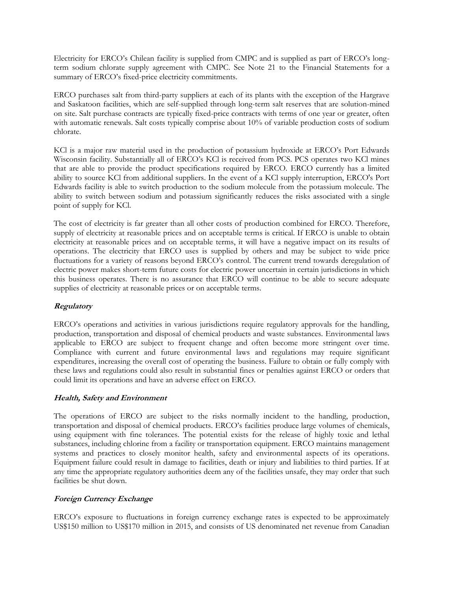Electricity for ERCO's Chilean facility is supplied from CMPC and is supplied as part of ERCO's longterm sodium chlorate supply agreement with CMPC. See Note 21 to the Financial Statements for a summary of ERCO's fixed-price electricity commitments.

ERCO purchases salt from third-party suppliers at each of its plants with the exception of the Hargrave and Saskatoon facilities, which are self-supplied through long-term salt reserves that are solution-mined on site. Salt purchase contracts are typically fixed-price contracts with terms of one year or greater, often with automatic renewals. Salt costs typically comprise about 10% of variable production costs of sodium chlorate.

KCl is a major raw material used in the production of potassium hydroxide at ERCO's Port Edwards Wisconsin facility. Substantially all of ERCO's KCl is received from PCS. PCS operates two KCl mines that are able to provide the product specifications required by ERCO. ERCO currently has a limited ability to source KCl from additional suppliers. In the event of a KCl supply interruption, ERCO's Port Edwards facility is able to switch production to the sodium molecule from the potassium molecule. The ability to switch between sodium and potassium significantly reduces the risks associated with a single point of supply for KCl.

The cost of electricity is far greater than all other costs of production combined for ERCO. Therefore, supply of electricity at reasonable prices and on acceptable terms is critical. If ERCO is unable to obtain electricity at reasonable prices and on acceptable terms, it will have a negative impact on its results of operations. The electricity that ERCO uses is supplied by others and may be subject to wide price fluctuations for a variety of reasons beyond ERCO's control. The current trend towards deregulation of electric power makes short-term future costs for electric power uncertain in certain jurisdictions in which this business operates. There is no assurance that ERCO will continue to be able to secure adequate supplies of electricity at reasonable prices or on acceptable terms.

## **Regulatory**

ERCO's operations and activities in various jurisdictions require regulatory approvals for the handling, production, transportation and disposal of chemical products and waste substances. Environmental laws applicable to ERCO are subject to frequent change and often become more stringent over time. Compliance with current and future environmental laws and regulations may require significant expenditures, increasing the overall cost of operating the business. Failure to obtain or fully comply with these laws and regulations could also result in substantial fines or penalties against ERCO or orders that could limit its operations and have an adverse effect on ERCO.

## **Health, Safety and Environment**

The operations of ERCO are subject to the risks normally incident to the handling, production, transportation and disposal of chemical products. ERCO's facilities produce large volumes of chemicals, using equipment with fine tolerances. The potential exists for the release of highly toxic and lethal substances, including chlorine from a facility or transportation equipment. ERCO maintains management systems and practices to closely monitor health, safety and environmental aspects of its operations. Equipment failure could result in damage to facilities, death or injury and liabilities to third parties. If at any time the appropriate regulatory authorities deem any of the facilities unsafe, they may order that such facilities be shut down.

## **Foreign Currency Exchange**

ERCO's exposure to fluctuations in foreign currency exchange rates is expected to be approximately US\$150 million to US\$170 million in 2015, and consists of US denominated net revenue from Canadian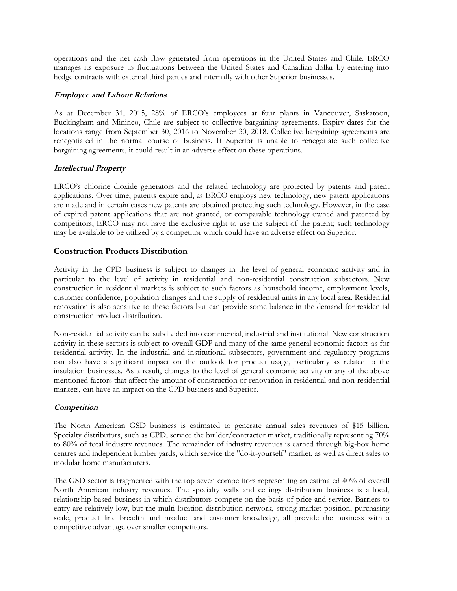operations and the net cash flow generated from operations in the United States and Chile. ERCO manages its exposure to fluctuations between the United States and Canadian dollar by entering into hedge contracts with external third parties and internally with other Superior businesses.

### **Employee and Labour Relations**

As at December 31, 2015, 28% of ERCO's employees at four plants in Vancouver, Saskatoon, Buckingham and Mininco, Chile are subject to collective bargaining agreements. Expiry dates for the locations range from September 30, 2016 to November 30, 2018. Collective bargaining agreements are renegotiated in the normal course of business. If Superior is unable to renegotiate such collective bargaining agreements, it could result in an adverse effect on these operations.

## **Intellectual Property**

ERCO's chlorine dioxide generators and the related technology are protected by patents and patent applications. Over time, patents expire and, as ERCO employs new technology, new patent applications are made and in certain cases new patents are obtained protecting such technology. However, in the case of expired patent applications that are not granted, or comparable technology owned and patented by competitors, ERCO may not have the exclusive right to use the subject of the patent; such technology may be available to be utilized by a competitor which could have an adverse effect on Superior.

## **Construction Products Distribution**

Activity in the CPD business is subject to changes in the level of general economic activity and in particular to the level of activity in residential and non-residential construction subsectors. New construction in residential markets is subject to such factors as household income, employment levels, customer confidence, population changes and the supply of residential units in any local area. Residential renovation is also sensitive to these factors but can provide some balance in the demand for residential construction product distribution.

Non-residential activity can be subdivided into commercial, industrial and institutional. New construction activity in these sectors is subject to overall GDP and many of the same general economic factors as for residential activity. In the industrial and institutional subsectors, government and regulatory programs can also have a significant impact on the outlook for product usage, particularly as related to the insulation businesses. As a result, changes to the level of general economic activity or any of the above mentioned factors that affect the amount of construction or renovation in residential and non-residential markets, can have an impact on the CPD business and Superior.

#### **Competition**

The North American GSD business is estimated to generate annual sales revenues of \$15 billion. Specialty distributors, such as CPD, service the builder/contractor market, traditionally representing 70% to 80% of total industry revenues. The remainder of industry revenues is earned through big-box home centres and independent lumber yards, which service the "do-it-yourself" market, as well as direct sales to modular home manufacturers.

The GSD sector is fragmented with the top seven competitors representing an estimated 40% of overall North American industry revenues. The specialty walls and ceilings distribution business is a local, relationship-based business in which distributors compete on the basis of price and service. Barriers to entry are relatively low, but the multi-location distribution network, strong market position, purchasing scale, product line breadth and product and customer knowledge, all provide the business with a competitive advantage over smaller competitors.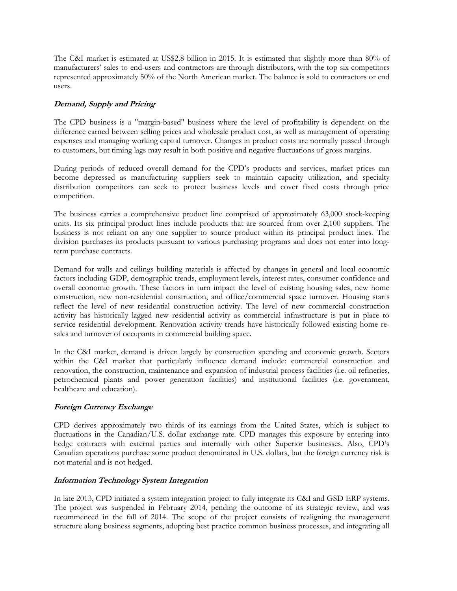The C&I market is estimated at US\$2.8 billion in 2015. It is estimated that slightly more than 80% of manufacturers' sales to end-users and contractors are through distributors, with the top six competitors represented approximately 50% of the North American market. The balance is sold to contractors or end users.

## **Demand, Supply and Pricing**

The CPD business is a "margin-based" business where the level of profitability is dependent on the difference earned between selling prices and wholesale product cost, as well as management of operating expenses and managing working capital turnover. Changes in product costs are normally passed through to customers, but timing lags may result in both positive and negative fluctuations of gross margins.

During periods of reduced overall demand for the CPD's products and services, market prices can become depressed as manufacturing suppliers seek to maintain capacity utilization, and specialty distribution competitors can seek to protect business levels and cover fixed costs through price competition.

The business carries a comprehensive product line comprised of approximately 63,000 stock-keeping units. Its six principal product lines include products that are sourced from over 2,100 suppliers. The business is not reliant on any one supplier to source product within its principal product lines. The division purchases its products pursuant to various purchasing programs and does not enter into longterm purchase contracts.

Demand for walls and ceilings building materials is affected by changes in general and local economic factors including GDP, demographic trends, employment levels, interest rates, consumer confidence and overall economic growth. These factors in turn impact the level of existing housing sales, new home construction, new non-residential construction, and office/commercial space turnover. Housing starts reflect the level of new residential construction activity. The level of new commercial construction activity has historically lagged new residential activity as commercial infrastructure is put in place to service residential development. Renovation activity trends have historically followed existing home resales and turnover of occupants in commercial building space.

In the C&I market, demand is driven largely by construction spending and economic growth. Sectors within the C&I market that particularly influence demand include: commercial construction and renovation, the construction, maintenance and expansion of industrial process facilities (i.e. oil refineries, petrochemical plants and power generation facilities) and institutional facilities (i.e. government, healthcare and education).

## **Foreign Currency Exchange**

CPD derives approximately two thirds of its earnings from the United States, which is subject to fluctuations in the Canadian/U.S. dollar exchange rate. CPD manages this exposure by entering into hedge contracts with external parties and internally with other Superior businesses. Also, CPD's Canadian operations purchase some product denominated in U.S. dollars, but the foreign currency risk is not material and is not hedged.

## **Information Technology System Integration**

In late 2013, CPD initiated a system integration project to fully integrate its C&I and GSD ERP systems. The project was suspended in February 2014, pending the outcome of its strategic review, and was recommenced in the fall of 2014. The scope of the project consists of realigning the management structure along business segments, adopting best practice common business processes, and integrating all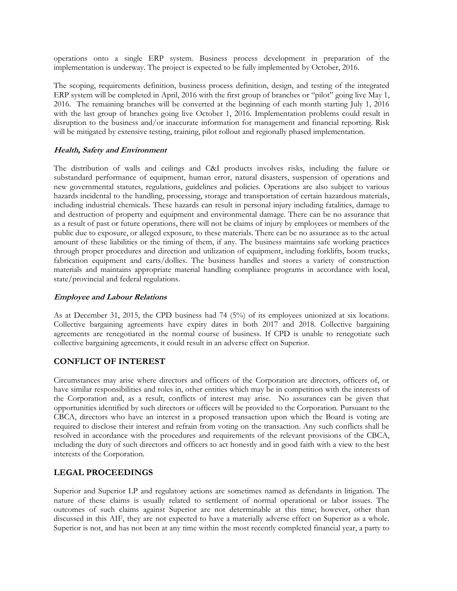operations onto a single ERP system. Business process development in preparation of the implementation is underway. The project is expected to be fully implemented by October, 2016.

The scoping, requirements definition, business process definition, design, and testing of the integrated ERP system will be completed in April, 2016 with the first group of branches or "pilot" going live May 1, 2016. The remaining branches will be converted at the beginning of each month starting July 1, 2016 with the last group of branches going live October 1, 2016. Implementation problems could result in disruption to the business and/or inaccurate information for management and financial reporting. Risk will be mitigated by extensive testing, training, pilot rollout and regionally phased implementation.

## **Health, Safety and Environment**

The distribution of walls and ceilings and C&I products involves risks, including the failure or substandard performance of equipment, human error, natural disasters, suspension of operations and new governmental statutes, regulations, guidelines and policies. Operations are also subject to various hazards incidental to the handling, processing, storage and transportation of certain hazardous materials, including industrial chemicals. These hazards can result in personal injury including fatalities, damage to and destruction of property and equipment and environmental damage. There can be no assurance that as a result of past or future operations, there will not be claims of injury by employees or members of the public due to exposure, or alleged exposure, to these materials. There can be no assurance as to the actual amount of these liabilities or the timing of them, if any. The business maintains safe working practices through proper procedures and direction and utilization of equipment, including forklifts, boom trucks, fabrication equipment and carts/dollies. The business handles and stores a variety of construction materials and maintains appropriate material handling compliance programs in accordance with local, state/provincial and federal regulations.

## **Employee and Labour Relations**

As at December 31, 2015, the CPD business had 74 (5%) of its employees unionized at six locations. Collective bargaining agreements have expiry dates in both 2017 and 2018. Collective bargaining agreements are renegotiated in the normal course of business. If CPD is unable to renegotiate such collective bargaining agreements, it could result in an adverse effect on Superior.

## **CONFLICT OF INTEREST**

Circumstances may arise where directors and officers of the Corporation are directors, officers of, or have similar responsibilities and roles in, other entities which may be in competition with the interests of the Corporation and, as a result, conflicts of interest may arise. No assurances can be given that opportunities identified by such directors or officers will be provided to the Corporation. Pursuant to the CBCA, directors who have an interest in a proposed transaction upon which the Board is voting are required to disclose their interest and refrain from voting on the transaction. Any such conflicts shall be resolved in accordance with the procedures and requirements of the relevant provisions of the CBCA, including the duty of such directors and officers to act honestly and in good faith with a view to the best interests of the Corporation.

## **LEGAL PROCEEDINGS**

Superior and Superior LP and regulatory actions are sometimes named as defendants in litigation. The nature of these claims is usually related to settlement of normal operational or labor issues. The outcomes of such claims against Superior are not determinable at this time; however, other than discussed in this AIF, they are not expected to have a materially adverse effect on Superior as a whole. Superior is not, and has not been at any time within the most recently completed financial year, a party to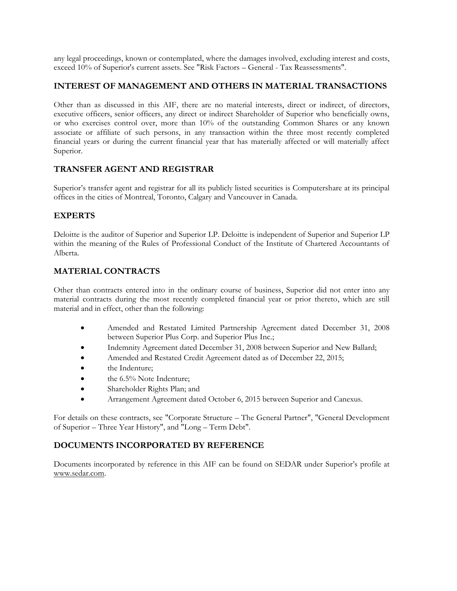any legal proceedings, known or contemplated, where the damages involved, excluding interest and costs, exceed 10% of Superior's current assets. See "Risk Factors – General - Tax Reassessments".

## **INTEREST OF MANAGEMENT AND OTHERS IN MATERIAL TRANSACTIONS**

Other than as discussed in this AIF, there are no material interests, direct or indirect, of directors, executive officers, senior officers, any direct or indirect Shareholder of Superior who beneficially owns, or who exercises control over, more than 10% of the outstanding Common Shares or any known associate or affiliate of such persons, in any transaction within the three most recently completed financial years or during the current financial year that has materially affected or will materially affect Superior.

## **TRANSFER AGENT AND REGISTRAR**

Superior's transfer agent and registrar for all its publicly listed securities is Computershare at its principal offices in the cities of Montreal, Toronto, Calgary and Vancouver in Canada.

# **EXPERTS**

Deloitte is the auditor of Superior and Superior LP. Deloitte is independent of Superior and Superior LP within the meaning of the Rules of Professional Conduct of the Institute of Chartered Accountants of Alberta.

# **MATERIAL CONTRACTS**

Other than contracts entered into in the ordinary course of business, Superior did not enter into any material contracts during the most recently completed financial year or prior thereto, which are still material and in effect, other than the following:

- Amended and Restated Limited Partnership Agreement dated December 31, 2008 between Superior Plus Corp. and Superior Plus Inc.;
- Indemnity Agreement dated December 31, 2008 between Superior and New Ballard;
- Amended and Restated Credit Agreement dated as of December 22, 2015;
- the Indenture;
- the 6.5% Note Indenture;
- Shareholder Rights Plan; and
- Arrangement Agreement dated October 6, 2015 between Superior and Canexus.

For details on these contracts, see "Corporate Structure – The General Partner", "General Development of Superior – Three Year History", and "Long – Term Debt".

## **DOCUMENTS INCORPORATED BY REFERENCE**

Documents incorporated by reference in this AIF can be found on SEDAR under Superior's profile at www.sedar.com.